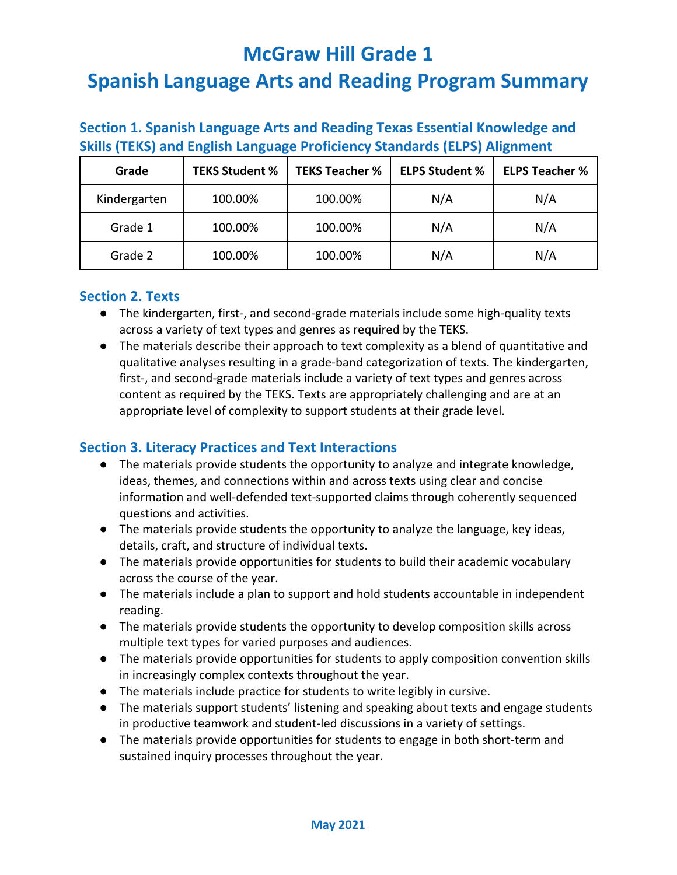| Section 1. Spanish Language Arts and Reading Texas Essential Knowledge and       |
|----------------------------------------------------------------------------------|
| <b>Skills (TEKS) and English Language Proficiency Standards (ELPS) Alignment</b> |

| Grade        | <b>TEKS Student %</b> | <b>TEKS Teacher %</b> | <b>ELPS Student %</b> | <b>ELPS Teacher %</b> |
|--------------|-----------------------|-----------------------|-----------------------|-----------------------|
| Kindergarten | 100.00%               | 100.00%               | N/A                   | N/A                   |
| Grade 1      | 100.00%               | 100.00%               | N/A                   | N/A                   |
| Grade 2      | 100.00%               | 100.00%               | N/A                   | N/A                   |

#### **Section 2. Texts**

- The kindergarten, first-, and second-grade materials include some high-quality texts across a variety of text types and genres as required by the TEKS.
- The materials describe their approach to text complexity as a blend of quantitative and qualitative analyses resulting in a grade-band categorization of texts. The kindergarten, first-, and second-grade materials include a variety of text types and genres across content as required by the TEKS. Texts are appropriately challenging and are at an appropriate level of complexity to support students at their grade level.

#### **Section 3. Literacy Practices and Text Interactions**

- The materials provide students the opportunity to analyze and integrate knowledge, ideas, themes, and connections within and across texts using clear and concise information and well-defended text-supported claims through coherently sequenced questions and activities.
- The materials provide students the opportunity to analyze the language, key ideas, details, craft, and structure of individual texts.
- The materials provide opportunities for students to build their academic vocabulary across the course of the year.
- The materials include a plan to support and hold students accountable in independent reading.
- The materials provide students the opportunity to develop composition skills across multiple text types for varied purposes and audiences.
- The materials provide opportunities for students to apply composition convention skills in increasingly complex contexts throughout the year.
- The materials include practice for students to write legibly in cursive.
- The materials support students' listening and speaking about texts and engage students in productive teamwork and student-led discussions in a variety of settings.
- The materials provide opportunities for students to engage in both short-term and sustained inquiry processes throughout the year.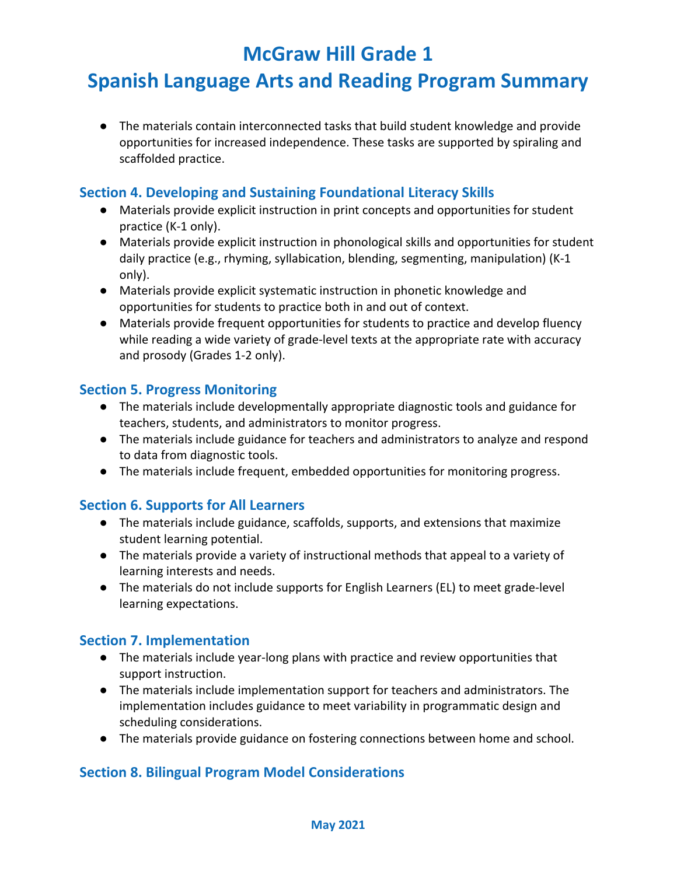## **Spanish Language Arts and Reading Program Summary**

● The materials contain interconnected tasks that build student knowledge and provide opportunities for increased independence. These tasks are supported by spiraling and scaffolded practice.

#### **Section 4. Developing and Sustaining Foundational Literacy Skills**

- Materials provide explicit instruction in print concepts and opportunities for student practice (K-1 only).
- Materials provide explicit instruction in phonological skills and opportunities for student daily practice (e.g., rhyming, syllabication, blending, segmenting, manipulation) (K-1 only).
- Materials provide explicit systematic instruction in phonetic knowledge and opportunities for students to practice both in and out of context.
- Materials provide frequent opportunities for students to practice and develop fluency while reading a wide variety of grade-level texts at the appropriate rate with accuracy and prosody (Grades 1-2 only).

#### **Section 5. Progress Monitoring**

- The materials include developmentally appropriate diagnostic tools and guidance for teachers, students, and administrators to monitor progress.
- The materials include guidance for teachers and administrators to analyze and respond to data from diagnostic tools.
- The materials include frequent, embedded opportunities for monitoring progress.

#### **Section 6. Supports for All Learners**

- The materials include guidance, scaffolds, supports, and extensions that maximize student learning potential.
- The materials provide a variety of instructional methods that appeal to a variety of learning interests and needs.
- The materials do not include supports for English Learners (EL) to meet grade-level learning expectations.

#### **Section 7. Implementation**

- The materials include year-long plans with practice and review opportunities that support instruction.
- The materials include implementation support for teachers and administrators. The implementation includes guidance to meet variability in programmatic design and scheduling considerations.
- The materials provide guidance on fostering connections between home and school.

#### **Section 8. Bilingual Program Model Considerations**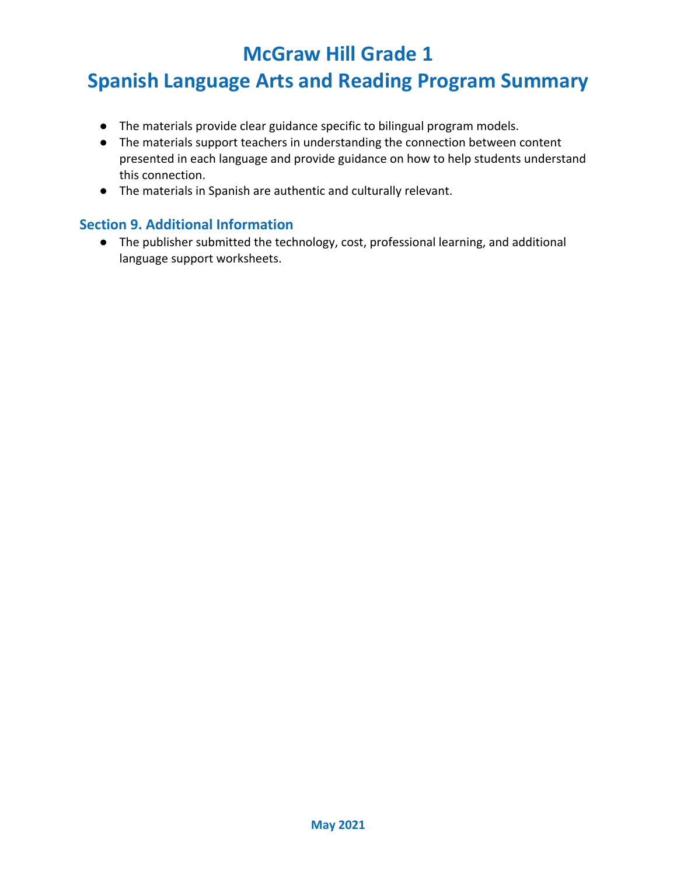## **Spanish Language Arts and Reading Program Summary**

- The materials provide clear guidance specific to bilingual program models.
- The materials support teachers in understanding the connection between content presented in each language and provide guidance on how to help students understand this connection.
- The materials in Spanish are authentic and culturally relevant.

#### **Section 9. Additional Information**

● The publisher submitted the technology, cost, professional learning, and additional language support worksheets.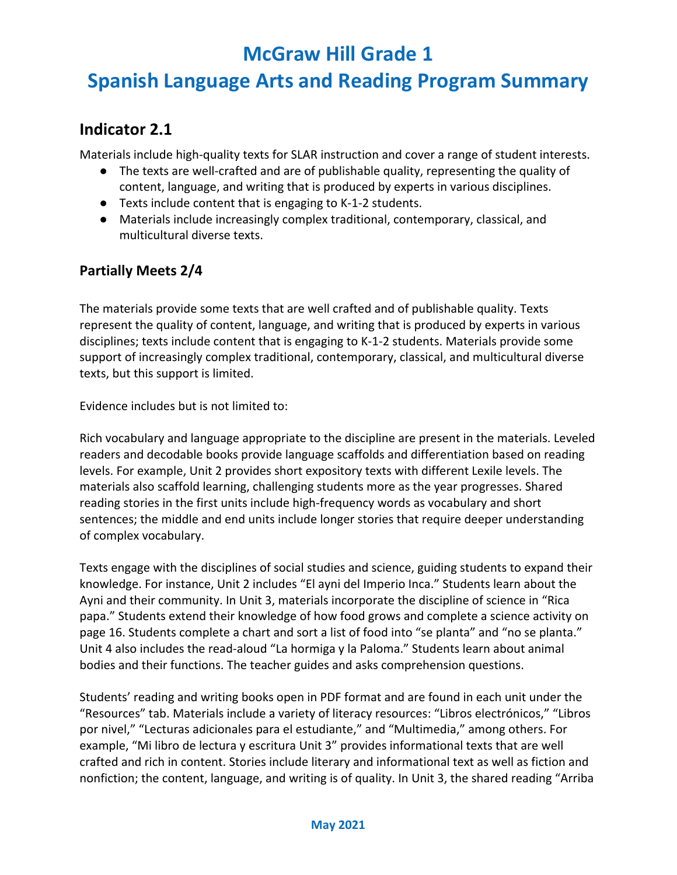## **Spanish Language Arts and Reading Program Summary**

#### **Indicator 2.1**

Materials include high-quality texts for SLAR instruction and cover a range of student interests.

- The texts are well-crafted and are of publishable quality, representing the quality of content, language, and writing that is produced by experts in various disciplines.
- Texts include content that is engaging to K-1-2 students.
- Materials include increasingly complex traditional, contemporary, classical, and multicultural diverse texts.

#### **Partially Meets 2/4**

The materials provide some texts that are well crafted and of publishable quality. Texts represent the quality of content, language, and writing that is produced by experts in various disciplines; texts include content that is engaging to K-1-2 students. Materials provide some support of increasingly complex traditional, contemporary, classical, and multicultural diverse texts, but this support is limited.

Evidence includes but is not limited to:

Rich vocabulary and language appropriate to the discipline are present in the materials. Leveled readers and decodable books provide language scaffolds and differentiation based on reading levels. For example, Unit 2 provides short expository texts with different Lexile levels. The materials also scaffold learning, challenging students more as the year progresses. Shared reading stories in the first units include high-frequency words as vocabulary and short sentences; the middle and end units include longer stories that require deeper understanding of complex vocabulary.

Texts engage with the disciplines of social studies and science, guiding students to expand their knowledge. For instance, Unit 2 includes "El ayni del Imperio Inca." Students learn about the Ayni and their community. In Unit 3, materials incorporate the discipline of science in "Rica papa." Students extend their knowledge of how food grows and complete a science activity on page 16. Students complete a chart and sort a list of food into "se planta" and "no se planta." Unit 4 also includes the read-aloud "La hormiga y la Paloma." Students learn about animal bodies and their functions. The teacher guides and asks comprehension questions.

Students' reading and writing books open in PDF format and are found in each unit under the "Resources" tab. Materials include a variety of literacy resources: "Libros electrónicos," "Libros por nivel," "Lecturas adicionales para el estudiante," and "Multimedia," among others. For example, "Mi libro de lectura y escritura Unit 3" provides informational texts that are well crafted and rich in content. Stories include literary and informational text as well as fiction and nonfiction; the content, language, and writing is of quality. In Unit 3, the shared reading "Arriba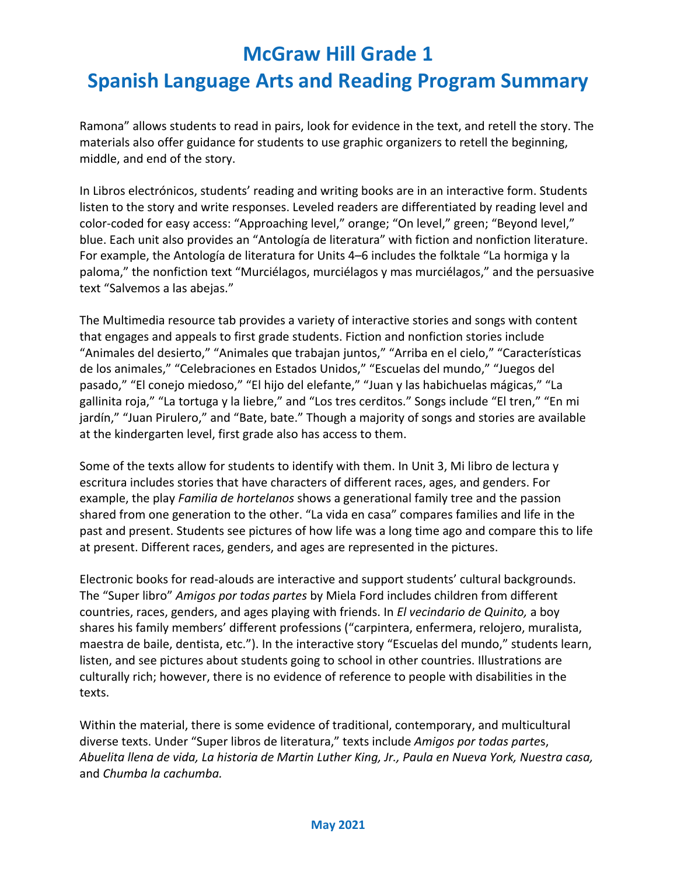# **Spanish Language Arts and Reading Program Summary**

Ramona" allows students to read in pairs, look for evidence in the text, and retell the story. The materials also offer guidance for students to use graphic organizers to retell the beginning, middle, and end of the story.

In Libros electrónicos, students' reading and writing books are in an interactive form. Students listen to the story and write responses. Leveled readers are differentiated by reading level and color-coded for easy access: "Approaching level," orange; "On level," green; "Beyond level," blue. Each unit also provides an "Antología de literatura" with fiction and nonfiction literature. For example, the Antología de literatura for Units 4–6 includes the folktale "La hormiga y la paloma," the nonfiction text "Murciélagos, murciélagos y mas murciélagos," and the persuasive text "Salvemos a las abejas."

The Multimedia resource tab provides a variety of interactive stories and songs with content that engages and appeals to first grade students. Fiction and nonfiction stories include "Animales del desierto," "Animales que trabajan juntos," "Arriba en el cielo," "Características de los animales," "Celebraciones en Estados Unidos," "Escuelas del mundo," "Juegos del pasado," "El conejo miedoso," "El hijo del elefante," "Juan y las habichuelas mágicas," "La gallinita roja," "La tortuga y la liebre," and "Los tres cerditos." Songs include "El tren," "En mi jardín," "Juan Pirulero," and "Bate, bate." Though a majority of songs and stories are available at the kindergarten level, first grade also has access to them.

Some of the texts allow for students to identify with them. In Unit 3, Mi libro de lectura y escritura includes stories that have characters of different races, ages, and genders. For example, the play *Familia de hortelanos* shows a generational family tree and the passion shared from one generation to the other. "La vida en casa" compares families and life in the past and present. Students see pictures of how life was a long time ago and compare this to life at present. Different races, genders, and ages are represented in the pictures.

Electronic books for read-alouds are interactive and support students' cultural backgrounds. The "Super libro" *Amigos por todas partes* by Miela Ford includes children from different countries, races, genders, and ages playing with friends. In *El vecindario de Quinito,* a boy shares his family members' different professions ("carpintera, enfermera, relojero, muralista, maestra de baile, dentista, etc."). In the interactive story "Escuelas del mundo," students learn, listen, and see pictures about students going to school in other countries. Illustrations are culturally rich; however, there is no evidence of reference to people with disabilities in the texts.

Within the material, there is some evidence of traditional, contemporary, and multicultural diverse texts. Under "Super libros de literatura," texts include *Amigos por todas parte*s, *Abuelita llena de vida, La historia de Martin Luther King, Jr., Paula en Nueva York, Nuestra casa,*  and *Chumba la cachumba.*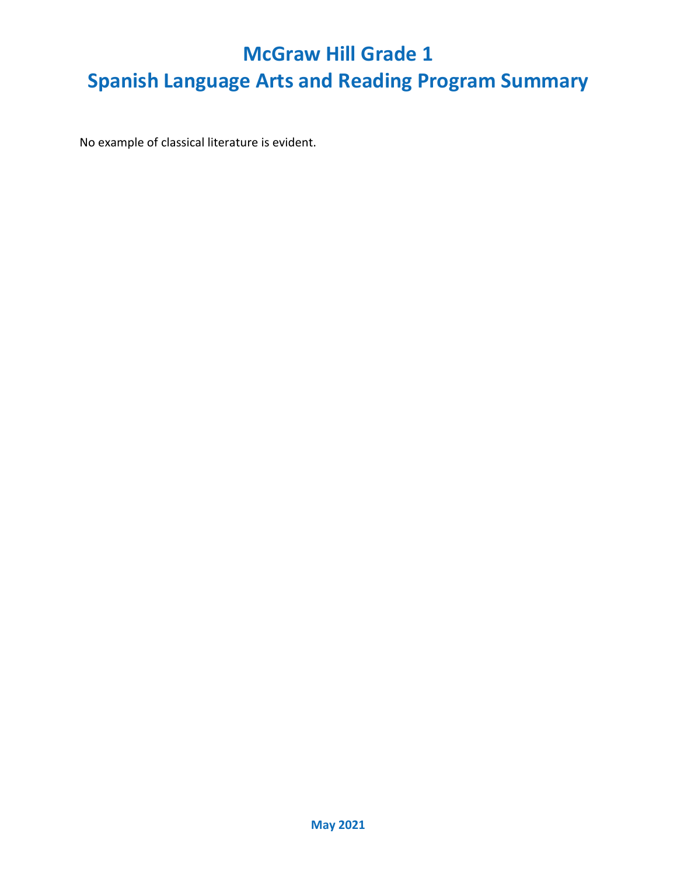No example of classical literature is evident.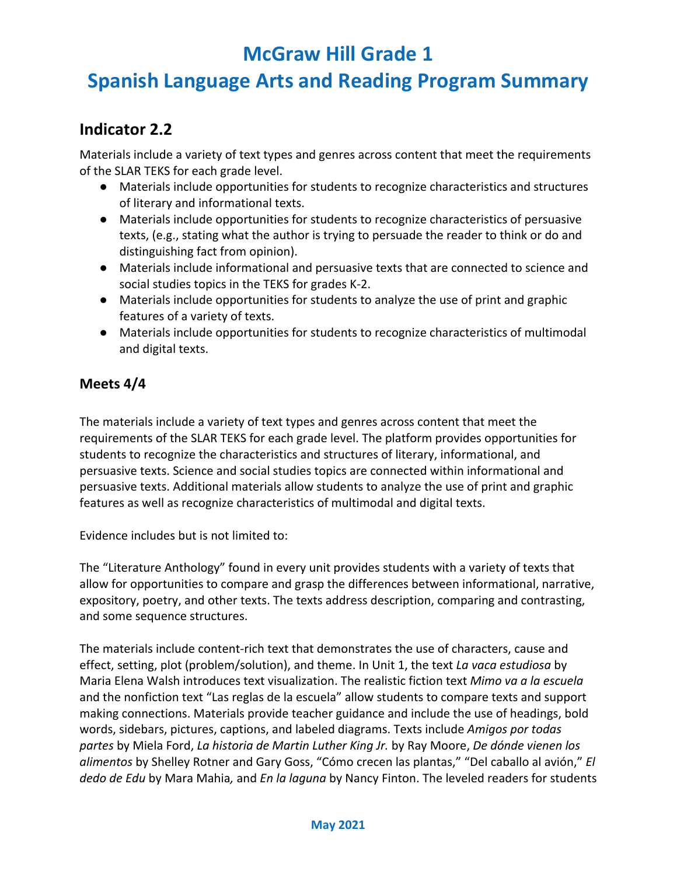## **Spanish Language Arts and Reading Program Summary**

#### **Indicator 2.2**

Materials include a variety of text types and genres across content that meet the requirements of the SLAR TEKS for each grade level.

- Materials include opportunities for students to recognize characteristics and structures of literary and informational texts.
- Materials include opportunities for students to recognize characteristics of persuasive texts, (e.g., stating what the author is trying to persuade the reader to think or do and distinguishing fact from opinion).
- Materials include informational and persuasive texts that are connected to science and social studies topics in the TEKS for grades K-2.
- Materials include opportunities for students to analyze the use of print and graphic features of a variety of texts.
- Materials include opportunities for students to recognize characteristics of multimodal and digital texts.

#### **Meets 4/4**

The materials include a variety of text types and genres across content that meet the requirements of the SLAR TEKS for each grade level. The platform provides opportunities for students to recognize the characteristics and structures of literary, informational, and persuasive texts. Science and social studies topics are connected within informational and persuasive texts. Additional materials allow students to analyze the use of print and graphic features as well as recognize characteristics of multimodal and digital texts.

Evidence includes but is not limited to:

The "Literature Anthology" found in every unit provides students with a variety of texts that allow for opportunities to compare and grasp the differences between informational, narrative, expository, poetry, and other texts. The texts address description, comparing and contrasting, and some sequence structures.

The materials include content-rich text that demonstrates the use of characters, cause and effect, setting, plot (problem/solution), and theme. In Unit 1, the text *La vaca estudiosa* by Maria Elena Walsh introduces text visualization. The realistic fiction text *Mimo va a la escuela* and the nonfiction text "Las reglas de la escuela" allow students to compare texts and support making connections. Materials provide teacher guidance and include the use of headings, bold words, sidebars, pictures, captions, and labeled diagrams. Texts include *Amigos por todas partes* by Miela Ford, *La historia de Martin Luther King Jr.* by Ray Moore, *De dónde vienen los alimentos* by Shelley Rotner and Gary Goss, "Cómo crecen las plantas," "Del caballo al avión," *El dedo de Edu* by Mara Mahia*,* and *En la laguna* by Nancy Finton. The leveled readers for students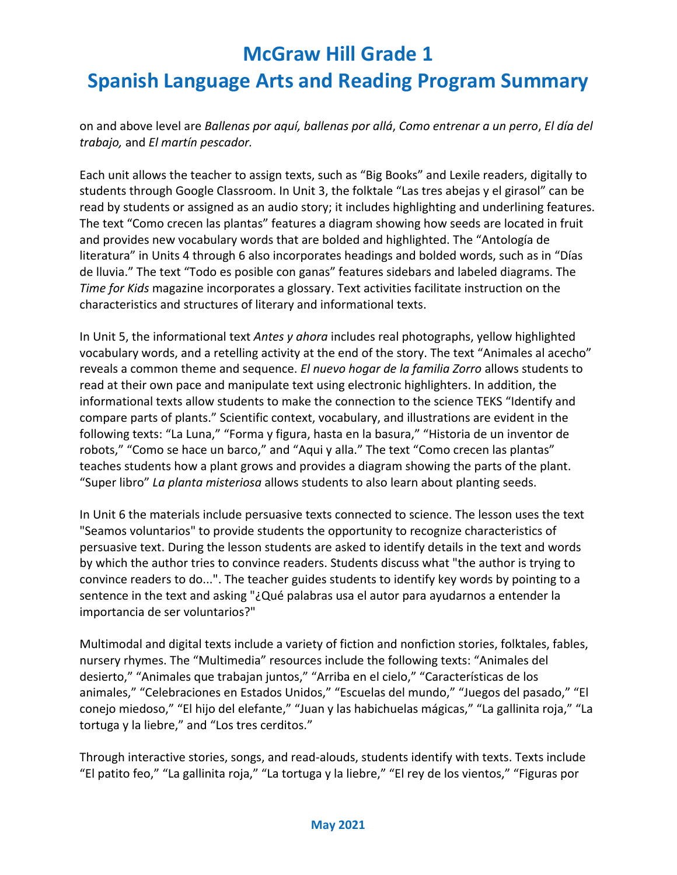on and above level are *Ballenas por aquí, ballenas por allá*, *Como entrenar a un perro*, *El día del trabajo,* and *El martín pescador.*

Each unit allows the teacher to assign texts, such as "Big Books" and Lexile readers, digitally to students through Google Classroom. In Unit 3, the folktale "Las tres abejas y el girasol" can be read by students or assigned as an audio story; it includes highlighting and underlining features. The text "Como crecen las plantas" features a diagram showing how seeds are located in fruit and provides new vocabulary words that are bolded and highlighted. The "Antología de literatura" in Units 4 through 6 also incorporates headings and bolded words, such as in "Días de lluvia." The text "Todo es posible con ganas" features sidebars and labeled diagrams. The *Time for Kids* magazine incorporates a glossary. Text activities facilitate instruction on the characteristics and structures of literary and informational texts.

In Unit 5, the informational text *Antes y ahora* includes real photographs, yellow highlighted vocabulary words, and a retelling activity at the end of the story. The text "Animales al acecho" reveals a common theme and sequence. *El nuevo hogar de la familia Zorro* allows students to read at their own pace and manipulate text using electronic highlighters. In addition, the informational texts allow students to make the connection to the science TEKS "Identify and compare parts of plants." Scientific context, vocabulary, and illustrations are evident in the following texts: "La Luna," "Forma y figura, hasta en la basura," "Historia de un inventor de robots," "Como se hace un barco," and "Aqui y alla." The text "Como crecen las plantas" teaches students how a plant grows and provides a diagram showing the parts of the plant. "Super libro" *La planta misteriosa* allows students to also learn about planting seeds.

In Unit 6 the materials include persuasive texts connected to science. The lesson uses the text "Seamos voluntarios" to provide students the opportunity to recognize characteristics of persuasive text. During the lesson students are asked to identify details in the text and words by which the author tries to convince readers. Students discuss what "the author is trying to convince readers to do...". The teacher guides students to identify key words by pointing to a sentence in the text and asking "¿Qué palabras usa el autor para ayudarnos a entender la importancia de ser voluntarios?"

Multimodal and digital texts include a variety of fiction and nonfiction stories, folktales, fables, nursery rhymes. The "Multimedia" resources include the following texts: "Animales del desierto," "Animales que trabajan juntos," "Arriba en el cielo," "Características de los animales," "Celebraciones en Estados Unidos," "Escuelas del mundo," "Juegos del pasado," "El conejo miedoso," "El hijo del elefante," "Juan y las habichuelas mágicas," "La gallinita roja," "La tortuga y la liebre," and "Los tres cerditos."

Through interactive stories, songs, and read-alouds, students identify with texts. Texts include "El patito feo," "La gallinita roja," "La tortuga y la liebre," "El rey de los vientos," "Figuras por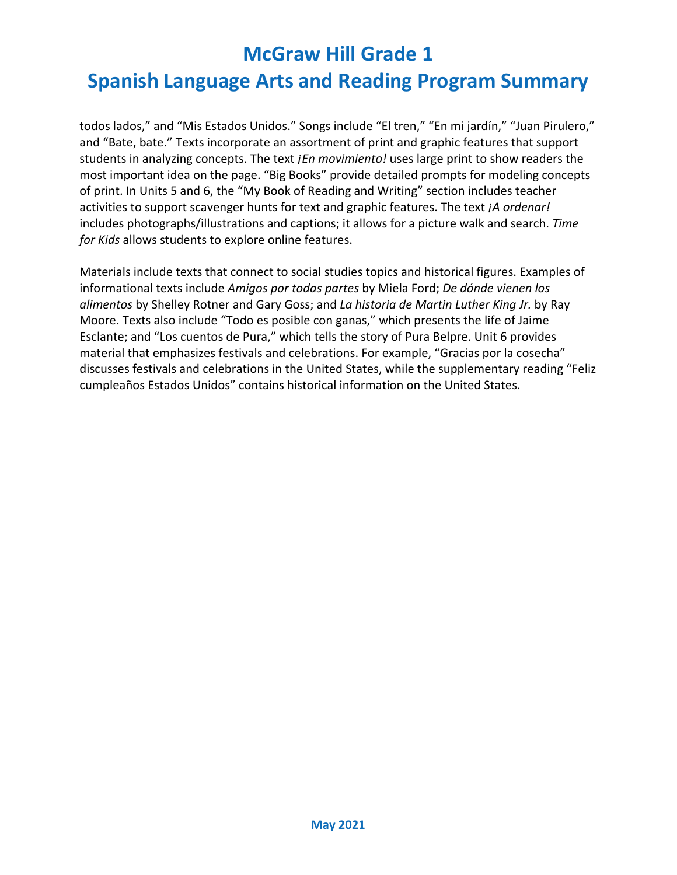# **Spanish Language Arts and Reading Program Summary**

todos lados," and "Mis Estados Unidos." Songs include "El tren," "En mi jardín," "Juan Pirulero," and "Bate, bate." Texts incorporate an assortment of print and graphic features that support students in analyzing concepts. The text *¡En movimiento!* uses large print to show readers the most important idea on the page. "Big Books" provide detailed prompts for modeling concepts of print. In Units 5 and 6, the "My Book of Reading and Writing" section includes teacher activities to support scavenger hunts for text and graphic features. The text *¡A ordenar!*  includes photographs/illustrations and captions; it allows for a picture walk and search. *Time for Kids* allows students to explore online features.

Materials include texts that connect to social studies topics and historical figures. Examples of informational texts include *Amigos por todas partes* by Miela Ford; *De dónde vienen los alimentos* by Shelley Rotner and Gary Goss; and *La historia de Martin Luther King Jr.* by Ray Moore. Texts also include "Todo es posible con ganas," which presents the life of Jaime Esclante; and "Los cuentos de Pura," which tells the story of Pura Belpre. Unit 6 provides material that emphasizes festivals and celebrations. For example, "Gracias por la cosecha" discusses festivals and celebrations in the United States, while the supplementary reading "Feliz cumpleaños Estados Unidos" contains historical information on the United States.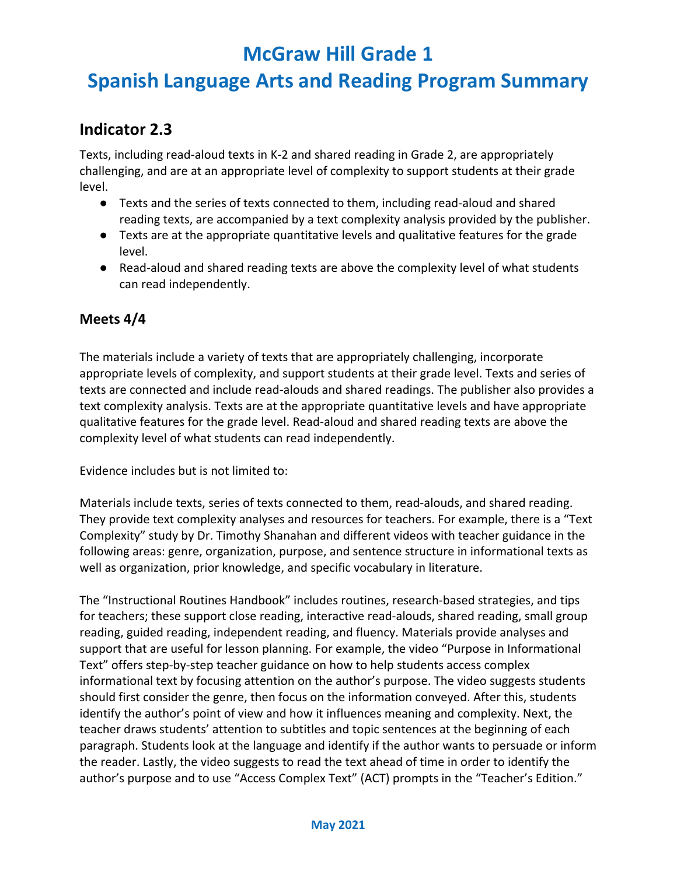## **Spanish Language Arts and Reading Program Summary**

#### **Indicator 2.3**

Texts, including read-aloud texts in K-2 and shared reading in Grade 2, are appropriately challenging, and are at an appropriate level of complexity to support students at their grade level.

- Texts and the series of texts connected to them, including read-aloud and shared reading texts, are accompanied by a text complexity analysis provided by the publisher.
- Texts are at the appropriate quantitative levels and qualitative features for the grade level.
- Read-aloud and shared reading texts are above the complexity level of what students can read independently.

#### **Meets 4/4**

The materials include a variety of texts that are appropriately challenging, incorporate appropriate levels of complexity, and support students at their grade level. Texts and series of texts are connected and include read-alouds and shared readings. The publisher also provides a text complexity analysis. Texts are at the appropriate quantitative levels and have appropriate qualitative features for the grade level. Read-aloud and shared reading texts are above the complexity level of what students can read independently.

Evidence includes but is not limited to:

Materials include texts, series of texts connected to them, read-alouds, and shared reading. They provide text complexity analyses and resources for teachers. For example, there is a "Text Complexity" study by Dr. Timothy Shanahan and different videos with teacher guidance in the following areas: genre, organization, purpose, and sentence structure in informational texts as well as organization, prior knowledge, and specific vocabulary in literature.

The "Instructional Routines Handbook" includes routines, research-based strategies, and tips for teachers; these support close reading, interactive read-alouds, shared reading, small group reading, guided reading, independent reading, and fluency. Materials provide analyses and support that are useful for lesson planning. For example, the video "Purpose in Informational Text" offers step-by-step teacher guidance on how to help students access complex informational text by focusing attention on the author's purpose. The video suggests students should first consider the genre, then focus on the information conveyed. After this, students identify the author's point of view and how it influences meaning and complexity. Next, the teacher draws students' attention to subtitles and topic sentences at the beginning of each paragraph. Students look at the language and identify if the author wants to persuade or inform the reader. Lastly, the video suggests to read the text ahead of time in order to identify the author's purpose and to use "Access Complex Text" (ACT) prompts in the "Teacher's Edition."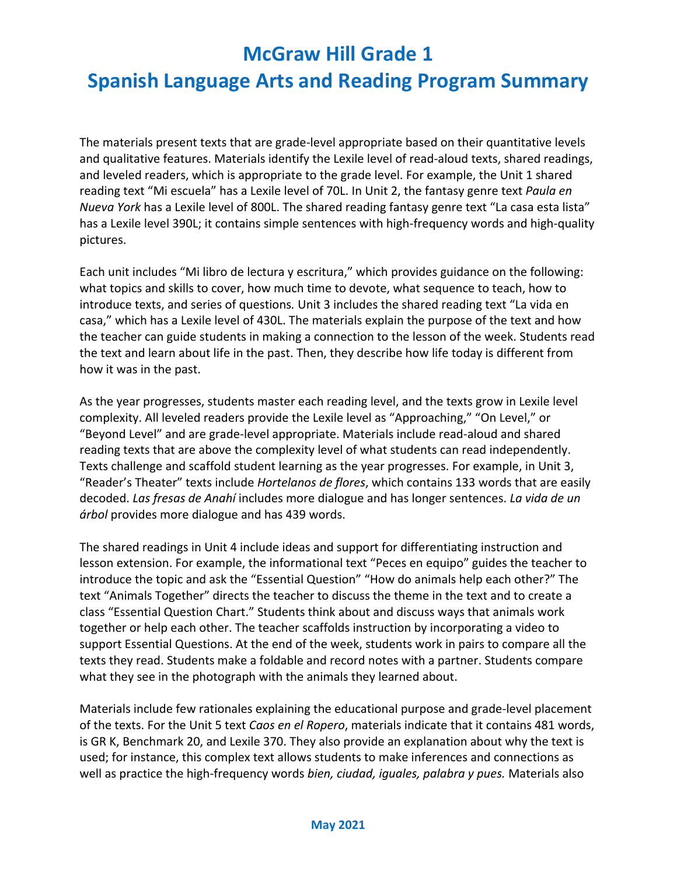## **Spanish Language Arts and Reading Program Summary**

The materials present texts that are grade-level appropriate based on their quantitative levels and qualitative features. Materials identify the Lexile level of read-aloud texts, shared readings, and leveled readers, which is appropriate to the grade level. For example, the Unit 1 shared reading text "Mi escuela" has a Lexile level of 70L. In Unit 2, the fantasy genre text *Paula en Nueva York* has a Lexile level of 800L. The shared reading fantasy genre text "La casa esta lista" has a Lexile level 390L; it contains simple sentences with high-frequency words and high-quality pictures.

Each unit includes "Mi libro de lectura y escritura," which provides guidance on the following: what topics and skills to cover, how much time to devote, what sequence to teach, how to introduce texts, and series of questions*.* Unit 3 includes the shared reading text "La vida en casa," which has a Lexile level of 430L. The materials explain the purpose of the text and how the teacher can guide students in making a connection to the lesson of the week. Students read the text and learn about life in the past. Then, they describe how life today is different from how it was in the past.

As the year progresses, students master each reading level, and the texts grow in Lexile level complexity. All leveled readers provide the Lexile level as "Approaching," "On Level," or "Beyond Level" and are grade-level appropriate. Materials include read-aloud and shared reading texts that are above the complexity level of what students can read independently. Texts challenge and scaffold student learning as the year progresses. For example, in Unit 3, "Reader's Theater" texts include *Hortelanos de flores*, which contains 133 words that are easily decoded. *Las fresas de Anahí* includes more dialogue and has longer sentences. *La vida de un árbol* provides more dialogue and has 439 words.

The shared readings in Unit 4 include ideas and support for differentiating instruction and lesson extension. For example, the informational text "Peces en equipo" guides the teacher to introduce the topic and ask the "Essential Question" "How do animals help each other?" The text "Animals Together" directs the teacher to discuss the theme in the text and to create a class "Essential Question Chart." Students think about and discuss ways that animals work together or help each other. The teacher scaffolds instruction by incorporating a video to support Essential Questions. At the end of the week, students work in pairs to compare all the texts they read. Students make a foldable and record notes with a partner. Students compare what they see in the photograph with the animals they learned about.

Materials include few rationales explaining the educational purpose and grade-level placement of the texts. For the Unit 5 text *Caos en el Ropero*, materials indicate that it contains 481 words, is GR K, Benchmark 20, and Lexile 370. They also provide an explanation about why the text is used; for instance, this complex text allows students to make inferences and connections as well as practice the high-frequency words *bien, ciudad, iguales, palabra y pues.* Materials also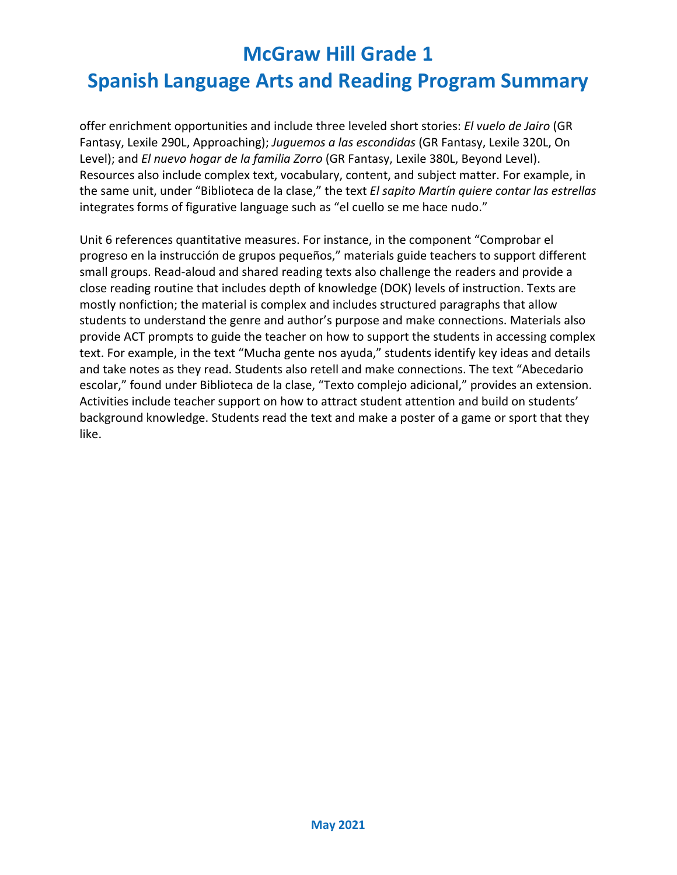offer enrichment opportunities and include three leveled short stories: *El vuelo de Jairo* (GR Fantasy, Lexile 290L, Approaching); *Juguemos a las escondidas* (GR Fantasy, Lexile 320L, On Level); and *El nuevo hogar de la familia Zorro* (GR Fantasy, Lexile 380L, Beyond Level). Resources also include complex text, vocabulary, content, and subject matter. For example, in the same unit, under "Biblioteca de la clase," the text *El sapito Martín quiere contar las estrellas* integrates forms of figurative language such as "el cuello se me hace nudo."

Unit 6 references quantitative measures. For instance, in the component "Comprobar el progreso en la instrucción de grupos pequeños," materials guide teachers to support different small groups. Read-aloud and shared reading texts also challenge the readers and provide a close reading routine that includes depth of knowledge (DOK) levels of instruction. Texts are mostly nonfiction; the material is complex and includes structured paragraphs that allow students to understand the genre and author's purpose and make connections. Materials also provide ACT prompts to guide the teacher on how to support the students in accessing complex text. For example, in the text "Mucha gente nos ayuda," students identify key ideas and details and take notes as they read. Students also retell and make connections. The text "Abecedario escolar," found under Biblioteca de la clase, "Texto complejo adicional," provides an extension. Activities include teacher support on how to attract student attention and build on students' background knowledge. Students read the text and make a poster of a game or sport that they like.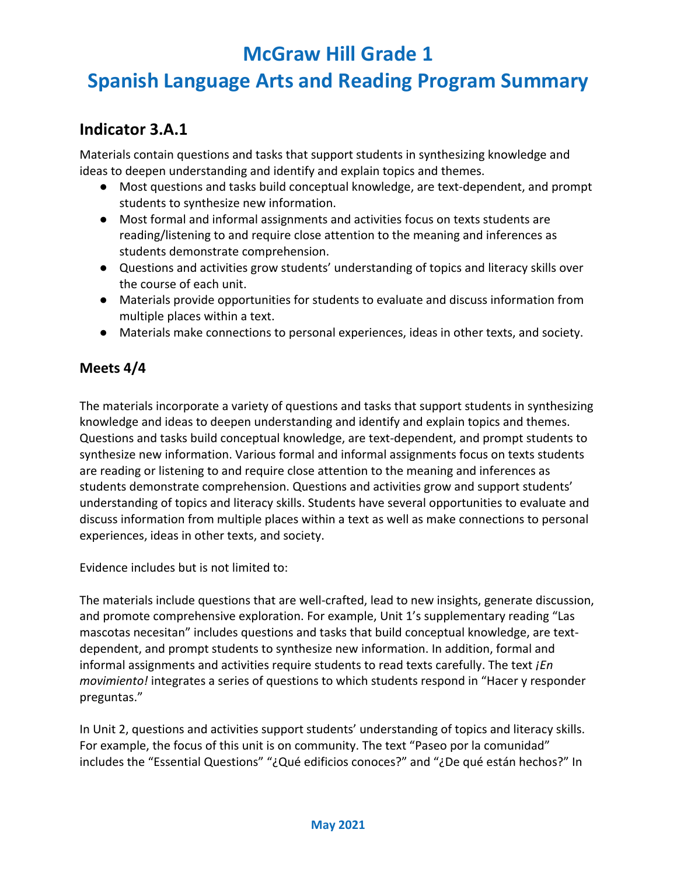## **Spanish Language Arts and Reading Program Summary**

#### **Indicator 3.A.1**

Materials contain questions and tasks that support students in synthesizing knowledge and ideas to deepen understanding and identify and explain topics and themes.

- Most questions and tasks build conceptual knowledge, are text-dependent, and prompt students to synthesize new information.
- Most formal and informal assignments and activities focus on texts students are reading/listening to and require close attention to the meaning and inferences as students demonstrate comprehension.
- Questions and activities grow students' understanding of topics and literacy skills over the course of each unit.
- Materials provide opportunities for students to evaluate and discuss information from multiple places within a text.
- Materials make connections to personal experiences, ideas in other texts, and society.

#### **Meets 4/4**

The materials incorporate a variety of questions and tasks that support students in synthesizing knowledge and ideas to deepen understanding and identify and explain topics and themes. Questions and tasks build conceptual knowledge, are text-dependent, and prompt students to synthesize new information. Various formal and informal assignments focus on texts students are reading or listening to and require close attention to the meaning and inferences as students demonstrate comprehension. Questions and activities grow and support students' understanding of topics and literacy skills. Students have several opportunities to evaluate and discuss information from multiple places within a text as well as make connections to personal experiences, ideas in other texts, and society.

Evidence includes but is not limited to:

The materials include questions that are well-crafted, lead to new insights, generate discussion, and promote comprehensive exploration. For example, Unit 1's supplementary reading "Las mascotas necesitan" includes questions and tasks that build conceptual knowledge, are textdependent, and prompt students to synthesize new information. In addition, formal and informal assignments and activities require students to read texts carefully. The text *¡En movimiento!* integrates a series of questions to which students respond in "Hacer y responder preguntas."

In Unit 2, questions and activities support students' understanding of topics and literacy skills. For example, the focus of this unit is on community. The text "Paseo por la comunidad" includes the "Essential Questions" "¿Qué edificios conoces?" and "¿De qué están hechos?" In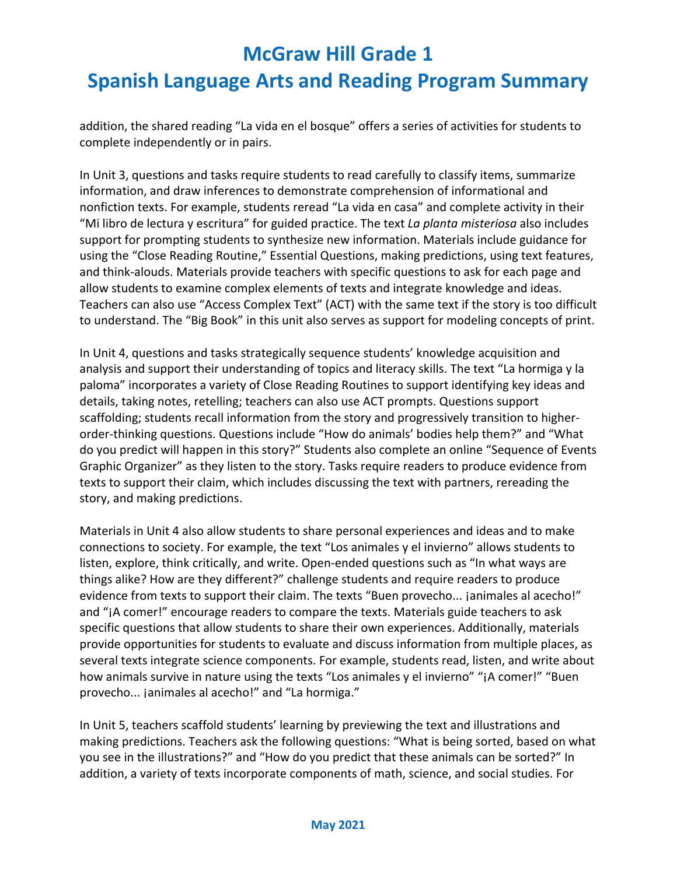addition, the shared reading "La vida en el bosque" offers a series of activities for students to complete independently or in pairs.

In Unit 3, questions and tasks require students to read carefully to classify items, summarize information, and draw inferences to demonstrate comprehension of informational and nonfiction texts. For example, students reread "La vida en casa" and complete activity in their "Mi libro de lectura y escritura" for guided practice. The text *La planta misteriosa* also includes support for prompting students to synthesize new information. Materials include guidance for using the "Close Reading Routine," Essential Questions, making predictions, using text features, and think-alouds. Materials provide teachers with specific questions to ask for each page and allow students to examine complex elements of texts and integrate knowledge and ideas. Teachers can also use "Access Complex Text" (ACT) with the same text if the story is too difficult to understand. The "Big Book" in this unit also serves as support for modeling concepts of print.

In Unit 4, questions and tasks strategically sequence students' knowledge acquisition and analysis and support their understanding of topics and literacy skills. The text "La hormiga y la paloma" incorporates a variety of Close Reading Routines to support identifying key ideas and details, taking notes, retelling; teachers can also use ACT prompts. Questions support scaffolding; students recall information from the story and progressively transition to higherorder-thinking questions. Questions include "How do animals' bodies help them?" and "What do you predict will happen in this story?" Students also complete an online "Sequence of Events Graphic Organizer" as they listen to the story. Tasks require readers to produce evidence from texts to support their claim, which includes discussing the text with partners, rereading the story, and making predictions.

Materials in Unit 4 also allow students to share personal experiences and ideas and to make connections to society. For example, the text "Los animales y el invierno" allows students to listen, explore, think critically, and write. Open-ended questions such as "In what ways are things alike? How are they different?" challenge students and require readers to produce evidence from texts to support their claim. The texts "Buen provecho... janimales al acecho!" and "¡A comer!" encourage readers to compare the texts. Materials guide teachers to ask specific questions that allow students to share their own experiences. Additionally, materials provide opportunities for students to evaluate and discuss information from multiple places, as several texts integrate science components. For example, students read, listen, and write about how animals survive in nature using the texts "Los animales y el invierno" "¡A comer!" "Buen provecho... janimales al acecho!" and "La hormiga."

In Unit 5, teachers scaffold students' learning by previewing the text and illustrations and making predictions. Teachers ask the following questions: "What is being sorted, based on what you see in the illustrations?" and "How do you predict that these animals can be sorted?" In addition, a variety of texts incorporate components of math, science, and social studies. For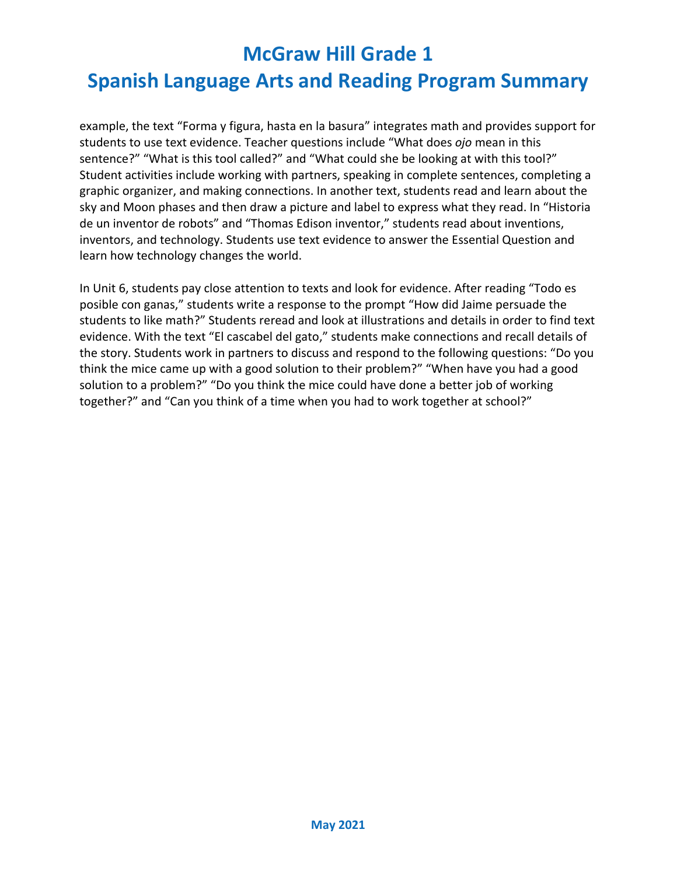# **Spanish Language Arts and Reading Program Summary**

example, the text "Forma y figura, hasta en la basura" integrates math and provides support for students to use text evidence. Teacher questions include "What does *ojo* mean in this sentence?" "What is this tool called?" and "What could she be looking at with this tool?" Student activities include working with partners, speaking in complete sentences, completing a graphic organizer, and making connections. In another text, students read and learn about the sky and Moon phases and then draw a picture and label to express what they read. In "Historia de un inventor de robots" and "Thomas Edison inventor," students read about inventions, inventors, and technology. Students use text evidence to answer the Essential Question and learn how technology changes the world.

In Unit 6, students pay close attention to texts and look for evidence. After reading "Todo es posible con ganas," students write a response to the prompt "How did Jaime persuade the students to like math?" Students reread and look at illustrations and details in order to find text evidence. With the text "El cascabel del gato," students make connections and recall details of the story. Students work in partners to discuss and respond to the following questions: "Do you think the mice came up with a good solution to their problem?" "When have you had a good solution to a problem?" "Do you think the mice could have done a better job of working together?" and "Can you think of a time when you had to work together at school?"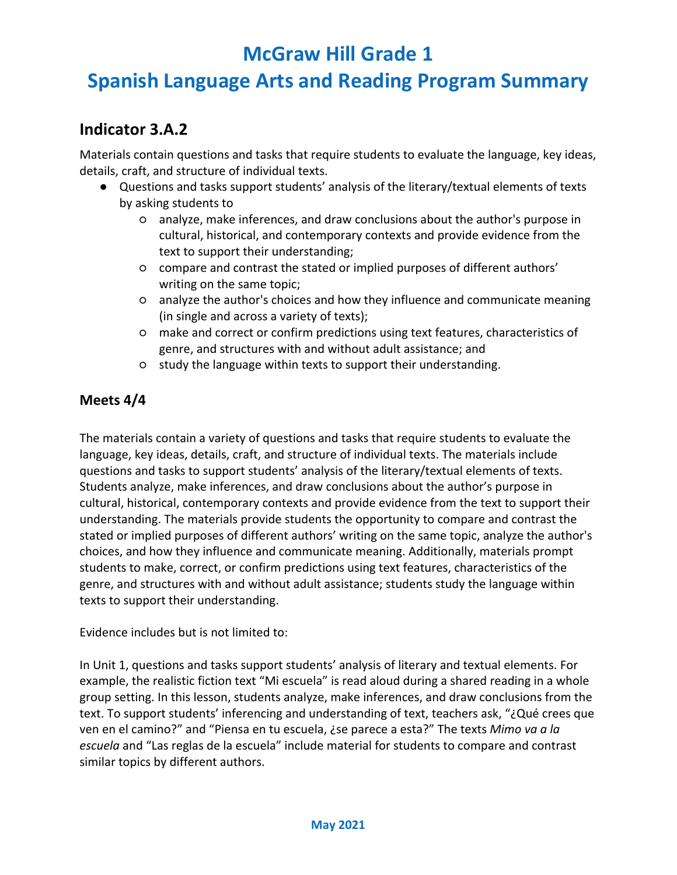## **Spanish Language Arts and Reading Program Summary**

#### **Indicator 3.A.2**

Materials contain questions and tasks that require students to evaluate the language, key ideas, details, craft, and structure of individual texts.

- Questions and tasks support students' analysis of the literary/textual elements of texts by asking students to
	- analyze, make inferences, and draw conclusions about the author's purpose in cultural, historical, and contemporary contexts and provide evidence from the text to support their understanding;
	- compare and contrast the stated or implied purposes of different authors' writing on the same topic;
	- analyze the author's choices and how they influence and communicate meaning (in single and across a variety of texts);
	- make and correct or confirm predictions using text features, characteristics of genre, and structures with and without adult assistance; and
	- study the language within texts to support their understanding.

#### **Meets 4/4**

The materials contain a variety of questions and tasks that require students to evaluate the language, key ideas, details, craft, and structure of individual texts. The materials include questions and tasks to support students' analysis of the literary/textual elements of texts. Students analyze, make inferences, and draw conclusions about the author's purpose in cultural, historical, contemporary contexts and provide evidence from the text to support their understanding. The materials provide students the opportunity to compare and contrast the stated or implied purposes of different authors' writing on the same topic, analyze the author's choices, and how they influence and communicate meaning. Additionally, materials prompt students to make, correct, or confirm predictions using text features, characteristics of the genre, and structures with and without adult assistance; students study the language within texts to support their understanding.

Evidence includes but is not limited to:

In Unit 1, questions and tasks support students' analysis of literary and textual elements. For example, the realistic fiction text "Mi escuela" is read aloud during a shared reading in a whole group setting. In this lesson, students analyze, make inferences, and draw conclusions from the text. To support students' inferencing and understanding of text, teachers ask, "¿Qué crees que ven en el camino?" and "Piensa en tu escuela, ¿se parece a esta?" The texts *Mimo va a la escuela* and "Las reglas de la escuela" include material for students to compare and contrast similar topics by different authors.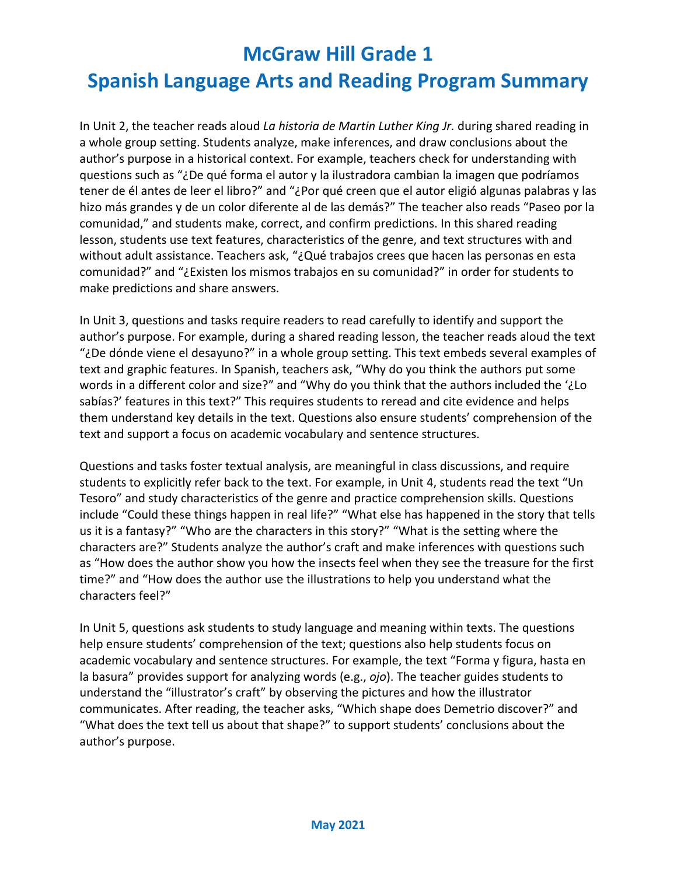# **Spanish Language Arts and Reading Program Summary**

In Unit 2, the teacher reads aloud *La historia de Martin Luther King Jr.* during shared reading in a whole group setting. Students analyze, make inferences, and draw conclusions about the author's purpose in a historical context. For example, teachers check for understanding with questions such as "¿De qué forma el autor y la ilustradora cambian la imagen que podríamos tener de él antes de leer el libro?" and "¿Por qué creen que el autor eligió algunas palabras y las hizo más grandes y de un color diferente al de las demás?" The teacher also reads "Paseo por la comunidad," and students make, correct, and confirm predictions. In this shared reading lesson, students use text features, characteristics of the genre, and text structures with and without adult assistance. Teachers ask, "¿Qué trabajos crees que hacen las personas en esta comunidad?" and "¿Existen los mismos trabajos en su comunidad?" in order for students to make predictions and share answers.

In Unit 3, questions and tasks require readers to read carefully to identify and support the author's purpose. For example, during a shared reading lesson, the teacher reads aloud the text "¿De dónde viene el desayuno?" in a whole group setting. This text embeds several examples of text and graphic features. In Spanish, teachers ask, "Why do you think the authors put some words in a different color and size?" and "Why do you think that the authors included the '¿Lo sabías?' features in this text?" This requires students to reread and cite evidence and helps them understand key details in the text. Questions also ensure students' comprehension of the text and support a focus on academic vocabulary and sentence structures.

Questions and tasks foster textual analysis, are meaningful in class discussions, and require students to explicitly refer back to the text. For example, in Unit 4, students read the text "Un Tesoro" and study characteristics of the genre and practice comprehension skills. Questions include "Could these things happen in real life?" "What else has happened in the story that tells us it is a fantasy?" "Who are the characters in this story?" "What is the setting where the characters are?" Students analyze the author's craft and make inferences with questions such as "How does the author show you how the insects feel when they see the treasure for the first time?" and "How does the author use the illustrations to help you understand what the characters feel?"

In Unit 5, questions ask students to study language and meaning within texts. The questions help ensure students' comprehension of the text; questions also help students focus on academic vocabulary and sentence structures. For example, the text "Forma y figura, hasta en la basura" provides support for analyzing words (e.g., *ojo*). The teacher guides students to understand the "illustrator's craft" by observing the pictures and how the illustrator communicates. After reading, the teacher asks, "Which shape does Demetrio discover?" and "What does the text tell us about that shape?" to support students' conclusions about the author's purpose.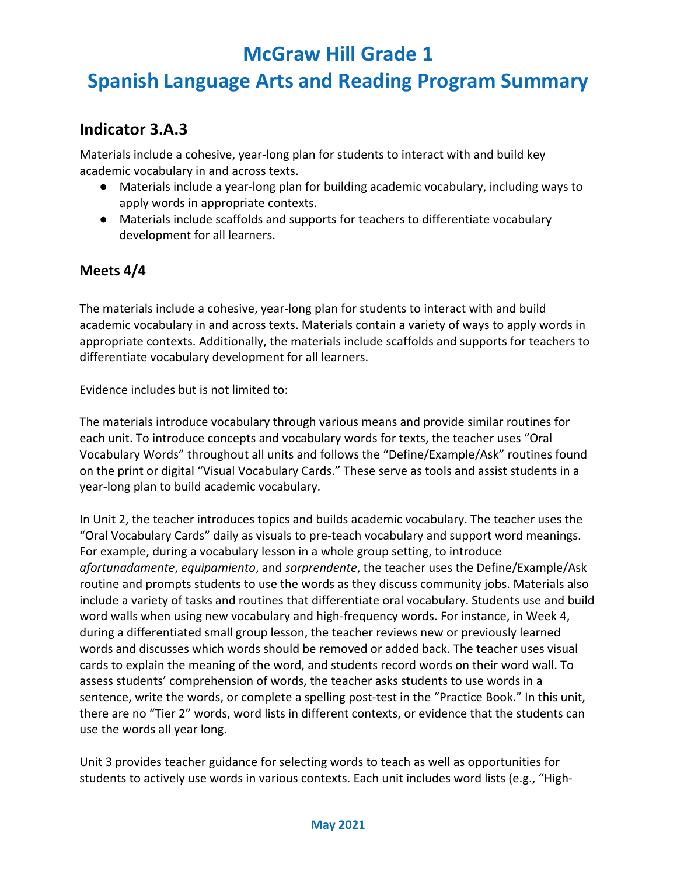## **Spanish Language Arts and Reading Program Summary**

#### **Indicator 3.A.3**

Materials include a cohesive, year-long plan for students to interact with and build key academic vocabulary in and across texts.

- Materials include a year-long plan for building academic vocabulary, including ways to apply words in appropriate contexts.
- Materials include scaffolds and supports for teachers to differentiate vocabulary development for all learners.

#### **Meets 4/4**

The materials include a cohesive, year-long plan for students to interact with and build academic vocabulary in and across texts. Materials contain a variety of ways to apply words in appropriate contexts. Additionally, the materials include scaffolds and supports for teachers to differentiate vocabulary development for all learners.

Evidence includes but is not limited to:

The materials introduce vocabulary through various means and provide similar routines for each unit. To introduce concepts and vocabulary words for texts, the teacher uses "Oral Vocabulary Words" throughout all units and follows the "Define/Example/Ask" routines found on the print or digital "Visual Vocabulary Cards." These serve as tools and assist students in a year-long plan to build academic vocabulary.

In Unit 2, the teacher introduces topics and builds academic vocabulary. The teacher uses the "Oral Vocabulary Cards" daily as visuals to pre-teach vocabulary and support word meanings. For example, during a vocabulary lesson in a whole group setting, to introduce *afortunadamente*, *equipamiento*, and *sorprendente*, the teacher uses the Define/Example/Ask routine and prompts students to use the words as they discuss community jobs. Materials also include a variety of tasks and routines that differentiate oral vocabulary. Students use and build word walls when using new vocabulary and high-frequency words. For instance, in Week 4, during a differentiated small group lesson, the teacher reviews new or previously learned words and discusses which words should be removed or added back. The teacher uses visual cards to explain the meaning of the word, and students record words on their word wall. To assess students' comprehension of words, the teacher asks students to use words in a sentence, write the words, or complete a spelling post-test in the "Practice Book." In this unit, there are no "Tier 2" words, word lists in different contexts, or evidence that the students can use the words all year long.

Unit 3 provides teacher guidance for selecting words to teach as well as opportunities for students to actively use words in various contexts. Each unit includes word lists (e.g., "High-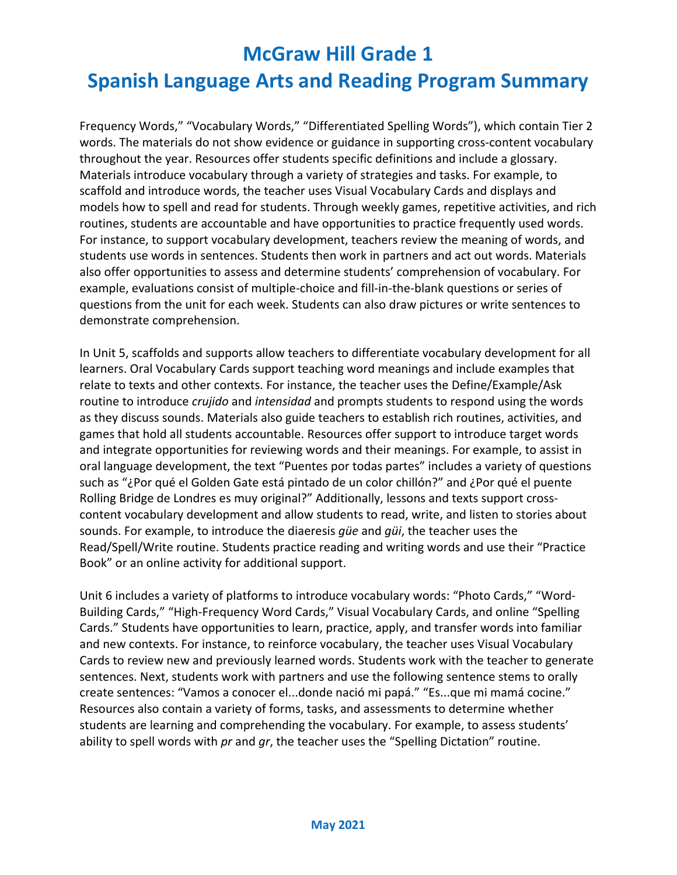## **Spanish Language Arts and Reading Program Summary**

Frequency Words," "Vocabulary Words," "Differentiated Spelling Words"), which contain Tier 2 words. The materials do not show evidence or guidance in supporting cross-content vocabulary throughout the year. Resources offer students specific definitions and include a glossary. Materials introduce vocabulary through a variety of strategies and tasks. For example, to scaffold and introduce words, the teacher uses Visual Vocabulary Cards and displays and models how to spell and read for students. Through weekly games, repetitive activities, and rich routines, students are accountable and have opportunities to practice frequently used words. For instance, to support vocabulary development, teachers review the meaning of words, and students use words in sentences. Students then work in partners and act out words. Materials also offer opportunities to assess and determine students' comprehension of vocabulary. For example, evaluations consist of multiple-choice and fill-in-the-blank questions or series of questions from the unit for each week. Students can also draw pictures or write sentences to demonstrate comprehension.

In Unit 5, scaffolds and supports allow teachers to differentiate vocabulary development for all learners. Oral Vocabulary Cards support teaching word meanings and include examples that relate to texts and other contexts. For instance, the teacher uses the Define/Example/Ask routine to introduce *crujido* and *intensidad* and prompts students to respond using the words as they discuss sounds. Materials also guide teachers to establish rich routines, activities, and games that hold all students accountable. Resources offer support to introduce target words and integrate opportunities for reviewing words and their meanings. For example, to assist in oral language development, the text "Puentes por todas partes" includes a variety of questions such as "¿Por qué el Golden Gate está pintado de un color chillón?" and ¿Por qué el puente Rolling Bridge de Londres es muy original?" Additionally, lessons and texts support crosscontent vocabulary development and allow students to read, write, and listen to stories about sounds. For example, to introduce the diaeresis *güe* and *güi*, the teacher uses the Read/Spell/Write routine. Students practice reading and writing words and use their "Practice Book" or an online activity for additional support.

Unit 6 includes a variety of platforms to introduce vocabulary words: "Photo Cards," "Word-Building Cards," "High-Frequency Word Cards," Visual Vocabulary Cards, and online "Spelling Cards." Students have opportunities to learn, practice, apply, and transfer words into familiar and new contexts. For instance, to reinforce vocabulary, the teacher uses Visual Vocabulary Cards to review new and previously learned words. Students work with the teacher to generate sentences. Next, students work with partners and use the following sentence stems to orally create sentences: "Vamos a conocer el...donde nació mi papá." "Es...que mi mamá cocine." Resources also contain a variety of forms, tasks, and assessments to determine whether students are learning and comprehending the vocabulary. For example, to assess students' ability to spell words with *pr* and *gr*, the teacher uses the "Spelling Dictation" routine.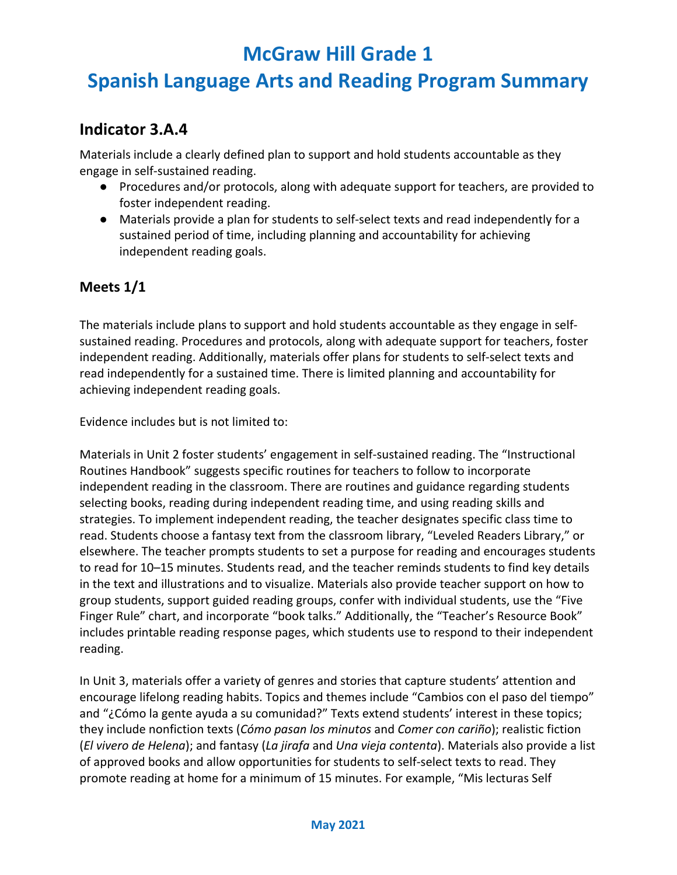## **Spanish Language Arts and Reading Program Summary**

#### **Indicator 3.A.4**

Materials include a clearly defined plan to support and hold students accountable as they engage in self-sustained reading.

- Procedures and/or protocols, along with adequate support for teachers, are provided to foster independent reading.
- Materials provide a plan for students to self-select texts and read independently for a sustained period of time, including planning and accountability for achieving independent reading goals.

#### **Meets 1/1**

The materials include plans to support and hold students accountable as they engage in selfsustained reading. Procedures and protocols, along with adequate support for teachers, foster independent reading. Additionally, materials offer plans for students to self-select texts and read independently for a sustained time. There is limited planning and accountability for achieving independent reading goals.

Evidence includes but is not limited to:

Materials in Unit 2 foster students' engagement in self-sustained reading. The "Instructional Routines Handbook" suggests specific routines for teachers to follow to incorporate independent reading in the classroom. There are routines and guidance regarding students selecting books, reading during independent reading time, and using reading skills and strategies. To implement independent reading, the teacher designates specific class time to read. Students choose a fantasy text from the classroom library, "Leveled Readers Library," or elsewhere. The teacher prompts students to set a purpose for reading and encourages students to read for 10–15 minutes. Students read, and the teacher reminds students to find key details in the text and illustrations and to visualize. Materials also provide teacher support on how to group students, support guided reading groups, confer with individual students, use the "Five Finger Rule" chart, and incorporate "book talks." Additionally, the "Teacher's Resource Book" includes printable reading response pages, which students use to respond to their independent reading.

In Unit 3, materials offer a variety of genres and stories that capture students' attention and encourage lifelong reading habits. Topics and themes include "Cambios con el paso del tiempo" and "¿Cómo la gente ayuda a su comunidad?" Texts extend students' interest in these topics; they include nonfiction texts (*Cómo pasan los minutos* and *Comer con cariño*); realistic fiction (*El vivero de Helena*); and fantasy (*La jirafa* and *Una vieja contenta*). Materials also provide a list of approved books and allow opportunities for students to self-select texts to read. They promote reading at home for a minimum of 15 minutes. For example, "Mis lecturas Self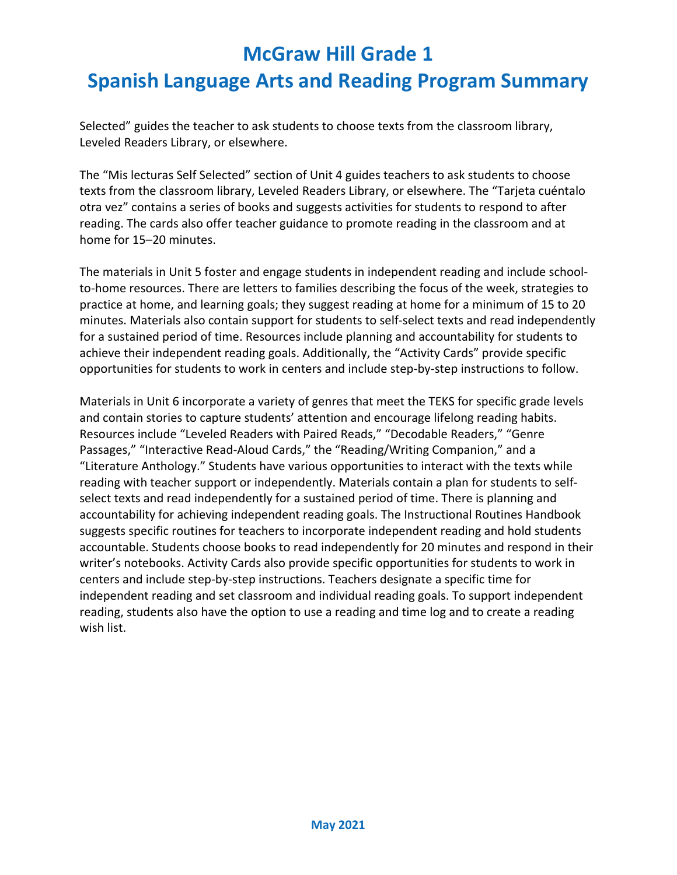Selected" guides the teacher to ask students to choose texts from the classroom library, Leveled Readers Library, or elsewhere.

The "Mis lecturas Self Selected" section of Unit 4 guides teachers to ask students to choose texts from the classroom library, Leveled Readers Library, or elsewhere. The "Tarjeta cuéntalo otra vez" contains a series of books and suggests activities for students to respond to after reading. The cards also offer teacher guidance to promote reading in the classroom and at home for 15–20 minutes.

The materials in Unit 5 foster and engage students in independent reading and include schoolto-home resources. There are letters to families describing the focus of the week, strategies to practice at home, and learning goals; they suggest reading at home for a minimum of 15 to 20 minutes. Materials also contain support for students to self-select texts and read independently for a sustained period of time. Resources include planning and accountability for students to achieve their independent reading goals. Additionally, the "Activity Cards" provide specific opportunities for students to work in centers and include step-by-step instructions to follow.

Materials in Unit 6 incorporate a variety of genres that meet the TEKS for specific grade levels and contain stories to capture students' attention and encourage lifelong reading habits. Resources include "Leveled Readers with Paired Reads," "Decodable Readers," "Genre Passages," "Interactive Read-Aloud Cards," the "Reading/Writing Companion," and a "Literature Anthology." Students have various opportunities to interact with the texts while reading with teacher support or independently. Materials contain a plan for students to selfselect texts and read independently for a sustained period of time. There is planning and accountability for achieving independent reading goals. The Instructional Routines Handbook suggests specific routines for teachers to incorporate independent reading and hold students accountable. Students choose books to read independently for 20 minutes and respond in their writer's notebooks. Activity Cards also provide specific opportunities for students to work in centers and include step-by-step instructions. Teachers designate a specific time for independent reading and set classroom and individual reading goals. To support independent reading, students also have the option to use a reading and time log and to create a reading wish list.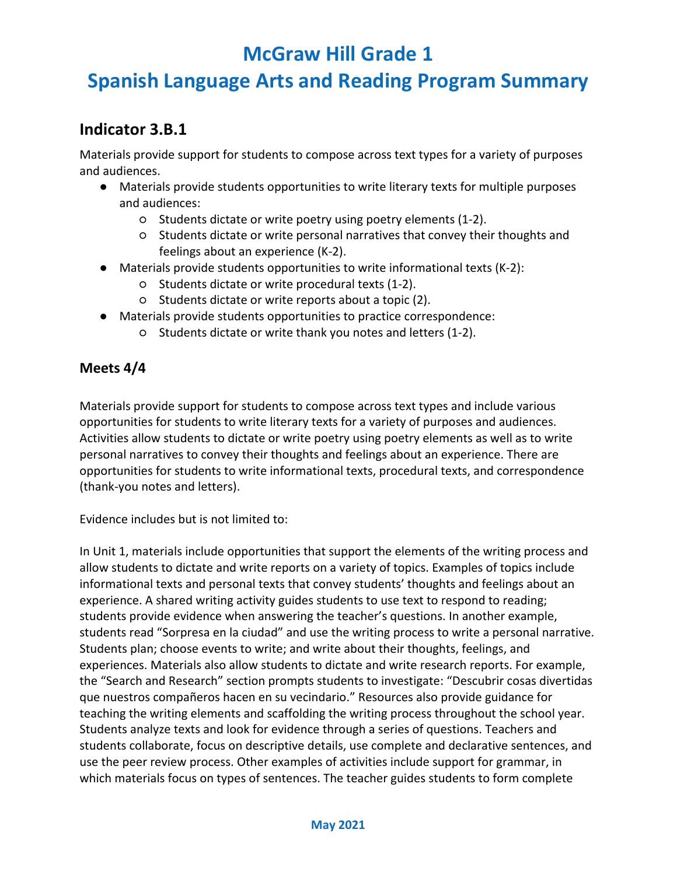## **Spanish Language Arts and Reading Program Summary**

#### **Indicator 3.B.1**

Materials provide support for students to compose across text types for a variety of purposes and audiences.

- Materials provide students opportunities to write literary texts for multiple purposes and audiences:
	- Students dictate or write poetry using poetry elements (1-2).
	- Students dictate or write personal narratives that convey their thoughts and feelings about an experience (K-2).
- Materials provide students opportunities to write informational texts (K-2):
	- Students dictate or write procedural texts (1-2).
	- Students dictate or write reports about a topic (2).
- Materials provide students opportunities to practice correspondence:
	- Students dictate or write thank you notes and letters (1-2).

#### **Meets 4/4**

Materials provide support for students to compose across text types and include various opportunities for students to write literary texts for a variety of purposes and audiences. Activities allow students to dictate or write poetry using poetry elements as well as to write personal narratives to convey their thoughts and feelings about an experience. There are opportunities for students to write informational texts, procedural texts, and correspondence (thank-you notes and letters).

Evidence includes but is not limited to:

In Unit 1, materials include opportunities that support the elements of the writing process and allow students to dictate and write reports on a variety of topics. Examples of topics include informational texts and personal texts that convey students' thoughts and feelings about an experience. A shared writing activity guides students to use text to respond to reading; students provide evidence when answering the teacher's questions. In another example, students read "Sorpresa en la ciudad" and use the writing process to write a personal narrative. Students plan; choose events to write; and write about their thoughts, feelings, and experiences. Materials also allow students to dictate and write research reports. For example, the "Search and Research" section prompts students to investigate: "Descubrir cosas divertidas que nuestros compañeros hacen en su vecindario." Resources also provide guidance for teaching the writing elements and scaffolding the writing process throughout the school year. Students analyze texts and look for evidence through a series of questions. Teachers and students collaborate, focus on descriptive details, use complete and declarative sentences, and use the peer review process. Other examples of activities include support for grammar, in which materials focus on types of sentences. The teacher guides students to form complete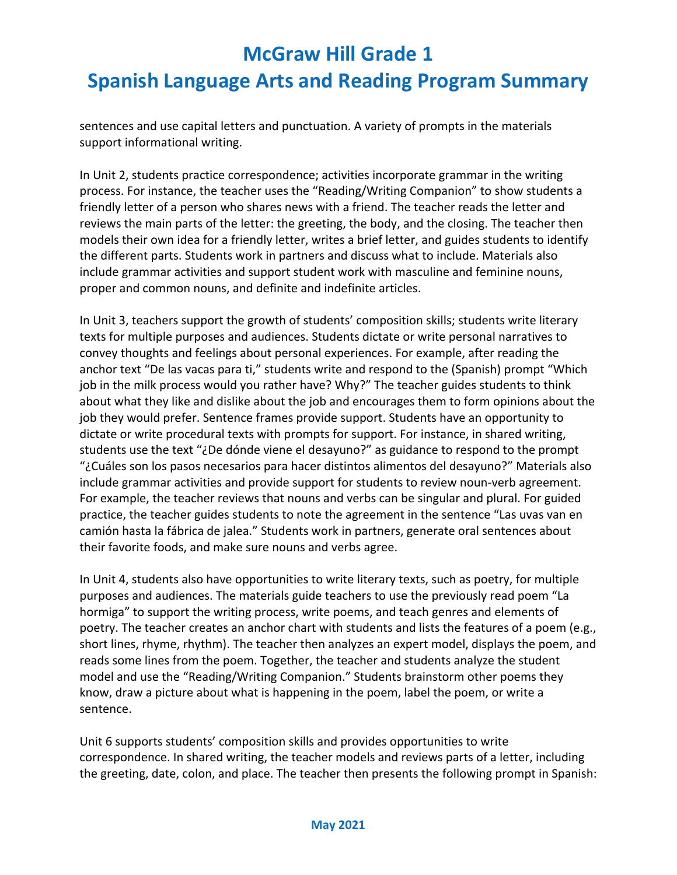sentences and use capital letters and punctuation. A variety of prompts in the materials support informational writing.

In Unit 2, students practice correspondence; activities incorporate grammar in the writing process. For instance, the teacher uses the "Reading/Writing Companion" to show students a friendly letter of a person who shares news with a friend. The teacher reads the letter and reviews the main parts of the letter: the greeting, the body, and the closing. The teacher then models their own idea for a friendly letter, writes a brief letter, and guides students to identify the different parts. Students work in partners and discuss what to include. Materials also include grammar activities and support student work with masculine and feminine nouns, proper and common nouns, and definite and indefinite articles.

In Unit 3, teachers support the growth of students' composition skills; students write literary texts for multiple purposes and audiences. Students dictate or write personal narratives to convey thoughts and feelings about personal experiences. For example, after reading the anchor text "De las vacas para ti," students write and respond to the (Spanish) prompt "Which job in the milk process would you rather have? Why?" The teacher guides students to think about what they like and dislike about the job and encourages them to form opinions about the job they would prefer. Sentence frames provide support. Students have an opportunity to dictate or write procedural texts with prompts for support. For instance, in shared writing, students use the text "¿De dónde viene el desayuno?" as guidance to respond to the prompt "¿Cuáles son los pasos necesarios para hacer distintos alimentos del desayuno?" Materials also include grammar activities and provide support for students to review noun-verb agreement. For example, the teacher reviews that nouns and verbs can be singular and plural. For guided practice, the teacher guides students to note the agreement in the sentence "Las uvas van en camión hasta la fábrica de jalea." Students work in partners, generate oral sentences about their favorite foods, and make sure nouns and verbs agree.

In Unit 4, students also have opportunities to write literary texts, such as poetry, for multiple purposes and audiences. The materials guide teachers to use the previously read poem "La hormiga" to support the writing process, write poems, and teach genres and elements of poetry. The teacher creates an anchor chart with students and lists the features of a poem (e.g., short lines, rhyme, rhythm). The teacher then analyzes an expert model, displays the poem, and reads some lines from the poem. Together, the teacher and students analyze the student model and use the "Reading/Writing Companion." Students brainstorm other poems they know, draw a picture about what is happening in the poem, label the poem, or write a sentence.

Unit 6 supports students' composition skills and provides opportunities to write correspondence. In shared writing, the teacher models and reviews parts of a letter, including the greeting, date, colon, and place. The teacher then presents the following prompt in Spanish: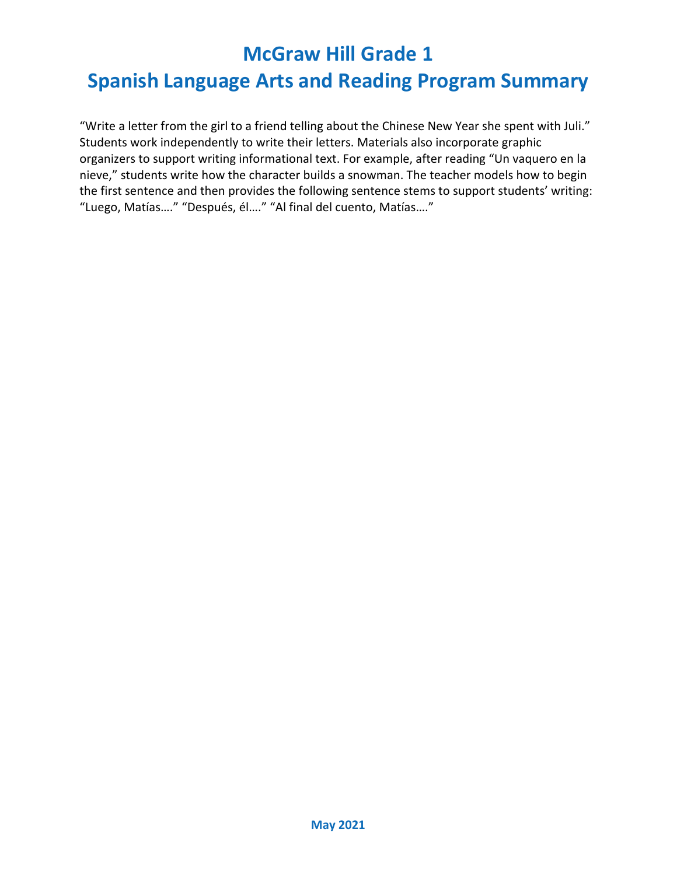## **Spanish Language Arts and Reading Program Summary**

"Write a letter from the girl to a friend telling about the Chinese New Year she spent with Juli." Students work independently to write their letters. Materials also incorporate graphic organizers to support writing informational text. For example, after reading "Un vaquero en la nieve," students write how the character builds a snowman. The teacher models how to begin the first sentence and then provides the following sentence stems to support students' writing: "Luego, Matías…." "Después, él…." "Al final del cuento, Matías…."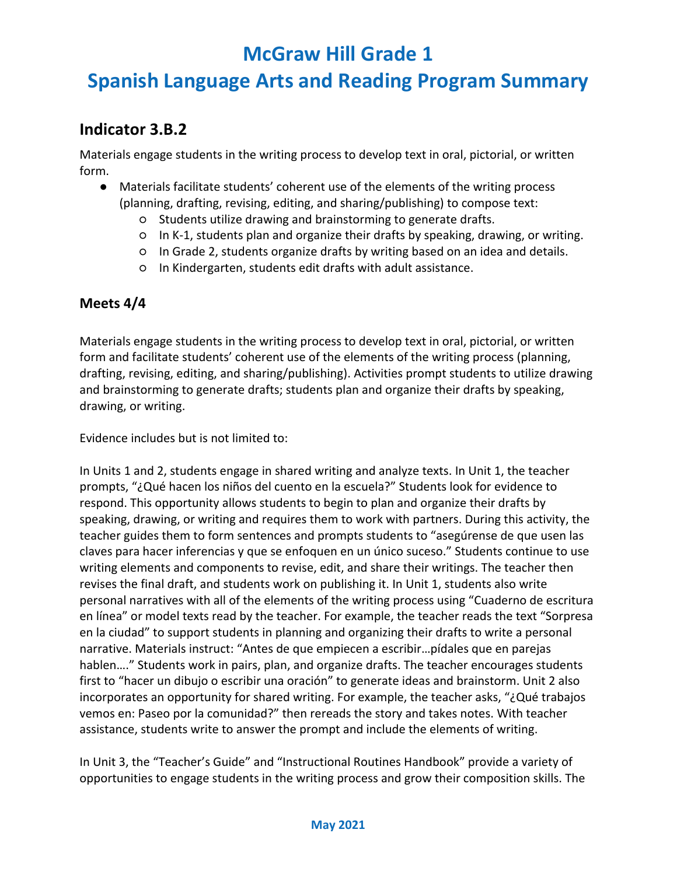## **Spanish Language Arts and Reading Program Summary**

#### **Indicator 3.B.2**

Materials engage students in the writing process to develop text in oral, pictorial, or written form.

- Materials facilitate students' coherent use of the elements of the writing process (planning, drafting, revising, editing, and sharing/publishing) to compose text:
	- Students utilize drawing and brainstorming to generate drafts.
	- In K-1, students plan and organize their drafts by speaking, drawing, or writing.
	- In Grade 2, students organize drafts by writing based on an idea and details.
	- In Kindergarten, students edit drafts with adult assistance.

#### **Meets 4/4**

Materials engage students in the writing process to develop text in oral, pictorial, or written form and facilitate students' coherent use of the elements of the writing process (planning, drafting, revising, editing, and sharing/publishing). Activities prompt students to utilize drawing and brainstorming to generate drafts; students plan and organize their drafts by speaking, drawing, or writing.

Evidence includes but is not limited to:

In Units 1 and 2, students engage in shared writing and analyze texts. In Unit 1, the teacher prompts, "¿Qué hacen los niños del cuento en la escuela?" Students look for evidence to respond. This opportunity allows students to begin to plan and organize their drafts by speaking, drawing, or writing and requires them to work with partners. During this activity, the teacher guides them to form sentences and prompts students to "asegúrense de que usen las claves para hacer inferencias y que se enfoquen en un único suceso." Students continue to use writing elements and components to revise, edit, and share their writings. The teacher then revises the final draft, and students work on publishing it. In Unit 1, students also write personal narratives with all of the elements of the writing process using "Cuaderno de escritura en línea" or model texts read by the teacher. For example, the teacher reads the text "Sorpresa en la ciudad" to support students in planning and organizing their drafts to write a personal narrative. Materials instruct: "Antes de que empiecen a escribir…pídales que en parejas hablen...." Students work in pairs, plan, and organize drafts. The teacher encourages students first to "hacer un dibujo o escribir una oración" to generate ideas and brainstorm. Unit 2 also incorporates an opportunity for shared writing. For example, the teacher asks, "¿Qué trabajos vemos en: Paseo por la comunidad?" then rereads the story and takes notes. With teacher assistance, students write to answer the prompt and include the elements of writing.

In Unit 3, the "Teacher's Guide" and "Instructional Routines Handbook" provide a variety of opportunities to engage students in the writing process and grow their composition skills. The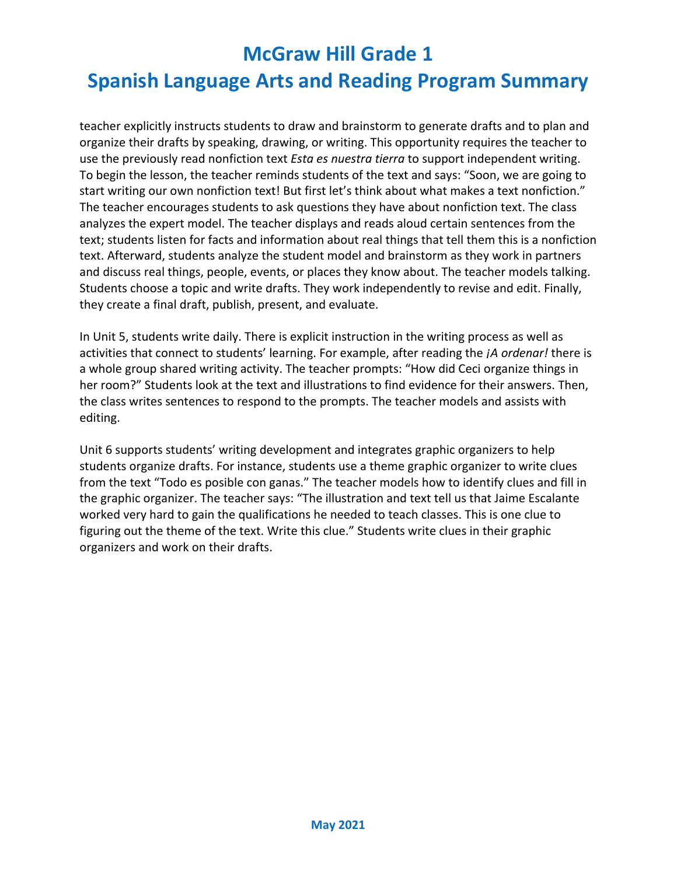## **Spanish Language Arts and Reading Program Summary**

teacher explicitly instructs students to draw and brainstorm to generate drafts and to plan and organize their drafts by speaking, drawing, or writing. This opportunity requires the teacher to use the previously read nonfiction text *Esta es nuestra tierra* to support independent writing. To begin the lesson, the teacher reminds students of the text and says: "Soon, we are going to start writing our own nonfiction text! But first let's think about what makes a text nonfiction." The teacher encourages students to ask questions they have about nonfiction text. The class analyzes the expert model. The teacher displays and reads aloud certain sentences from the text; students listen for facts and information about real things that tell them this is a nonfiction text. Afterward, students analyze the student model and brainstorm as they work in partners and discuss real things, people, events, or places they know about. The teacher models talking. Students choose a topic and write drafts. They work independently to revise and edit. Finally, they create a final draft, publish, present, and evaluate.

In Unit 5, students write daily. There is explicit instruction in the writing process as well as activities that connect to students' learning. For example, after reading the *¡A ordenar!* there is a whole group shared writing activity. The teacher prompts: "How did Ceci organize things in her room?" Students look at the text and illustrations to find evidence for their answers. Then, the class writes sentences to respond to the prompts. The teacher models and assists with editing.

Unit 6 supports students' writing development and integrates graphic organizers to help students organize drafts. For instance, students use a theme graphic organizer to write clues from the text "Todo es posible con ganas." The teacher models how to identify clues and fill in the graphic organizer. The teacher says: "The illustration and text tell us that Jaime Escalante worked very hard to gain the qualifications he needed to teach classes. This is one clue to figuring out the theme of the text. Write this clue." Students write clues in their graphic organizers and work on their drafts.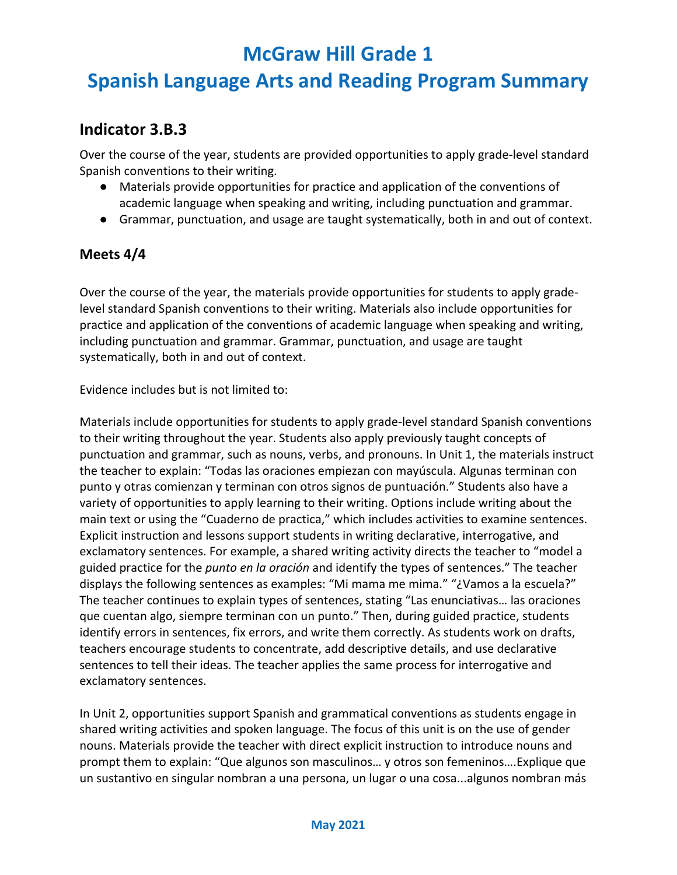## **Spanish Language Arts and Reading Program Summary**

#### **Indicator 3.B.3**

Over the course of the year, students are provided opportunities to apply grade-level standard Spanish conventions to their writing.

- Materials provide opportunities for practice and application of the conventions of academic language when speaking and writing, including punctuation and grammar.
- Grammar, punctuation, and usage are taught systematically, both in and out of context.

#### **Meets 4/4**

Over the course of the year, the materials provide opportunities for students to apply gradelevel standard Spanish conventions to their writing. Materials also include opportunities for practice and application of the conventions of academic language when speaking and writing, including punctuation and grammar. Grammar, punctuation, and usage are taught systematically, both in and out of context.

Evidence includes but is not limited to:

Materials include opportunities for students to apply grade-level standard Spanish conventions to their writing throughout the year. Students also apply previously taught concepts of punctuation and grammar, such as nouns, verbs, and pronouns. In Unit 1, the materials instruct the teacher to explain: "Todas las oraciones empiezan con mayúscula. Algunas terminan con punto y otras comienzan y terminan con otros signos de puntuación." Students also have a variety of opportunities to apply learning to their writing. Options include writing about the main text or using the "Cuaderno de practica," which includes activities to examine sentences. Explicit instruction and lessons support students in writing declarative, interrogative, and exclamatory sentences. For example, a shared writing activity directs the teacher to "model a guided practice for the *punto en la oración* and identify the types of sentences." The teacher displays the following sentences as examples: "Mi mama me mima." "¿Vamos a la escuela?" The teacher continues to explain types of sentences, stating "Las enunciativas… las oraciones que cuentan algo, siempre terminan con un punto." Then, during guided practice, students identify errors in sentences, fix errors, and write them correctly. As students work on drafts, teachers encourage students to concentrate, add descriptive details, and use declarative sentences to tell their ideas. The teacher applies the same process for interrogative and exclamatory sentences.

In Unit 2, opportunities support Spanish and grammatical conventions as students engage in shared writing activities and spoken language. The focus of this unit is on the use of gender nouns. Materials provide the teacher with direct explicit instruction to introduce nouns and prompt them to explain: "Que algunos son masculinos… y otros son femeninos….Explique que un sustantivo en singular nombran a una persona, un lugar o una cosa...algunos nombran más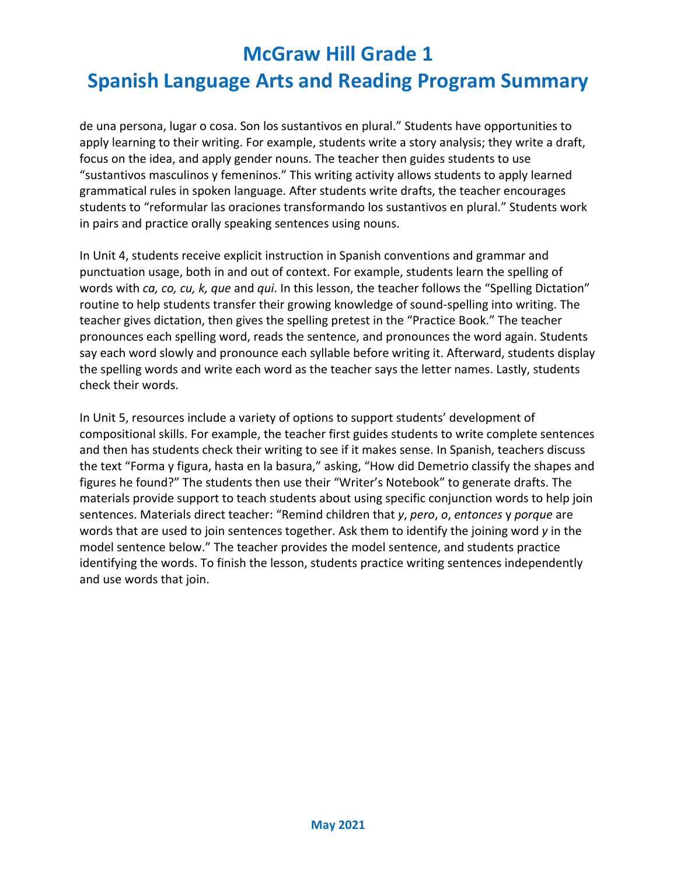de una persona, lugar o cosa. Son los sustantivos en plural." Students have opportunities to apply learning to their writing. For example, students write a story analysis; they write a draft, focus on the idea, and apply gender nouns. The teacher then guides students to use "sustantivos masculinos y femeninos." This writing activity allows students to apply learned grammatical rules in spoken language. After students write drafts, the teacher encourages students to "reformular las oraciones transformando los sustantivos en plural." Students work in pairs and practice orally speaking sentences using nouns.

In Unit 4, students receive explicit instruction in Spanish conventions and grammar and punctuation usage, both in and out of context. For example, students learn the spelling of words with *ca, co, cu, k, que* and *qui*. In this lesson, the teacher follows the "Spelling Dictation" routine to help students transfer their growing knowledge of sound-spelling into writing. The teacher gives dictation, then gives the spelling pretest in the "Practice Book." The teacher pronounces each spelling word, reads the sentence, and pronounces the word again. Students say each word slowly and pronounce each syllable before writing it. Afterward, students display the spelling words and write each word as the teacher says the letter names. Lastly, students check their words.

In Unit 5, resources include a variety of options to support students' development of compositional skills. For example, the teacher first guides students to write complete sentences and then has students check their writing to see if it makes sense. In Spanish, teachers discuss the text "Forma y figura, hasta en la basura," asking, "How did Demetrio classify the shapes and figures he found?" The students then use their "Writer's Notebook" to generate drafts. The materials provide support to teach students about using specific conjunction words to help join sentences. Materials direct teacher: "Remind children that *y*, *pero*, *o*, *entonces* y *porque* are words that are used to join sentences together. Ask them to identify the joining word *y* in the model sentence below." The teacher provides the model sentence, and students practice identifying the words. To finish the lesson, students practice writing sentences independently and use words that join.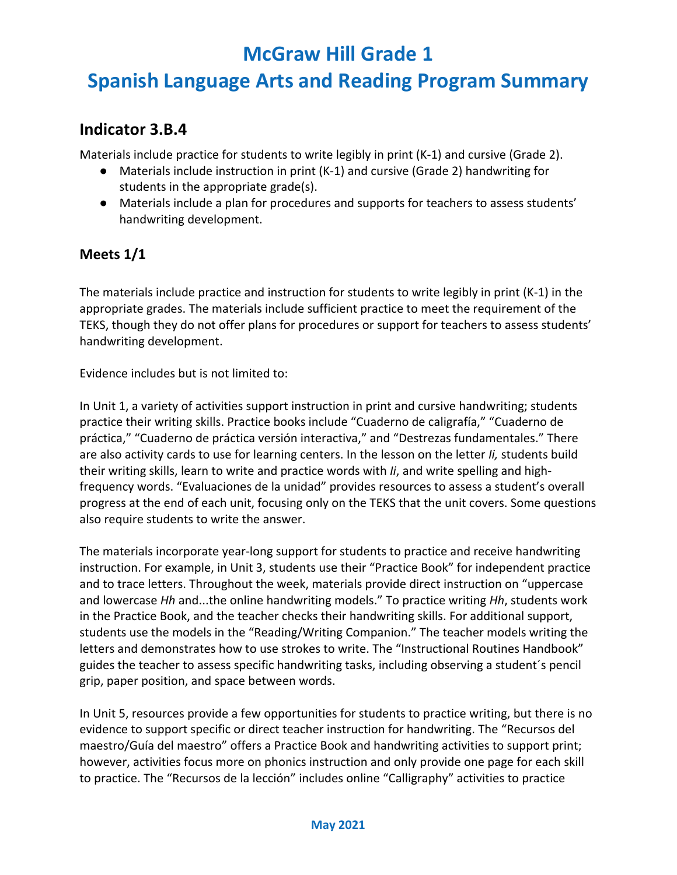## **Spanish Language Arts and Reading Program Summary**

#### **Indicator 3.B.4**

Materials include practice for students to write legibly in print (K-1) and cursive (Grade 2).

- Materials include instruction in print (K-1) and cursive (Grade 2) handwriting for students in the appropriate grade(s).
- Materials include a plan for procedures and supports for teachers to assess students' handwriting development.

#### **Meets 1/1**

The materials include practice and instruction for students to write legibly in print (K-1) in the appropriate grades. The materials include sufficient practice to meet the requirement of the TEKS, though they do not offer plans for procedures or support for teachers to assess students' handwriting development.

Evidence includes but is not limited to:

In Unit 1, a variety of activities support instruction in print and cursive handwriting; students practice their writing skills. Practice books include "Cuaderno de caligrafía," "Cuaderno de práctica," "Cuaderno de práctica versión interactiva," and "Destrezas fundamentales." There are also activity cards to use for learning centers. In the lesson on the letter *Ii,* students build their writing skills, learn to write and practice words with *Ii*, and write spelling and highfrequency words. "Evaluaciones de la unidad" provides resources to assess a student's overall progress at the end of each unit, focusing only on the TEKS that the unit covers. Some questions also require students to write the answer.

The materials incorporate year-long support for students to practice and receive handwriting instruction. For example, in Unit 3, students use their "Practice Book" for independent practice and to trace letters. Throughout the week, materials provide direct instruction on "uppercase and lowercase *Hh* and...the online handwriting models." To practice writing *Hh*, students work in the Practice Book, and the teacher checks their handwriting skills. For additional support, students use the models in the "Reading/Writing Companion." The teacher models writing the letters and demonstrates how to use strokes to write. The "Instructional Routines Handbook" guides the teacher to assess specific handwriting tasks, including observing a student´s pencil grip, paper position, and space between words.

In Unit 5, resources provide a few opportunities for students to practice writing, but there is no evidence to support specific or direct teacher instruction for handwriting. The "Recursos del maestro/Guía del maestro" offers a Practice Book and handwriting activities to support print; however, activities focus more on phonics instruction and only provide one page for each skill to practice. The "Recursos de la lección" includes online "Calligraphy" activities to practice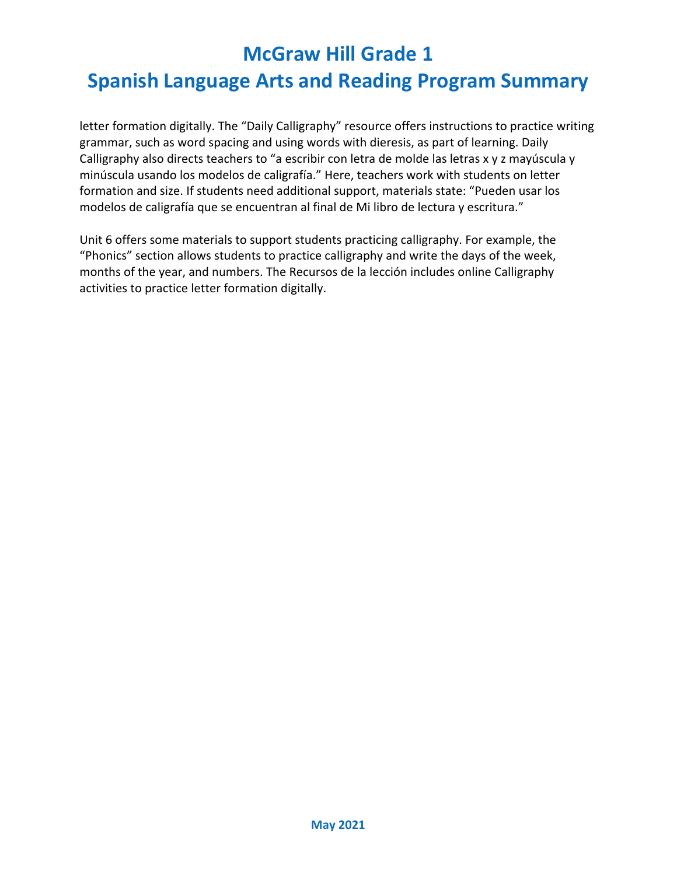letter formation digitally. The "Daily Calligraphy" resource offers instructions to practice writing grammar, such as word spacing and using words with dieresis, as part of learning. Daily Calligraphy also directs teachers to "a escribir con letra de molde las letras x y z mayúscula y minúscula usando los modelos de caligrafía." Here, teachers work with students on letter formation and size. If students need additional support, materials state: "Pueden usar los modelos de caligrafía que se encuentran al final de Mi libro de lectura y escritura."

Unit 6 offers some materials to support students practicing calligraphy. For example, the "Phonics" section allows students to practice calligraphy and write the days of the week, months of the year, and numbers. The Recursos de la lección includes online Calligraphy activities to practice letter formation digitally.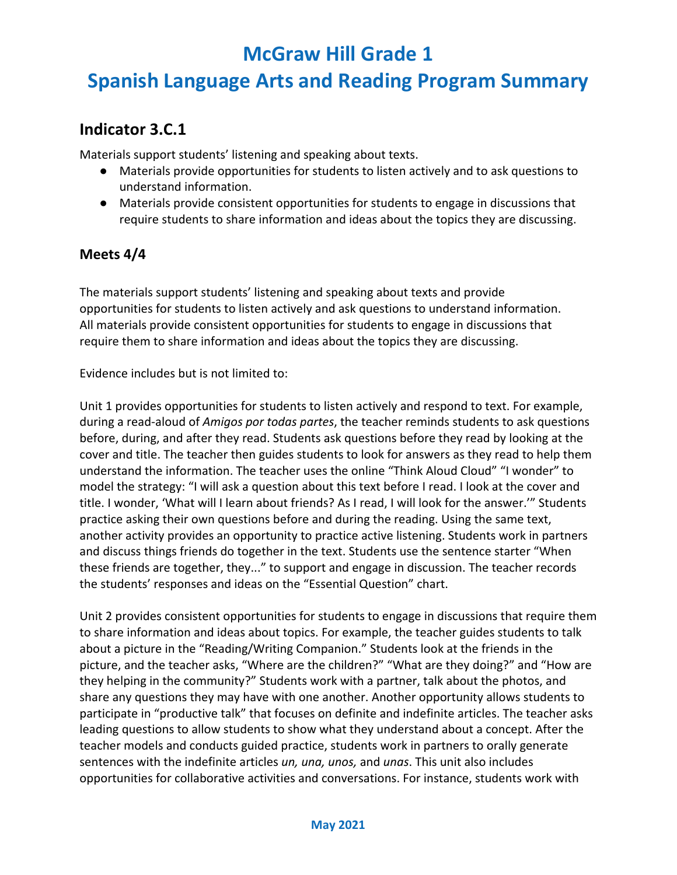## **Spanish Language Arts and Reading Program Summary**

#### **Indicator 3.C.1**

Materials support students' listening and speaking about texts.

- Materials provide opportunities for students to listen actively and to ask questions to understand information.
- Materials provide consistent opportunities for students to engage in discussions that require students to share information and ideas about the topics they are discussing.

#### **Meets 4/4**

The materials support students' listening and speaking about texts and provide opportunities for students to listen actively and ask questions to understand information. All materials provide consistent opportunities for students to engage in discussions that require them to share information and ideas about the topics they are discussing.

Evidence includes but is not limited to:

Unit 1 provides opportunities for students to listen actively and respond to text. For example, during a read-aloud of *Amigos por todas partes*, the teacher reminds students to ask questions before, during, and after they read. Students ask questions before they read by looking at the cover and title. The teacher then guides students to look for answers as they read to help them understand the information. The teacher uses the online "Think Aloud Cloud" "I wonder" to model the strategy: "I will ask a question about this text before I read. I look at the cover and title. I wonder, 'What will I learn about friends? As I read, I will look for the answer.'" Students practice asking their own questions before and during the reading. Using the same text, another activity provides an opportunity to practice active listening. Students work in partners and discuss things friends do together in the text. Students use the sentence starter "When these friends are together, they..." to support and engage in discussion. The teacher records the students' responses and ideas on the "Essential Question" chart.

Unit 2 provides consistent opportunities for students to engage in discussions that require them to share information and ideas about topics. For example, the teacher guides students to talk about a picture in the "Reading/Writing Companion." Students look at the friends in the picture, and the teacher asks, "Where are the children?" "What are they doing?" and "How are they helping in the community?" Students work with a partner, talk about the photos, and share any questions they may have with one another. Another opportunity allows students to participate in "productive talk" that focuses on definite and indefinite articles. The teacher asks leading questions to allow students to show what they understand about a concept. After the teacher models and conducts guided practice, students work in partners to orally generate sentences with the indefinite articles *un, una, unos,* and *unas*. This unit also includes opportunities for collaborative activities and conversations. For instance, students work with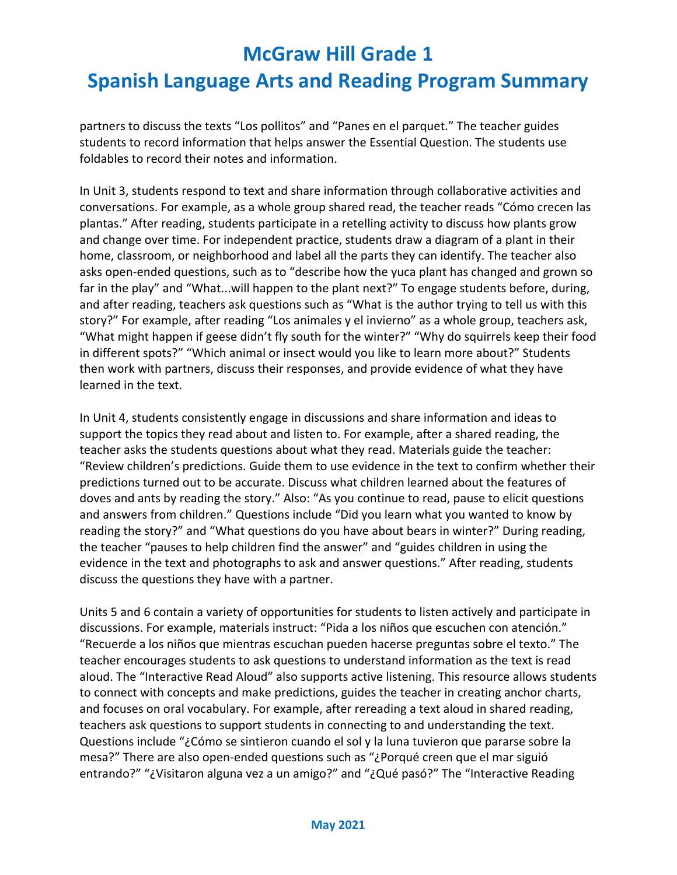## **Spanish Language Arts and Reading Program Summary**

partners to discuss the texts "Los pollitos" and "Panes en el parquet." The teacher guides students to record information that helps answer the Essential Question. The students use foldables to record their notes and information.

In Unit 3, students respond to text and share information through collaborative activities and conversations. For example, as a whole group shared read, the teacher reads "Cómo crecen las plantas." After reading, students participate in a retelling activity to discuss how plants grow and change over time. For independent practice, students draw a diagram of a plant in their home, classroom, or neighborhood and label all the parts they can identify. The teacher also asks open-ended questions, such as to "describe how the yuca plant has changed and grown so far in the play" and "What...will happen to the plant next?" To engage students before, during, and after reading, teachers ask questions such as "What is the author trying to tell us with this story?" For example, after reading "Los animales y el invierno" as a whole group, teachers ask, "What might happen if geese didn't fly south for the winter?" "Why do squirrels keep their food in different spots?" "Which animal or insect would you like to learn more about?" Students then work with partners, discuss their responses, and provide evidence of what they have learned in the text.

In Unit 4, students consistently engage in discussions and share information and ideas to support the topics they read about and listen to. For example, after a shared reading, the teacher asks the students questions about what they read. Materials guide the teacher: "Review children's predictions. Guide them to use evidence in the text to confirm whether their predictions turned out to be accurate. Discuss what children learned about the features of doves and ants by reading the story." Also: "As you continue to read, pause to elicit questions and answers from children." Questions include "Did you learn what you wanted to know by reading the story?" and "What questions do you have about bears in winter?" During reading, the teacher "pauses to help children find the answer" and "guides children in using the evidence in the text and photographs to ask and answer questions." After reading, students discuss the questions they have with a partner.

Units 5 and 6 contain a variety of opportunities for students to listen actively and participate in discussions. For example, materials instruct: "Pida a los niños que escuchen con atención." "Recuerde a los niños que mientras escuchan pueden hacerse preguntas sobre el texto." The teacher encourages students to ask questions to understand information as the text is read aloud. The "Interactive Read Aloud" also supports active listening. This resource allows students to connect with concepts and make predictions, guides the teacher in creating anchor charts, and focuses on oral vocabulary. For example, after rereading a text aloud in shared reading, teachers ask questions to support students in connecting to and understanding the text. Questions include "¿Cómo se sintieron cuando el sol y la luna tuvieron que pararse sobre la mesa?" There are also open-ended questions such as "¿Porqué creen que el mar siguió entrando?" "¿Visitaron alguna vez a un amigo?" and "¿Qué pasó?" The "Interactive Reading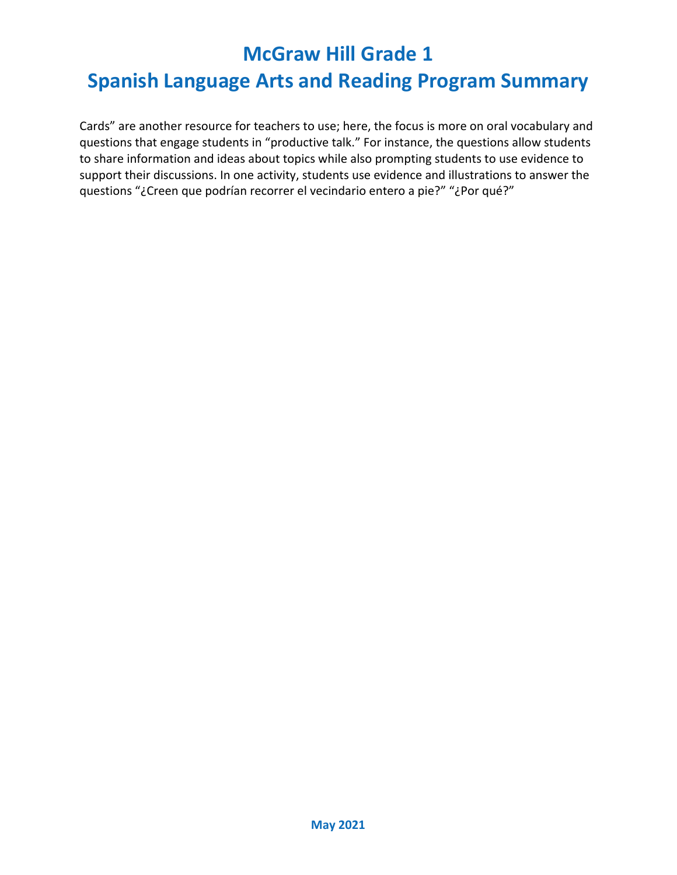## **Spanish Language Arts and Reading Program Summary**

Cards" are another resource for teachers to use; here, the focus is more on oral vocabulary and questions that engage students in "productive talk." For instance, the questions allow students to share information and ideas about topics while also prompting students to use evidence to support their discussions. In one activity, students use evidence and illustrations to answer the questions "¿Creen que podrían recorrer el vecindario entero a pie?" "¿Por qué?"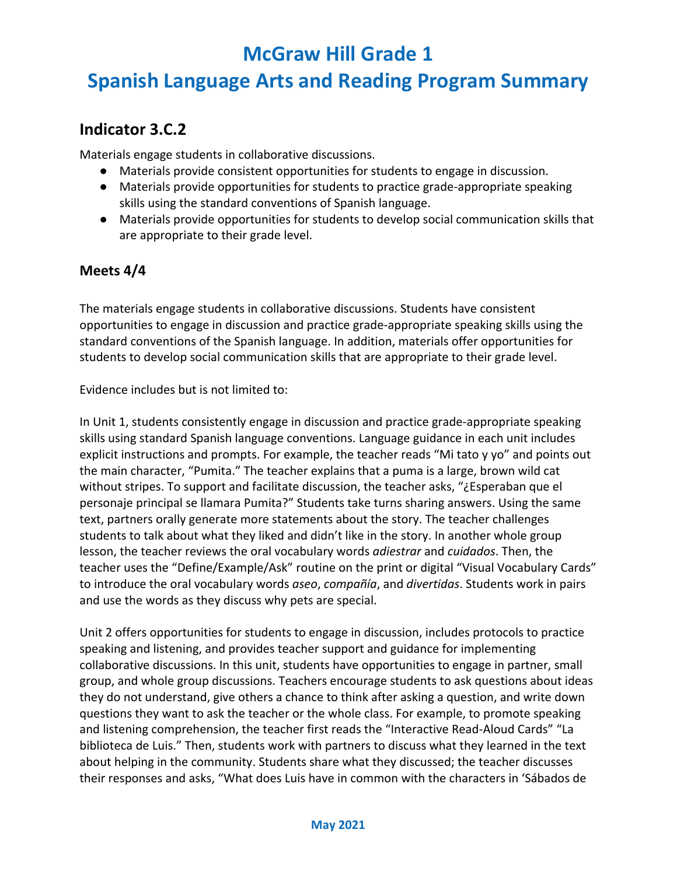## **Spanish Language Arts and Reading Program Summary**

#### **Indicator 3.C.2**

Materials engage students in collaborative discussions.

- Materials provide consistent opportunities for students to engage in discussion.
- Materials provide opportunities for students to practice grade-appropriate speaking skills using the standard conventions of Spanish language.
- Materials provide opportunities for students to develop social communication skills that are appropriate to their grade level.

#### **Meets 4/4**

The materials engage students in collaborative discussions. Students have consistent opportunities to engage in discussion and practice grade-appropriate speaking skills using the standard conventions of the Spanish language. In addition, materials offer opportunities for students to develop social communication skills that are appropriate to their grade level.

Evidence includes but is not limited to:

In Unit 1, students consistently engage in discussion and practice grade-appropriate speaking skills using standard Spanish language conventions. Language guidance in each unit includes explicit instructions and prompts. For example, the teacher reads "Mi tato y yo" and points out the main character, "Pumita." The teacher explains that a puma is a large, brown wild cat without stripes. To support and facilitate discussion, the teacher asks, "¿Esperaban que el personaje principal se llamara Pumita?" Students take turns sharing answers. Using the same text, partners orally generate more statements about the story. The teacher challenges students to talk about what they liked and didn't like in the story. In another whole group lesson, the teacher reviews the oral vocabulary words *adiestrar* and *cuidados*. Then, the teacher uses the "Define/Example/Ask" routine on the print or digital "Visual Vocabulary Cards" to introduce the oral vocabulary words *aseo*, *compañía*, and *divertidas*. Students work in pairs and use the words as they discuss why pets are special.

Unit 2 offers opportunities for students to engage in discussion, includes protocols to practice speaking and listening, and provides teacher support and guidance for implementing collaborative discussions. In this unit, students have opportunities to engage in partner, small group, and whole group discussions. Teachers encourage students to ask questions about ideas they do not understand, give others a chance to think after asking a question, and write down questions they want to ask the teacher or the whole class. For example, to promote speaking and listening comprehension, the teacher first reads the "Interactive Read-Aloud Cards" "La biblioteca de Luis." Then, students work with partners to discuss what they learned in the text about helping in the community. Students share what they discussed; the teacher discusses their responses and asks, "What does Luis have in common with the characters in 'Sábados de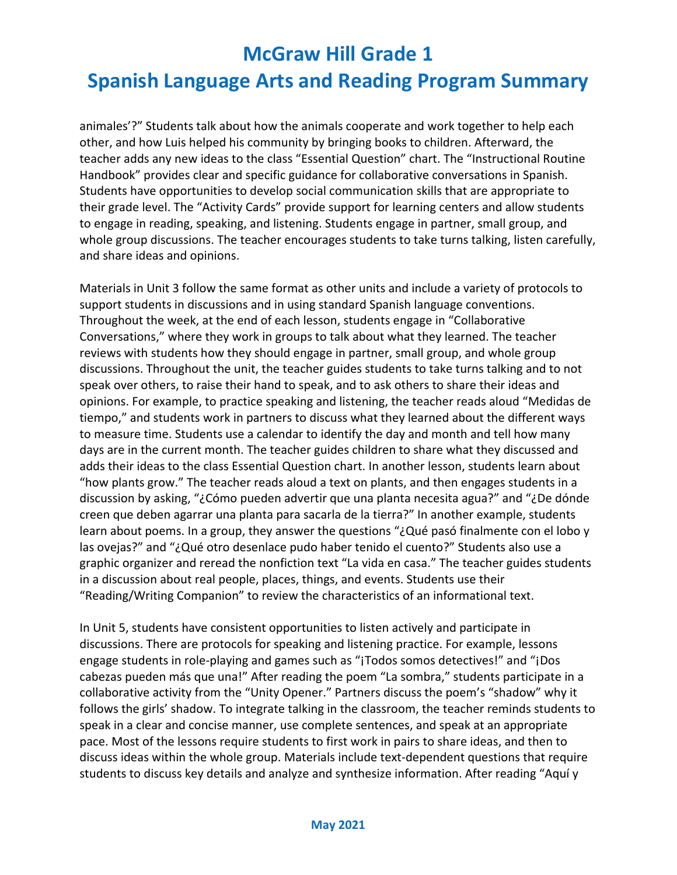## **Spanish Language Arts and Reading Program Summary**

animales'?" Students talk about how the animals cooperate and work together to help each other, and how Luis helped his community by bringing books to children. Afterward, the teacher adds any new ideas to the class "Essential Question" chart. The "Instructional Routine Handbook" provides clear and specific guidance for collaborative conversations in Spanish. Students have opportunities to develop social communication skills that are appropriate to their grade level. The "Activity Cards" provide support for learning centers and allow students to engage in reading, speaking, and listening. Students engage in partner, small group, and whole group discussions. The teacher encourages students to take turns talking, listen carefully, and share ideas and opinions.

Materials in Unit 3 follow the same format as other units and include a variety of protocols to support students in discussions and in using standard Spanish language conventions. Throughout the week, at the end of each lesson, students engage in "Collaborative Conversations," where they work in groups to talk about what they learned. The teacher reviews with students how they should engage in partner, small group, and whole group discussions. Throughout the unit, the teacher guides students to take turns talking and to not speak over others, to raise their hand to speak, and to ask others to share their ideas and opinions. For example, to practice speaking and listening, the teacher reads aloud "Medidas de tiempo," and students work in partners to discuss what they learned about the different ways to measure time. Students use a calendar to identify the day and month and tell how many days are in the current month. The teacher guides children to share what they discussed and adds their ideas to the class Essential Question chart. In another lesson, students learn about "how plants grow." The teacher reads aloud a text on plants, and then engages students in a discussion by asking, "¿Cómo pueden advertir que una planta necesita agua?" and "¿De dónde creen que deben agarrar una planta para sacarla de la tierra?" In another example, students learn about poems. In a group, they answer the questions "¿Qué pasó finalmente con el lobo y las ovejas?" and "¿Qué otro desenlace pudo haber tenido el cuento?" Students also use a graphic organizer and reread the nonfiction text "La vida en casa." The teacher guides students in a discussion about real people, places, things, and events. Students use their "Reading/Writing Companion" to review the characteristics of an informational text.

In Unit 5, students have consistent opportunities to listen actively and participate in discussions. There are protocols for speaking and listening practice. For example, lessons engage students in role-playing and games such as "¡Todos somos detectives!" and "¡Dos cabezas pueden más que una!" After reading the poem "La sombra," students participate in a collaborative activity from the "Unity Opener." Partners discuss the poem's "shadow" why it follows the girls' shadow. To integrate talking in the classroom, the teacher reminds students to speak in a clear and concise manner, use complete sentences, and speak at an appropriate pace. Most of the lessons require students to first work in pairs to share ideas, and then to discuss ideas within the whole group. Materials include text-dependent questions that require students to discuss key details and analyze and synthesize information. After reading "Aquí y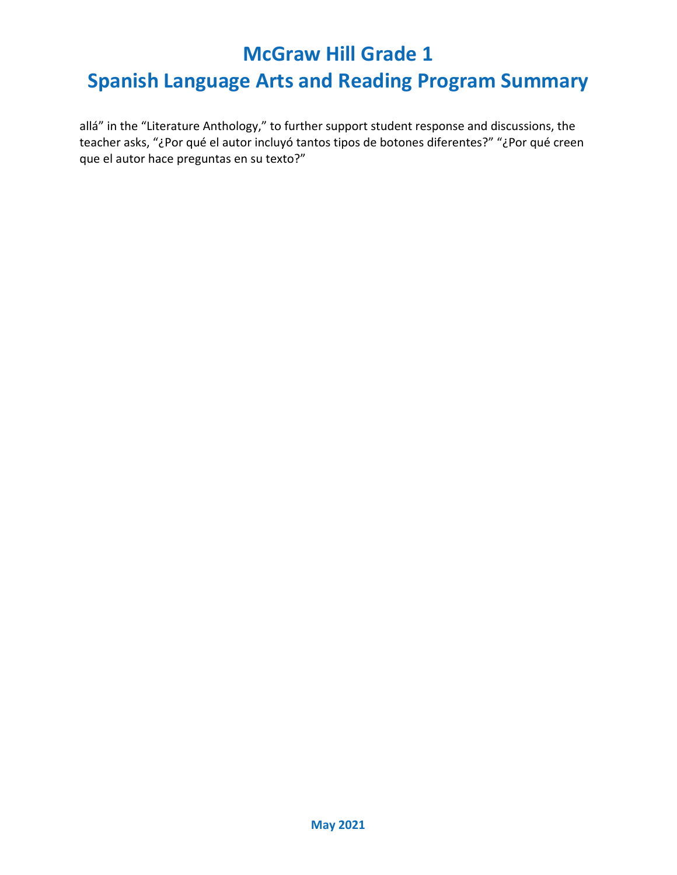## **Spanish Language Arts and Reading Program Summary**

allá" in the "Literature Anthology," to further support student response and discussions, the teacher asks, "¿Por qué el autor incluyó tantos tipos de botones diferentes?" "¿Por qué creen que el autor hace preguntas en su texto?"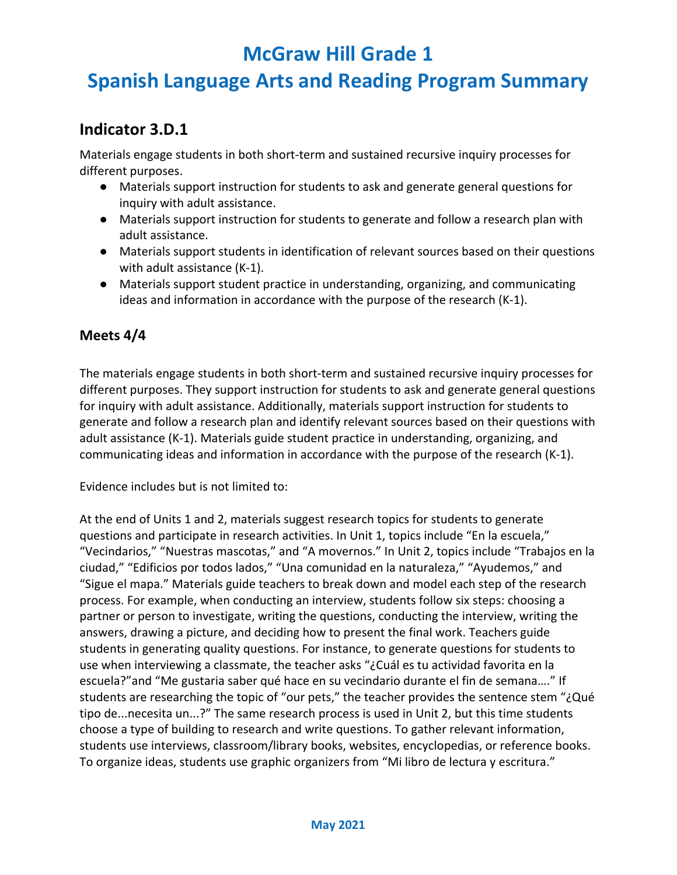# **Spanish Language Arts and Reading Program Summary**

#### **Indicator 3.D.1**

Materials engage students in both short-term and sustained recursive inquiry processes for different purposes.

- Materials support instruction for students to ask and generate general questions for inquiry with adult assistance.
- Materials support instruction for students to generate and follow a research plan with adult assistance.
- Materials support students in identification of relevant sources based on their questions with adult assistance (K-1).
- Materials support student practice in understanding, organizing, and communicating ideas and information in accordance with the purpose of the research (K-1).

#### **Meets 4/4**

The materials engage students in both short-term and sustained recursive inquiry processes for different purposes. They support instruction for students to ask and generate general questions for inquiry with adult assistance. Additionally, materials support instruction for students to generate and follow a research plan and identify relevant sources based on their questions with adult assistance (K-1). Materials guide student practice in understanding, organizing, and communicating ideas and information in accordance with the purpose of the research (K-1).

Evidence includes but is not limited to:

At the end of Units 1 and 2, materials suggest research topics for students to generate questions and participate in research activities. In Unit 1, topics include "En la escuela," "Vecindarios," "Nuestras mascotas," and "A movernos." In Unit 2, topics include "Trabajos en la ciudad," "Edificios por todos lados," "Una comunidad en la naturaleza," "Ayudemos," and "Sigue el mapa." Materials guide teachers to break down and model each step of the research process. For example, when conducting an interview, students follow six steps: choosing a partner or person to investigate, writing the questions, conducting the interview, writing the answers, drawing a picture, and deciding how to present the final work. Teachers guide students in generating quality questions. For instance, to generate questions for students to use when interviewing a classmate, the teacher asks "¿Cuál es tu actividad favorita en la escuela?"and "Me gustaria saber qué hace en su vecindario durante el fin de semana…." If students are researching the topic of "our pets," the teacher provides the sentence stem "¿Qué tipo de...necesita un...?" The same research process is used in Unit 2, but this time students choose a type of building to research and write questions. To gather relevant information, students use interviews, classroom/library books, websites, encyclopedias, or reference books. To organize ideas, students use graphic organizers from "Mi libro de lectura y escritura."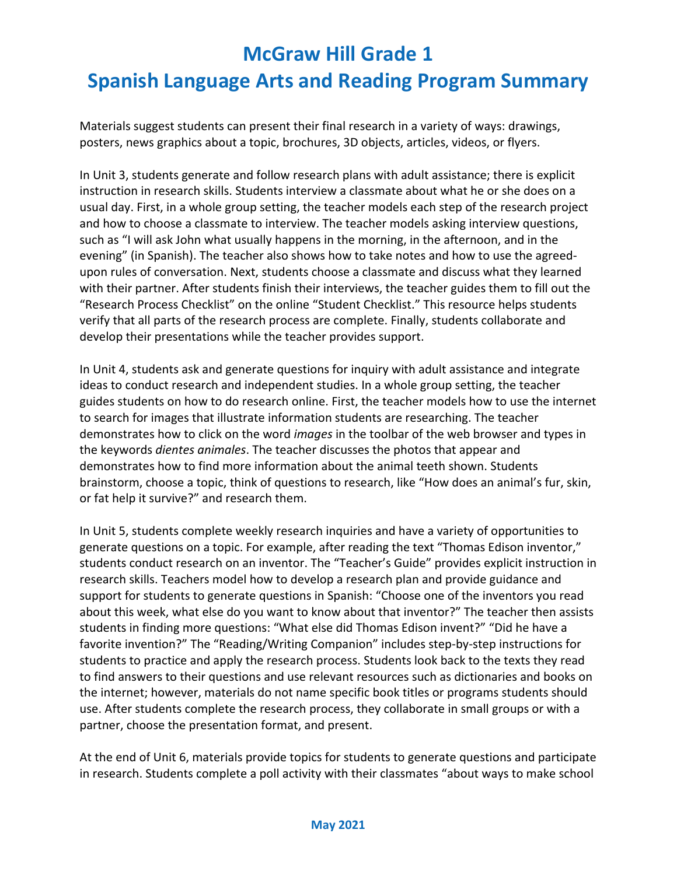# **McGraw Hill Grade 1 Spanish Language Arts and Reading Program Summary**

Materials suggest students can present their final research in a variety of ways: drawings, posters, news graphics about a topic, brochures, 3D objects, articles, videos, or flyers.

In Unit 3, students generate and follow research plans with adult assistance; there is explicit instruction in research skills. Students interview a classmate about what he or she does on a usual day. First, in a whole group setting, the teacher models each step of the research project and how to choose a classmate to interview. The teacher models asking interview questions, such as "I will ask John what usually happens in the morning, in the afternoon, and in the evening" (in Spanish). The teacher also shows how to take notes and how to use the agreedupon rules of conversation. Next, students choose a classmate and discuss what they learned with their partner. After students finish their interviews, the teacher guides them to fill out the "Research Process Checklist" on the online "Student Checklist." This resource helps students verify that all parts of the research process are complete. Finally, students collaborate and develop their presentations while the teacher provides support.

In Unit 4, students ask and generate questions for inquiry with adult assistance and integrate ideas to conduct research and independent studies. In a whole group setting, the teacher guides students on how to do research online. First, the teacher models how to use the internet to search for images that illustrate information students are researching. The teacher demonstrates how to click on the word *images* in the toolbar of the web browser and types in the keywords *dientes animales*. The teacher discusses the photos that appear and demonstrates how to find more information about the animal teeth shown. Students brainstorm, choose a topic, think of questions to research, like "How does an animal's fur, skin, or fat help it survive?" and research them.

In Unit 5, students complete weekly research inquiries and have a variety of opportunities to generate questions on a topic. For example, after reading the text "Thomas Edison inventor," students conduct research on an inventor. The "Teacher's Guide" provides explicit instruction in research skills. Teachers model how to develop a research plan and provide guidance and support for students to generate questions in Spanish: "Choose one of the inventors you read about this week, what else do you want to know about that inventor?" The teacher then assists students in finding more questions: "What else did Thomas Edison invent?" "Did he have a favorite invention?" The "Reading/Writing Companion" includes step-by-step instructions for students to practice and apply the research process. Students look back to the texts they read to find answers to their questions and use relevant resources such as dictionaries and books on the internet; however, materials do not name specific book titles or programs students should use. After students complete the research process, they collaborate in small groups or with a partner, choose the presentation format, and present.

At the end of Unit 6, materials provide topics for students to generate questions and participate in research. Students complete a poll activity with their classmates "about ways to make school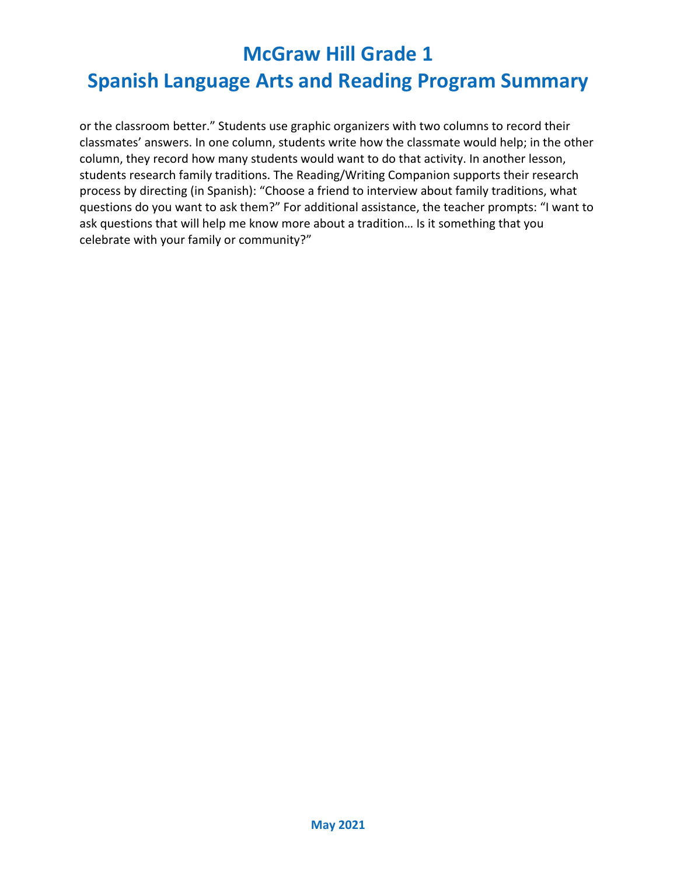# **Spanish Language Arts and Reading Program Summary**

or the classroom better." Students use graphic organizers with two columns to record their classmates' answers. In one column, students write how the classmate would help; in the other column, they record how many students would want to do that activity. In another lesson, students research family traditions. The Reading/Writing Companion supports their research process by directing (in Spanish): "Choose a friend to interview about family traditions, what questions do you want to ask them?" For additional assistance, the teacher prompts: "I want to ask questions that will help me know more about a tradition… Is it something that you celebrate with your family or community?"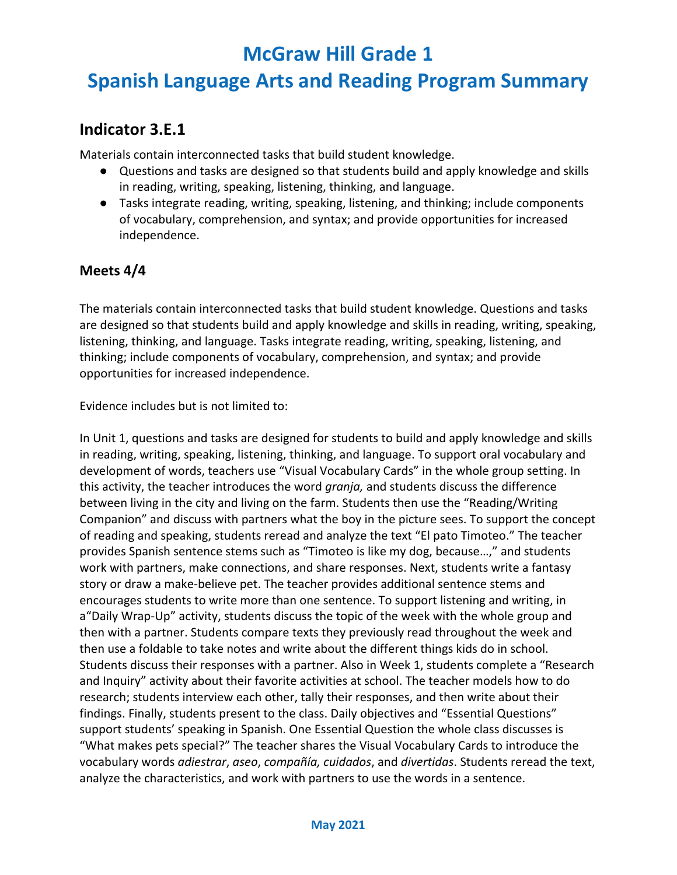### **Spanish Language Arts and Reading Program Summary**

#### **Indicator 3.E.1**

Materials contain interconnected tasks that build student knowledge.

- Questions and tasks are designed so that students build and apply knowledge and skills in reading, writing, speaking, listening, thinking, and language.
- Tasks integrate reading, writing, speaking, listening, and thinking; include components of vocabulary, comprehension, and syntax; and provide opportunities for increased independence.

#### **Meets 4/4**

The materials contain interconnected tasks that build student knowledge. Questions and tasks are designed so that students build and apply knowledge and skills in reading, writing, speaking, listening, thinking, and language. Tasks integrate reading, writing, speaking, listening, and thinking; include components of vocabulary, comprehension, and syntax; and provide opportunities for increased independence.

Evidence includes but is not limited to:

In Unit 1, questions and tasks are designed for students to build and apply knowledge and skills in reading, writing, speaking, listening, thinking, and language. To support oral vocabulary and development of words, teachers use "Visual Vocabulary Cards" in the whole group setting. In this activity, the teacher introduces the word *granja,* and students discuss the difference between living in the city and living on the farm. Students then use the "Reading/Writing Companion" and discuss with partners what the boy in the picture sees. To support the concept of reading and speaking, students reread and analyze the text "El pato Timoteo." The teacher provides Spanish sentence stems such as "Timoteo is like my dog, because…," and students work with partners, make connections, and share responses. Next, students write a fantasy story or draw a make-believe pet. The teacher provides additional sentence stems and encourages students to write more than one sentence. To support listening and writing, in a"Daily Wrap-Up" activity, students discuss the topic of the week with the whole group and then with a partner. Students compare texts they previously read throughout the week and then use a foldable to take notes and write about the different things kids do in school. Students discuss their responses with a partner. Also in Week 1, students complete a "Research and Inquiry" activity about their favorite activities at school. The teacher models how to do research; students interview each other, tally their responses, and then write about their findings. Finally, students present to the class. Daily objectives and "Essential Questions" support students' speaking in Spanish. One Essential Question the whole class discusses is "What makes pets special?" The teacher shares the Visual Vocabulary Cards to introduce the vocabulary words *adiestrar*, *aseo*, *compañía, cuidados*, and *divertidas*. Students reread the text, analyze the characteristics, and work with partners to use the words in a sentence.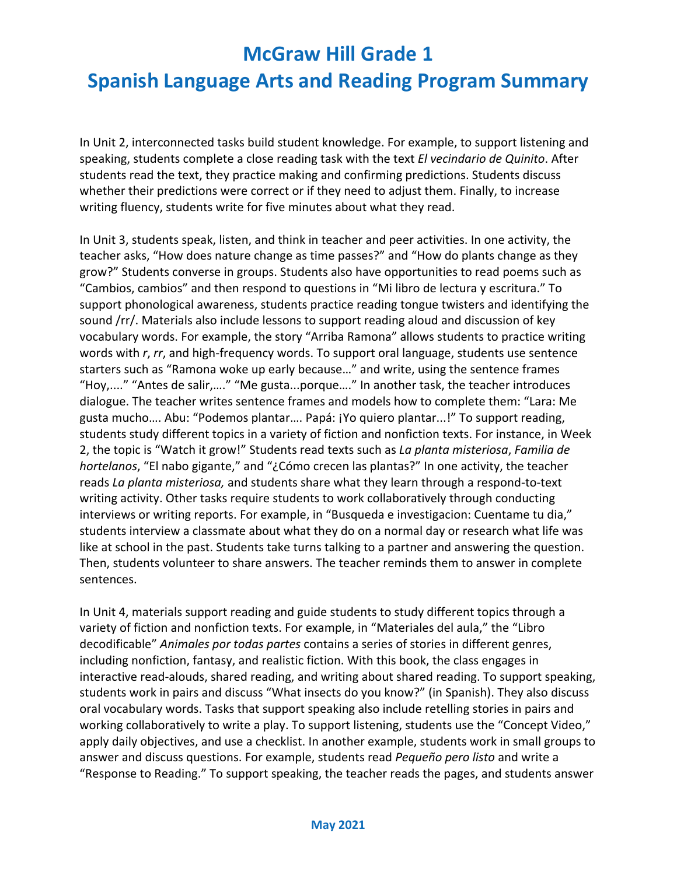### **Spanish Language Arts and Reading Program Summary**

In Unit 2, interconnected tasks build student knowledge. For example, to support listening and speaking, students complete a close reading task with the text *El vecindario de Quinito*. After students read the text, they practice making and confirming predictions. Students discuss whether their predictions were correct or if they need to adjust them. Finally, to increase writing fluency, students write for five minutes about what they read.

In Unit 3, students speak, listen, and think in teacher and peer activities. In one activity, the teacher asks, "How does nature change as time passes?" and "How do plants change as they grow?" Students converse in groups. Students also have opportunities to read poems such as "Cambios, cambios" and then respond to questions in "Mi libro de lectura y escritura." To support phonological awareness, students practice reading tongue twisters and identifying the sound /rr/. Materials also include lessons to support reading aloud and discussion of key vocabulary words. For example, the story "Arriba Ramona" allows students to practice writing words with *r*, *rr*, and high-frequency words. To support oral language, students use sentence starters such as "Ramona woke up early because…" and write, using the sentence frames "Hoy,...." "Antes de salir,…." "Me gusta...porque…." In another task, the teacher introduces dialogue. The teacher writes sentence frames and models how to complete them: "Lara: Me gusta mucho…. Abu: "Podemos plantar…. Papá: ¡Yo quiero plantar...!" To support reading, students study different topics in a variety of fiction and nonfiction texts. For instance, in Week 2, the topic is "Watch it grow!" Students read texts such as *La planta misteriosa*, *Familia de hortelanos*, "El nabo gigante," and "¿Cómo crecen las plantas?" In one activity, the teacher reads *La planta misteriosa,* and students share what they learn through a respond-to-text writing activity. Other tasks require students to work collaboratively through conducting interviews or writing reports. For example, in "Busqueda e investigacion: Cuentame tu dia," students interview a classmate about what they do on a normal day or research what life was like at school in the past. Students take turns talking to a partner and answering the question. Then, students volunteer to share answers. The teacher reminds them to answer in complete sentences.

In Unit 4, materials support reading and guide students to study different topics through a variety of fiction and nonfiction texts. For example, in "Materiales del aula," the "Libro decodificable" *Animales por todas partes* contains a series of stories in different genres, including nonfiction, fantasy, and realistic fiction. With this book, the class engages in interactive read-alouds, shared reading, and writing about shared reading. To support speaking, students work in pairs and discuss "What insects do you know?" (in Spanish). They also discuss oral vocabulary words. Tasks that support speaking also include retelling stories in pairs and working collaboratively to write a play. To support listening, students use the "Concept Video," apply daily objectives, and use a checklist. In another example, students work in small groups to answer and discuss questions. For example, students read *Pequeño pero listo* and write a "Response to Reading." To support speaking, the teacher reads the pages, and students answer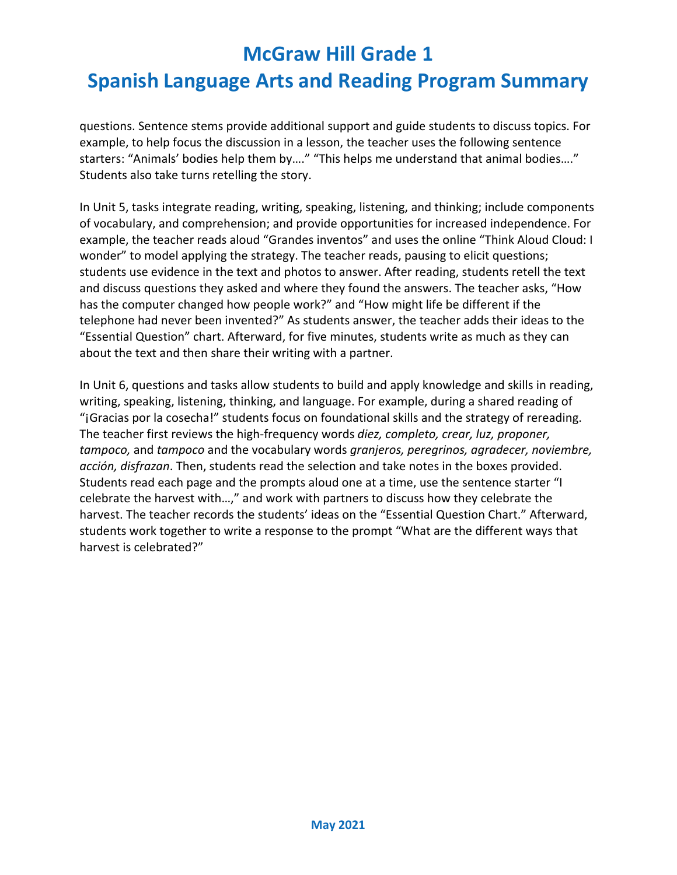# **Spanish Language Arts and Reading Program Summary**

questions. Sentence stems provide additional support and guide students to discuss topics. For example, to help focus the discussion in a lesson, the teacher uses the following sentence starters: "Animals' bodies help them by…." "This helps me understand that animal bodies…." Students also take turns retelling the story.

In Unit 5, tasks integrate reading, writing, speaking, listening, and thinking; include components of vocabulary, and comprehension; and provide opportunities for increased independence. For example, the teacher reads aloud "Grandes inventos" and uses the online "Think Aloud Cloud: I wonder" to model applying the strategy. The teacher reads, pausing to elicit questions; students use evidence in the text and photos to answer. After reading, students retell the text and discuss questions they asked and where they found the answers. The teacher asks, "How has the computer changed how people work?" and "How might life be different if the telephone had never been invented?" As students answer, the teacher adds their ideas to the "Essential Question" chart. Afterward, for five minutes, students write as much as they can about the text and then share their writing with a partner.

In Unit 6, questions and tasks allow students to build and apply knowledge and skills in reading, writing, speaking, listening, thinking, and language. For example, during a shared reading of "¡Gracias por la cosecha!" students focus on foundational skills and the strategy of rereading. The teacher first reviews the high-frequency words *diez, completo, crear, luz, proponer, tampoco,* and *tampoco* and the vocabulary words *granjeros, peregrinos, agradecer, noviembre, acción, disfrazan*. Then, students read the selection and take notes in the boxes provided. Students read each page and the prompts aloud one at a time, use the sentence starter "I celebrate the harvest with…," and work with partners to discuss how they celebrate the harvest. The teacher records the students' ideas on the "Essential Question Chart." Afterward, students work together to write a response to the prompt "What are the different ways that harvest is celebrated?"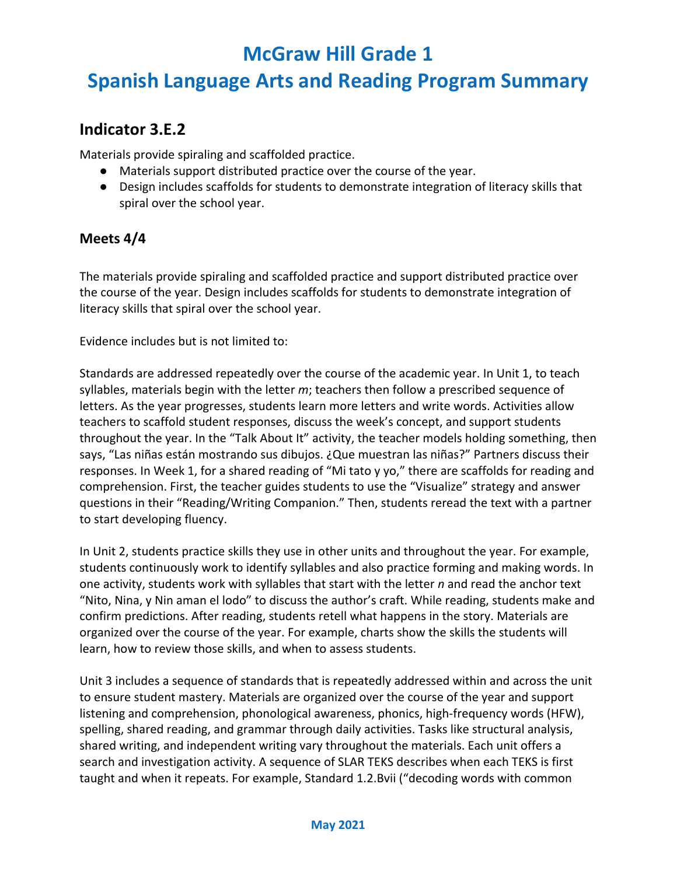### **Spanish Language Arts and Reading Program Summary**

#### **Indicator 3.E.2**

Materials provide spiraling and scaffolded practice.

- Materials support distributed practice over the course of the year.
- Design includes scaffolds for students to demonstrate integration of literacy skills that spiral over the school year.

#### **Meets 4/4**

The materials provide spiraling and scaffolded practice and support distributed practice over the course of the year. Design includes scaffolds for students to demonstrate integration of literacy skills that spiral over the school year.

Evidence includes but is not limited to:

Standards are addressed repeatedly over the course of the academic year. In Unit 1, to teach syllables, materials begin with the letter *m*; teachers then follow a prescribed sequence of letters. As the year progresses, students learn more letters and write words. Activities allow teachers to scaffold student responses, discuss the week's concept, and support students throughout the year. In the "Talk About It" activity, the teacher models holding something, then says, "Las niñas están mostrando sus dibujos. ¿Que muestran las niñas?" Partners discuss their responses. In Week 1, for a shared reading of "Mi tato y yo," there are scaffolds for reading and comprehension. First, the teacher guides students to use the "Visualize" strategy and answer questions in their "Reading/Writing Companion." Then, students reread the text with a partner to start developing fluency.

In Unit 2, students practice skills they use in other units and throughout the year. For example, students continuously work to identify syllables and also practice forming and making words. In one activity, students work with syllables that start with the letter *n* and read the anchor text "Nito, Nina, y Nin aman el lodo" to discuss the author's craft. While reading, students make and confirm predictions. After reading, students retell what happens in the story. Materials are organized over the course of the year. For example, charts show the skills the students will learn, how to review those skills, and when to assess students.

Unit 3 includes a sequence of standards that is repeatedly addressed within and across the unit to ensure student mastery. Materials are organized over the course of the year and support listening and comprehension, phonological awareness, phonics, high-frequency words (HFW), spelling, shared reading, and grammar through daily activities. Tasks like structural analysis, shared writing, and independent writing vary throughout the materials. Each unit offers a search and investigation activity. A sequence of SLAR TEKS describes when each TEKS is first taught and when it repeats. For example, Standard 1.2.Bvii ("decoding words with common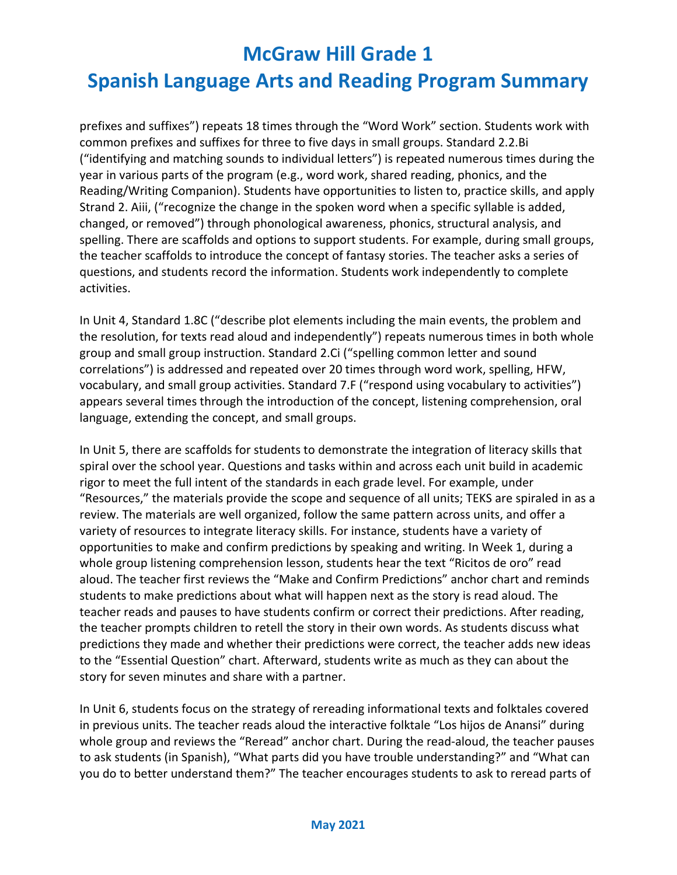# **Spanish Language Arts and Reading Program Summary**

prefixes and suffixes") repeats 18 times through the "Word Work" section. Students work with common prefixes and suffixes for three to five days in small groups. Standard 2.2.Bi ("identifying and matching sounds to individual letters") is repeated numerous times during the year in various parts of the program (e.g., word work, shared reading, phonics, and the Reading/Writing Companion). Students have opportunities to listen to, practice skills, and apply Strand 2. Aiii, ("recognize the change in the spoken word when a specific syllable is added, changed, or removed") through phonological awareness, phonics, structural analysis, and spelling. There are scaffolds and options to support students. For example, during small groups, the teacher scaffolds to introduce the concept of fantasy stories. The teacher asks a series of questions, and students record the information. Students work independently to complete activities.

In Unit 4, Standard 1.8C ("describe plot elements including the main events, the problem and the resolution, for texts read aloud and independently") repeats numerous times in both whole group and small group instruction. Standard 2.Ci ("spelling common letter and sound correlations") is addressed and repeated over 20 times through word work, spelling, HFW, vocabulary, and small group activities. Standard 7.F ("respond using vocabulary to activities") appears several times through the introduction of the concept, listening comprehension, oral language, extending the concept, and small groups.

In Unit 5, there are scaffolds for students to demonstrate the integration of literacy skills that spiral over the school year. Questions and tasks within and across each unit build in academic rigor to meet the full intent of the standards in each grade level. For example, under "Resources," the materials provide the scope and sequence of all units; TEKS are spiraled in as a review. The materials are well organized, follow the same pattern across units, and offer a variety of resources to integrate literacy skills. For instance, students have a variety of opportunities to make and confirm predictions by speaking and writing. In Week 1, during a whole group listening comprehension lesson, students hear the text "Ricitos de oro" read aloud. The teacher first reviews the "Make and Confirm Predictions" anchor chart and reminds students to make predictions about what will happen next as the story is read aloud. The teacher reads and pauses to have students confirm or correct their predictions. After reading, the teacher prompts children to retell the story in their own words. As students discuss what predictions they made and whether their predictions were correct, the teacher adds new ideas to the "Essential Question" chart. Afterward, students write as much as they can about the story for seven minutes and share with a partner.

In Unit 6, students focus on the strategy of rereading informational texts and folktales covered in previous units. The teacher reads aloud the interactive folktale "Los hijos de Anansi" during whole group and reviews the "Reread" anchor chart. During the read-aloud, the teacher pauses to ask students (in Spanish), "What parts did you have trouble understanding?" and "What can you do to better understand them?" The teacher encourages students to ask to reread parts of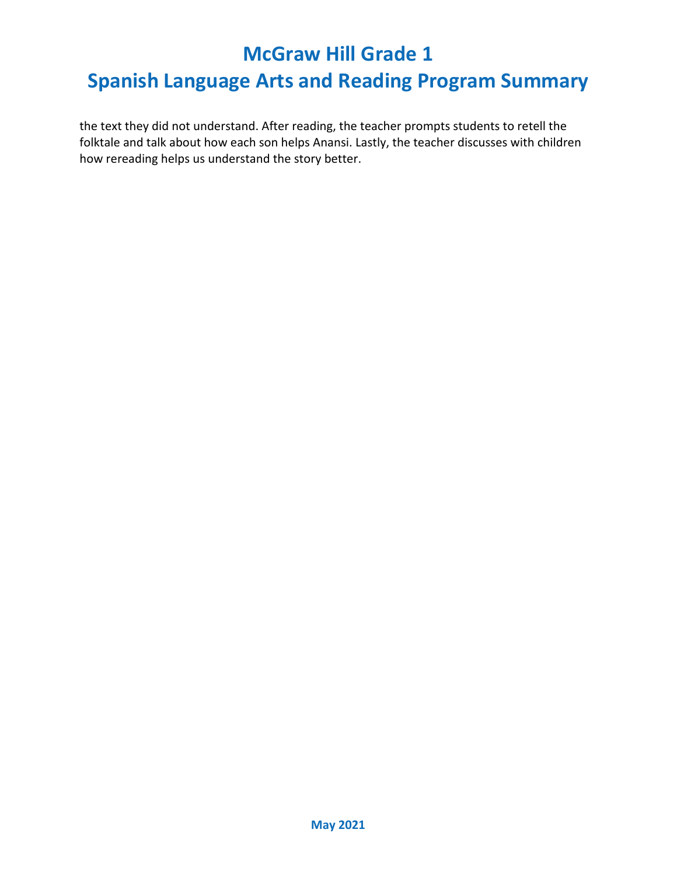### **Spanish Language Arts and Reading Program Summary**

the text they did not understand. After reading, the teacher prompts students to retell the folktale and talk about how each son helps Anansi. Lastly, the teacher discusses with children how rereading helps us understand the story better.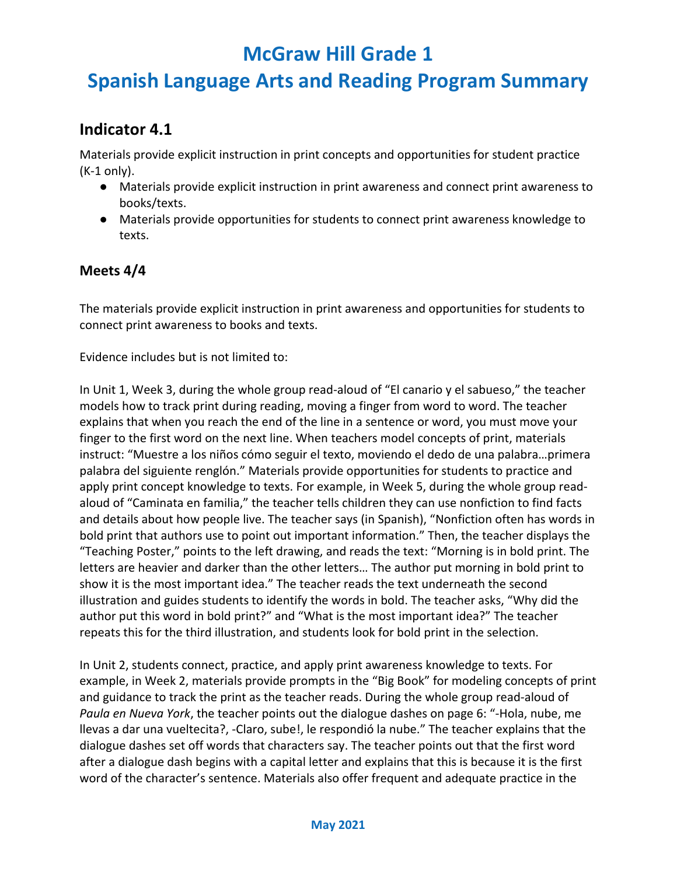# **Spanish Language Arts and Reading Program Summary**

#### **Indicator 4.1**

Materials provide explicit instruction in print concepts and opportunities for student practice (K-1 only).

- Materials provide explicit instruction in print awareness and connect print awareness to books/texts.
- Materials provide opportunities for students to connect print awareness knowledge to texts.

#### **Meets 4/4**

The materials provide explicit instruction in print awareness and opportunities for students to connect print awareness to books and texts.

Evidence includes but is not limited to:

In Unit 1, Week 3, during the whole group read-aloud of "El canario y el sabueso," the teacher models how to track print during reading, moving a finger from word to word. The teacher explains that when you reach the end of the line in a sentence or word, you must move your finger to the first word on the next line. When teachers model concepts of print, materials instruct: "Muestre a los niños cómo seguir el texto, moviendo el dedo de una palabra…primera palabra del siguiente renglón." Materials provide opportunities for students to practice and apply print concept knowledge to texts. For example, in Week 5, during the whole group readaloud of "Caminata en familia," the teacher tells children they can use nonfiction to find facts and details about how people live. The teacher says (in Spanish), "Nonfiction often has words in bold print that authors use to point out important information." Then, the teacher displays the "Teaching Poster," points to the left drawing, and reads the text: "Morning is in bold print. The letters are heavier and darker than the other letters… The author put morning in bold print to show it is the most important idea." The teacher reads the text underneath the second illustration and guides students to identify the words in bold. The teacher asks, "Why did the author put this word in bold print?" and "What is the most important idea?" The teacher repeats this for the third illustration, and students look for bold print in the selection.

In Unit 2, students connect, practice, and apply print awareness knowledge to texts. For example, in Week 2, materials provide prompts in the "Big Book" for modeling concepts of print and guidance to track the print as the teacher reads. During the whole group read-aloud of *Paula en Nueva York*, the teacher points out the dialogue dashes on page 6: "-Hola, nube, me llevas a dar una vueltecita?, -Claro, sube!, le respondió la nube." The teacher explains that the dialogue dashes set off words that characters say. The teacher points out that the first word after a dialogue dash begins with a capital letter and explains that this is because it is the first word of the character's sentence. Materials also offer frequent and adequate practice in the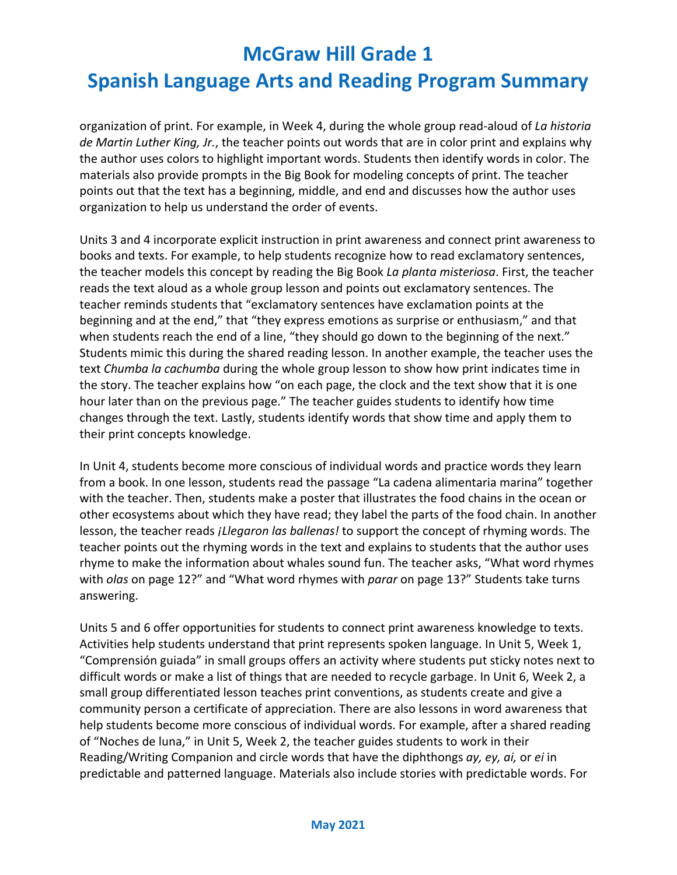# **Spanish Language Arts and Reading Program Summary**

organization of print. For example, in Week 4, during the whole group read-aloud of *La historia de Martin Luther King, Jr.*, the teacher points out words that are in color print and explains why the author uses colors to highlight important words. Students then identify words in color. The materials also provide prompts in the Big Book for modeling concepts of print. The teacher points out that the text has a beginning, middle, and end and discusses how the author uses organization to help us understand the order of events.

Units 3 and 4 incorporate explicit instruction in print awareness and connect print awareness to books and texts. For example, to help students recognize how to read exclamatory sentences, the teacher models this concept by reading the Big Book *La planta misteriosa*. First, the teacher reads the text aloud as a whole group lesson and points out exclamatory sentences. The teacher reminds students that "exclamatory sentences have exclamation points at the beginning and at the end," that "they express emotions as surprise or enthusiasm," and that when students reach the end of a line, "they should go down to the beginning of the next." Students mimic this during the shared reading lesson. In another example, the teacher uses the text *Chumba la cachumba* during the whole group lesson to show how print indicates time in the story. The teacher explains how "on each page, the clock and the text show that it is one hour later than on the previous page." The teacher guides students to identify how time changes through the text. Lastly, students identify words that show time and apply them to their print concepts knowledge.

In Unit 4, students become more conscious of individual words and practice words they learn from a book. In one lesson, students read the passage "La cadena alimentaria marina" together with the teacher. Then, students make a poster that illustrates the food chains in the ocean or other ecosystems about which they have read; they label the parts of the food chain. In another lesson, the teacher reads *¡Llegaron las ballenas!* to support the concept of rhyming words. The teacher points out the rhyming words in the text and explains to students that the author uses rhyme to make the information about whales sound fun. The teacher asks, "What word rhymes with *olas* on page 12?" and "What word rhymes with *parar* on page 13?" Students take turns answering.

Units 5 and 6 offer opportunities for students to connect print awareness knowledge to texts. Activities help students understand that print represents spoken language. In Unit 5, Week 1, "Comprensión guiada" in small groups offers an activity where students put sticky notes next to difficult words or make a list of things that are needed to recycle garbage. In Unit 6, Week 2, a small group differentiated lesson teaches print conventions, as students create and give a community person a certificate of appreciation. There are also lessons in word awareness that help students become more conscious of individual words. For example, after a shared reading of "Noches de luna," in Unit 5, Week 2, the teacher guides students to work in their Reading/Writing Companion and circle words that have the diphthongs *ay, ey, ai,* or *ei* in predictable and patterned language. Materials also include stories with predictable words. For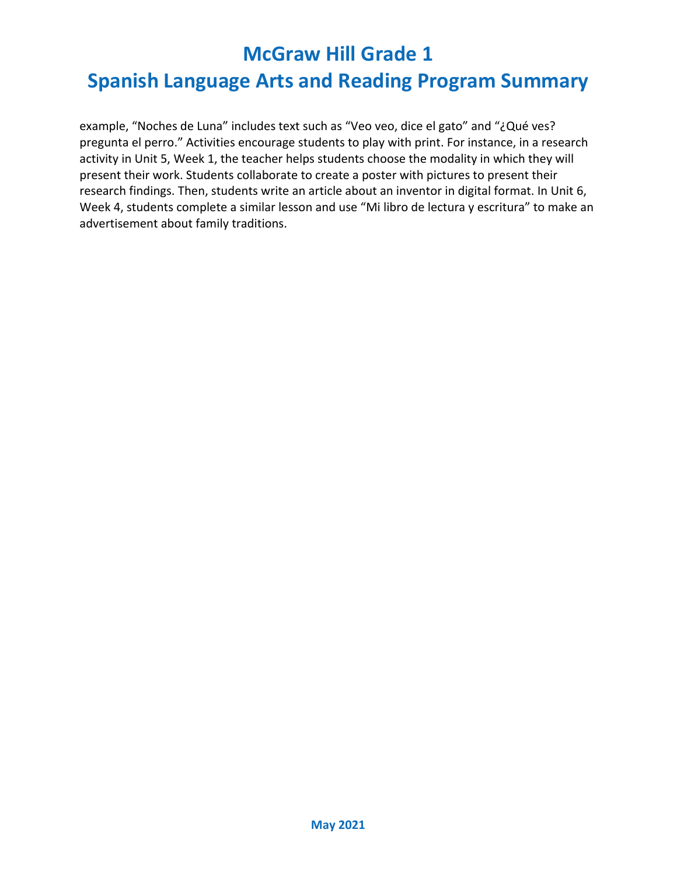### **Spanish Language Arts and Reading Program Summary**

example, "Noches de Luna" includes text such as "Veo veo, dice el gato" and "¿Qué ves? pregunta el perro." Activities encourage students to play with print. For instance, in a research activity in Unit 5, Week 1, the teacher helps students choose the modality in which they will present their work. Students collaborate to create a poster with pictures to present their research findings. Then, students write an article about an inventor in digital format. In Unit 6, Week 4, students complete a similar lesson and use "Mi libro de lectura y escritura" to make an advertisement about family traditions.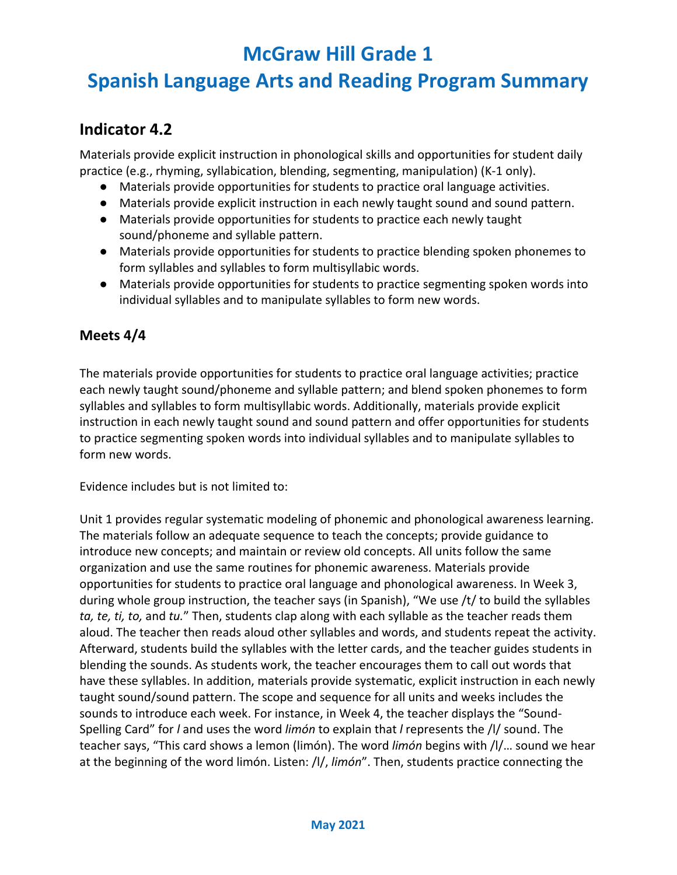# **Spanish Language Arts and Reading Program Summary**

#### **Indicator 4.2**

Materials provide explicit instruction in phonological skills and opportunities for student daily practice (e.g., rhyming, syllabication, blending, segmenting, manipulation) (K-1 only).

- Materials provide opportunities for students to practice oral language activities.
- Materials provide explicit instruction in each newly taught sound and sound pattern.
- Materials provide opportunities for students to practice each newly taught sound/phoneme and syllable pattern.
- Materials provide opportunities for students to practice blending spoken phonemes to form syllables and syllables to form multisyllabic words.
- Materials provide opportunities for students to practice segmenting spoken words into individual syllables and to manipulate syllables to form new words.

#### **Meets 4/4**

The materials provide opportunities for students to practice oral language activities; practice each newly taught sound/phoneme and syllable pattern; and blend spoken phonemes to form syllables and syllables to form multisyllabic words. Additionally, materials provide explicit instruction in each newly taught sound and sound pattern and offer opportunities for students to practice segmenting spoken words into individual syllables and to manipulate syllables to form new words.

Evidence includes but is not limited to:

Unit 1 provides regular systematic modeling of phonemic and phonological awareness learning. The materials follow an adequate sequence to teach the concepts; provide guidance to introduce new concepts; and maintain or review old concepts. All units follow the same organization and use the same routines for phonemic awareness. Materials provide opportunities for students to practice oral language and phonological awareness. In Week 3, during whole group instruction, the teacher says (in Spanish), "We use /t/ to build the syllables *ta, te, ti, to,* and *tu.*" Then, students clap along with each syllable as the teacher reads them aloud. The teacher then reads aloud other syllables and words, and students repeat the activity. Afterward, students build the syllables with the letter cards, and the teacher guides students in blending the sounds. As students work, the teacher encourages them to call out words that have these syllables. In addition, materials provide systematic, explicit instruction in each newly taught sound/sound pattern. The scope and sequence for all units and weeks includes the sounds to introduce each week. For instance, in Week 4, the teacher displays the "Sound-Spelling Card" for *l* and uses the word *limón* to explain that *l* represents the /l/ sound. The teacher says, "This card shows a lemon (limón). The word *limón* begins with /l/… sound we hear at the beginning of the word limón. Listen: /l/, *limón*". Then, students practice connecting the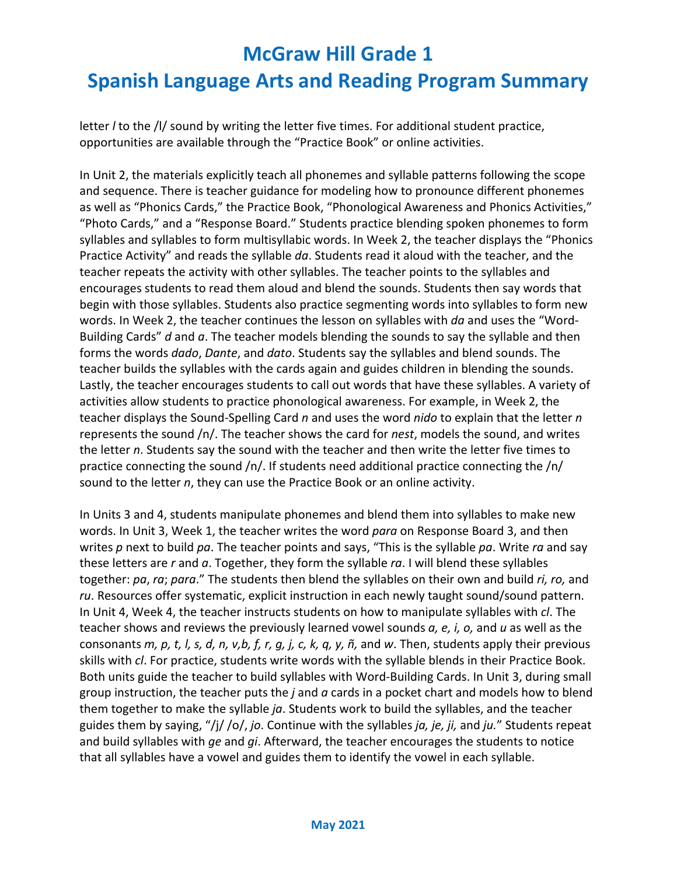# **McGraw Hill Grade 1 Spanish Language Arts and Reading Program Summary**

letter *l* to the /l/ sound by writing the letter five times. For additional student practice, opportunities are available through the "Practice Book" or online activities.

In Unit 2, the materials explicitly teach all phonemes and syllable patterns following the scope and sequence. There is teacher guidance for modeling how to pronounce different phonemes as well as "Phonics Cards," the Practice Book, "Phonological Awareness and Phonics Activities," "Photo Cards," and a "Response Board." Students practice blending spoken phonemes to form syllables and syllables to form multisyllabic words. In Week 2, the teacher displays the "Phonics Practice Activity" and reads the syllable *da*. Students read it aloud with the teacher, and the teacher repeats the activity with other syllables. The teacher points to the syllables and encourages students to read them aloud and blend the sounds. Students then say words that begin with those syllables. Students also practice segmenting words into syllables to form new words. In Week 2, the teacher continues the lesson on syllables with *da* and uses the "Word-Building Cards" *d* and *a*. The teacher models blending the sounds to say the syllable and then forms the words *dado*, *Dante*, and *dato*. Students say the syllables and blend sounds. The teacher builds the syllables with the cards again and guides children in blending the sounds. Lastly, the teacher encourages students to call out words that have these syllables. A variety of activities allow students to practice phonological awareness. For example, in Week 2, the teacher displays the Sound-Spelling Card *n* and uses the word *nido* to explain that the letter *n* represents the sound /n/. The teacher shows the card for *nest*, models the sound, and writes the letter *n*. Students say the sound with the teacher and then write the letter five times to practice connecting the sound /n/. If students need additional practice connecting the /n/ sound to the letter *n*, they can use the Practice Book or an online activity.

In Units 3 and 4, students manipulate phonemes and blend them into syllables to make new words. In Unit 3, Week 1, the teacher writes the word *para* on Response Board 3, and then writes *p* next to build *pa*. The teacher points and says, "This is the syllable *pa*. Write *ra* and say these letters are *r* and *a*. Together, they form the syllable *ra*. I will blend these syllables together: *pa*, *ra*; *para*." The students then blend the syllables on their own and build *ri, ro,* and *ru*. Resources offer systematic, explicit instruction in each newly taught sound/sound pattern. In Unit 4, Week 4, the teacher instructs students on how to manipulate syllables with *cl*. The teacher shows and reviews the previously learned vowel sounds *a, e, i, o,* and *u* as well as the consonants *m, p, t, l, s, d, n, v,b, f, r, g, j, c, k, q, y, ñ,* and *w*. Then, students apply their previous skills with *cl*. For practice, students write words with the syllable blends in their Practice Book. Both units guide the teacher to build syllables with Word-Building Cards. In Unit 3, during small group instruction, the teacher puts the *j* and *a* cards in a pocket chart and models how to blend them together to make the syllable *ja*. Students work to build the syllables, and the teacher guides them by saying, "/j/ /o/, *jo*. Continue with the syllables *ja, je, ji,* and *ju.*" Students repeat and build syllables with *ge* and *gi*. Afterward, the teacher encourages the students to notice that all syllables have a vowel and guides them to identify the vowel in each syllable.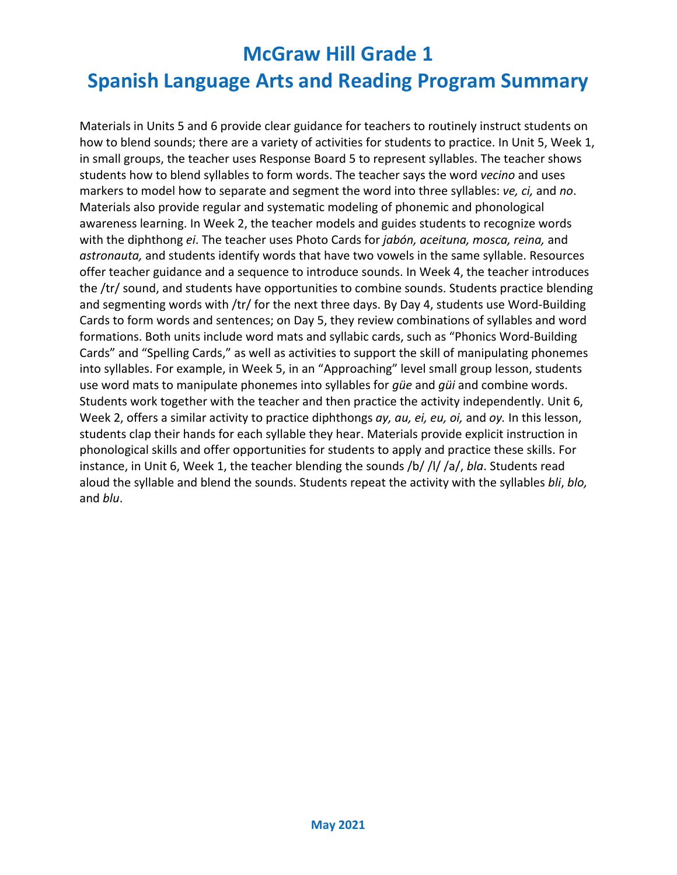# **McGraw Hill Grade 1 Spanish Language Arts and Reading Program Summary**

Materials in Units 5 and 6 provide clear guidance for teachers to routinely instruct students on how to blend sounds; there are a variety of activities for students to practice. In Unit 5, Week 1, in small groups, the teacher uses Response Board 5 to represent syllables. The teacher shows students how to blend syllables to form words. The teacher says the word *vecino* and uses markers to model how to separate and segment the word into three syllables: *ve, ci,* and *no*. Materials also provide regular and systematic modeling of phonemic and phonological awareness learning. In Week 2, the teacher models and guides students to recognize words with the diphthong *ei*. The teacher uses Photo Cards for *jabón, aceituna, mosca, reina,* and *astronauta,* and students identify words that have two vowels in the same syllable. Resources offer teacher guidance and a sequence to introduce sounds. In Week 4, the teacher introduces the /tr/ sound, and students have opportunities to combine sounds. Students practice blending and segmenting words with /tr/ for the next three days. By Day 4, students use Word-Building Cards to form words and sentences; on Day 5, they review combinations of syllables and word formations. Both units include word mats and syllabic cards, such as "Phonics Word-Building Cards" and "Spelling Cards," as well as activities to support the skill of manipulating phonemes into syllables. For example, in Week 5, in an "Approaching" level small group lesson, students use word mats to manipulate phonemes into syllables for *güe* and *güi* and combine words. Students work together with the teacher and then practice the activity independently. Unit 6, Week 2, offers a similar activity to practice diphthongs *ay, au, ei, eu, oi,* and *oy.* In this lesson, students clap their hands for each syllable they hear. Materials provide explicit instruction in phonological skills and offer opportunities for students to apply and practice these skills. For instance, in Unit 6, Week 1, the teacher blending the sounds /b/ /l/ /a/, *bla*. Students read aloud the syllable and blend the sounds. Students repeat the activity with the syllables *bli*, *blo,* and *blu*.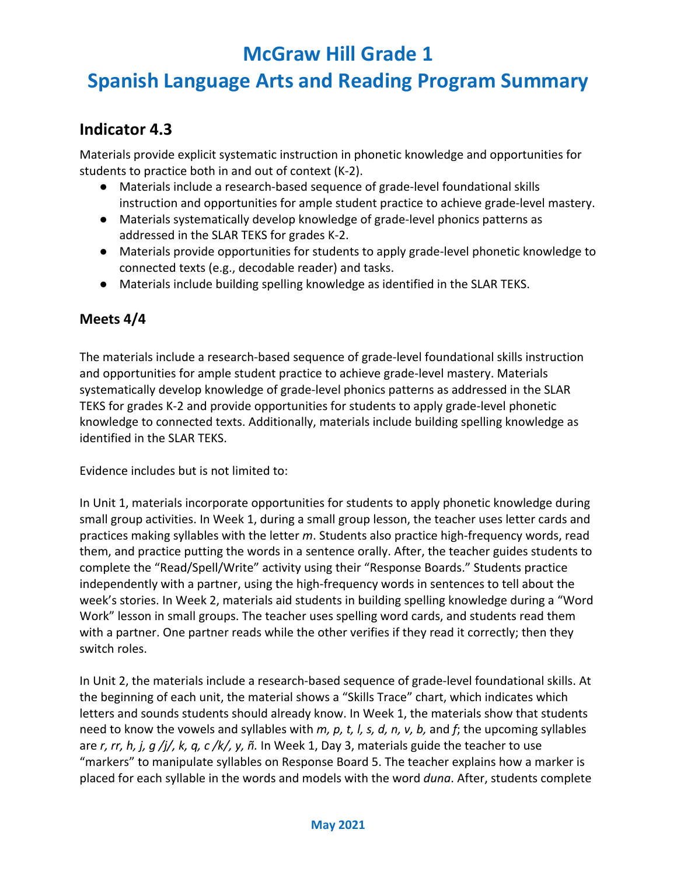# **Spanish Language Arts and Reading Program Summary**

#### **Indicator 4.3**

Materials provide explicit systematic instruction in phonetic knowledge and opportunities for students to practice both in and out of context (K-2).

- Materials include a research-based sequence of grade-level foundational skills instruction and opportunities for ample student practice to achieve grade-level mastery.
- Materials systematically develop knowledge of grade-level phonics patterns as addressed in the SLAR TEKS for grades K-2.
- Materials provide opportunities for students to apply grade-level phonetic knowledge to connected texts (e.g., decodable reader) and tasks.
- Materials include building spelling knowledge as identified in the SLAR TEKS.

#### **Meets 4/4**

The materials include a research-based sequence of grade-level foundational skills instruction and opportunities for ample student practice to achieve grade-level mastery. Materials systematically develop knowledge of grade-level phonics patterns as addressed in the SLAR TEKS for grades K-2 and provide opportunities for students to apply grade-level phonetic knowledge to connected texts. Additionally, materials include building spelling knowledge as identified in the SLAR TEKS.

Evidence includes but is not limited to:

In Unit 1, materials incorporate opportunities for students to apply phonetic knowledge during small group activities. In Week 1, during a small group lesson, the teacher uses letter cards and practices making syllables with the letter *m*. Students also practice high-frequency words, read them, and practice putting the words in a sentence orally. After, the teacher guides students to complete the "Read/Spell/Write" activity using their "Response Boards." Students practice independently with a partner, using the high-frequency words in sentences to tell about the week's stories. In Week 2, materials aid students in building spelling knowledge during a "Word Work" lesson in small groups. The teacher uses spelling word cards, and students read them with a partner. One partner reads while the other verifies if they read it correctly; then they switch roles.

In Unit 2, the materials include a research-based sequence of grade-level foundational skills. At the beginning of each unit, the material shows a "Skills Trace" chart, which indicates which letters and sounds students should already know. In Week 1, the materials show that students need to know the vowels and syllables with *m, p, t, l, s, d, n, v, b,* and *f*; the upcoming syllables are *r, rr, h, j, g /j/, k, q, c /k/, y, ñ.* In Week 1, Day 3, materials guide the teacher to use "markers" to manipulate syllables on Response Board 5. The teacher explains how a marker is placed for each syllable in the words and models with the word *duna*. After, students complete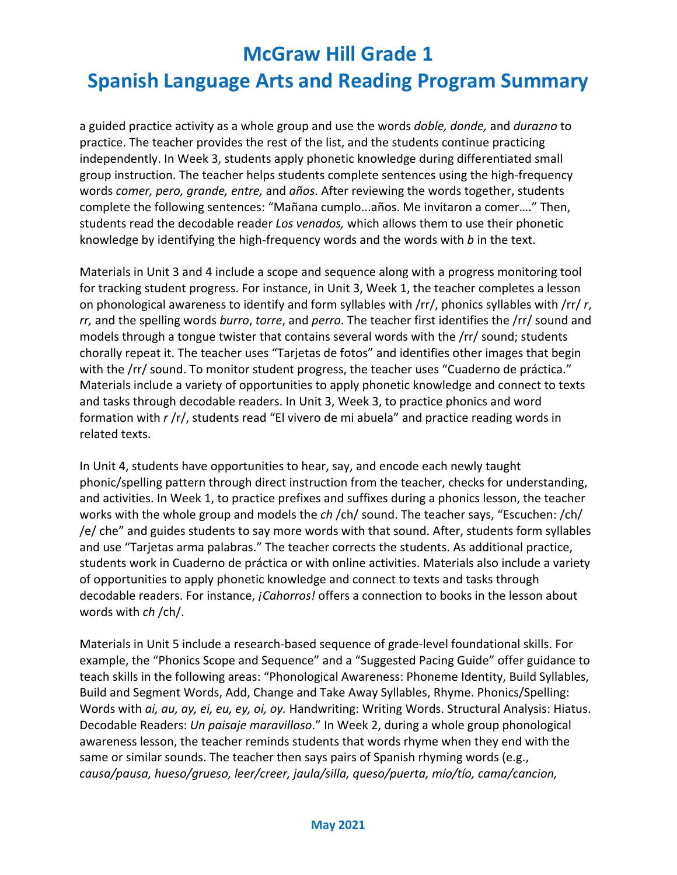### **Spanish Language Arts and Reading Program Summary**

a guided practice activity as a whole group and use the words *doble, donde,* and *durazno* to practice. The teacher provides the rest of the list, and the students continue practicing independently. In Week 3, students apply phonetic knowledge during differentiated small group instruction. The teacher helps students complete sentences using the high-frequency words *comer, pero, grande, entre,* and *años*. After reviewing the words together, students complete the following sentences: "Mañana cumplo...años. Me invitaron a comer…." Then, students read the decodable reader *Los venados,* which allows them to use their phonetic knowledge by identifying the high-frequency words and the words with *b* in the text.

Materials in Unit 3 and 4 include a scope and sequence along with a progress monitoring tool for tracking student progress. For instance, in Unit 3, Week 1, the teacher completes a lesson on phonological awareness to identify and form syllables with /rr/, phonics syllables with /rr/ *r*, *rr,* and the spelling words *burro*, *torre*, and *perro*. The teacher first identifies the /rr/ sound and models through a tongue twister that contains several words with the /rr/ sound; students chorally repeat it. The teacher uses "Tarjetas de fotos" and identifies other images that begin with the /rr/ sound. To monitor student progress, the teacher uses "Cuaderno de práctica." Materials include a variety of opportunities to apply phonetic knowledge and connect to texts and tasks through decodable readers. In Unit 3, Week 3, to practice phonics and word formation with *r* /r/, students read "El vivero de mi abuela" and practice reading words in related texts.

In Unit 4, students have opportunities to hear, say, and encode each newly taught phonic/spelling pattern through direct instruction from the teacher, checks for understanding, and activities. In Week 1, to practice prefixes and suffixes during a phonics lesson, the teacher works with the whole group and models the *ch* /ch/ sound. The teacher says, "Escuchen: /ch/ /e/ che" and guides students to say more words with that sound. After, students form syllables and use "Tarjetas arma palabras." The teacher corrects the students. As additional practice, students work in Cuaderno de práctica or with online activities. Materials also include a variety of opportunities to apply phonetic knowledge and connect to texts and tasks through decodable readers. For instance, *¡Cahorros!* offers a connection to books in the lesson about words with *ch* /ch/.

Materials in Unit 5 include a research-based sequence of grade-level foundational skills. For example, the "Phonics Scope and Sequence" and a "Suggested Pacing Guide" offer guidance to teach skills in the following areas: "Phonological Awareness: Phoneme Identity, Build Syllables, Build and Segment Words, Add, Change and Take Away Syllables, Rhyme. Phonics/Spelling: Words with *ai, au, ay, ei, eu, ey, oi, oy.* Handwriting: Writing Words. Structural Analysis: Hiatus. Decodable Readers: *Un paisaje maravilloso*." In Week 2, during a whole group phonological awareness lesson, the teacher reminds students that words rhyme when they end with the same or similar sounds. The teacher then says pairs of Spanish rhyming words (e.g., *causa/pausa, hueso/grueso, leer/creer, jaula/silla, queso/puerta, mío/tío, cama/cancion,*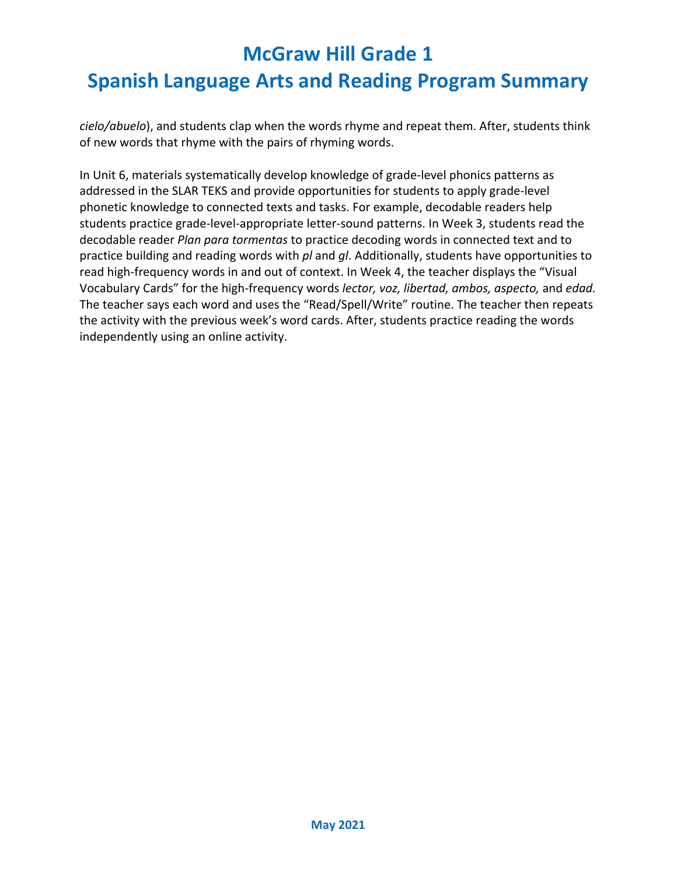# **McGraw Hill Grade 1 Spanish Language Arts and Reading Program Summary**

*cielo/abuelo*), and students clap when the words rhyme and repeat them. After, students think of new words that rhyme with the pairs of rhyming words.

In Unit 6, materials systematically develop knowledge of grade-level phonics patterns as addressed in the SLAR TEKS and provide opportunities for students to apply grade-level phonetic knowledge to connected texts and tasks. For example, decodable readers help students practice grade-level-appropriate letter-sound patterns. In Week 3, students read the decodable reader *Plan para tormentas* to practice decoding words in connected text and to practice building and reading words with *pl* and *gl*. Additionally, students have opportunities to read high-frequency words in and out of context. In Week 4, the teacher displays the "Visual Vocabulary Cards" for the high-frequency words *lector, voz, libertad, ambos, aspecto,* and *edad.* The teacher says each word and uses the "Read/Spell/Write" routine. The teacher then repeats the activity with the previous week's word cards. After, students practice reading the words independently using an online activity.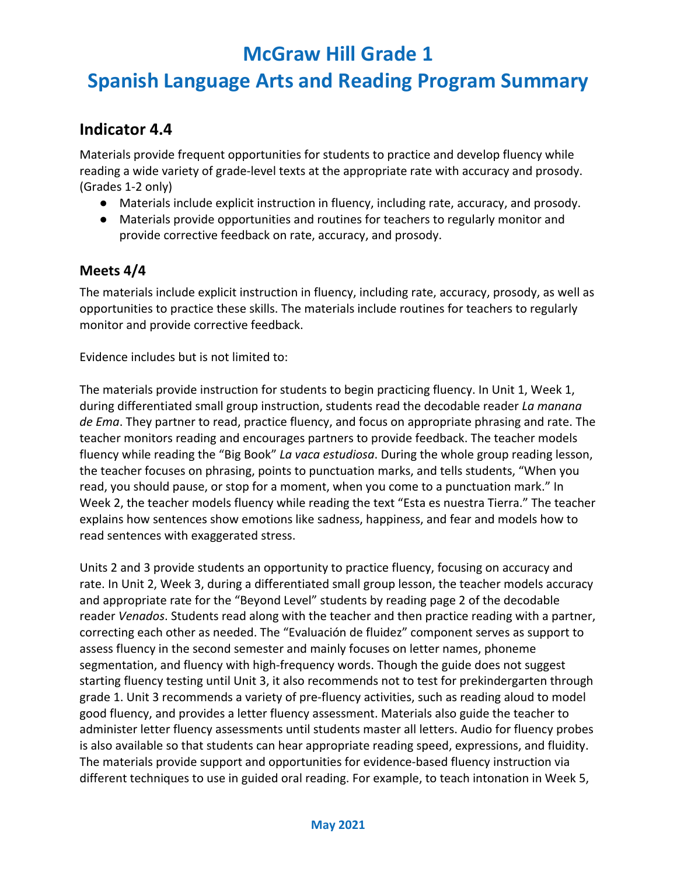# **Spanish Language Arts and Reading Program Summary**

#### **Indicator 4.4**

Materials provide frequent opportunities for students to practice and develop fluency while reading a wide variety of grade-level texts at the appropriate rate with accuracy and prosody. (Grades 1-2 only)

- Materials include explicit instruction in fluency, including rate, accuracy, and prosody.
- Materials provide opportunities and routines for teachers to regularly monitor and provide corrective feedback on rate, accuracy, and prosody.

#### **Meets 4/4**

The materials include explicit instruction in fluency, including rate, accuracy, prosody, as well as opportunities to practice these skills. The materials include routines for teachers to regularly monitor and provide corrective feedback.

Evidence includes but is not limited to:

The materials provide instruction for students to begin practicing fluency. In Unit 1, Week 1, during differentiated small group instruction, students read the decodable reader *La manana de Ema*. They partner to read, practice fluency, and focus on appropriate phrasing and rate. The teacher monitors reading and encourages partners to provide feedback. The teacher models fluency while reading the "Big Book" *La vaca estudiosa*. During the whole group reading lesson, the teacher focuses on phrasing, points to punctuation marks, and tells students, "When you read, you should pause, or stop for a moment, when you come to a punctuation mark." In Week 2, the teacher models fluency while reading the text "Esta es nuestra Tierra." The teacher explains how sentences show emotions like sadness, happiness, and fear and models how to read sentences with exaggerated stress.

Units 2 and 3 provide students an opportunity to practice fluency, focusing on accuracy and rate. In Unit 2, Week 3, during a differentiated small group lesson, the teacher models accuracy and appropriate rate for the "Beyond Level" students by reading page 2 of the decodable reader *Venados*. Students read along with the teacher and then practice reading with a partner, correcting each other as needed. The "Evaluación de fluidez" component serves as support to assess fluency in the second semester and mainly focuses on letter names, phoneme segmentation, and fluency with high-frequency words. Though the guide does not suggest starting fluency testing until Unit 3, it also recommends not to test for prekindergarten through grade 1. Unit 3 recommends a variety of pre-fluency activities, such as reading aloud to model good fluency, and provides a letter fluency assessment. Materials also guide the teacher to administer letter fluency assessments until students master all letters. Audio for fluency probes is also available so that students can hear appropriate reading speed, expressions, and fluidity. The materials provide support and opportunities for evidence-based fluency instruction via different techniques to use in guided oral reading. For example, to teach intonation in Week 5,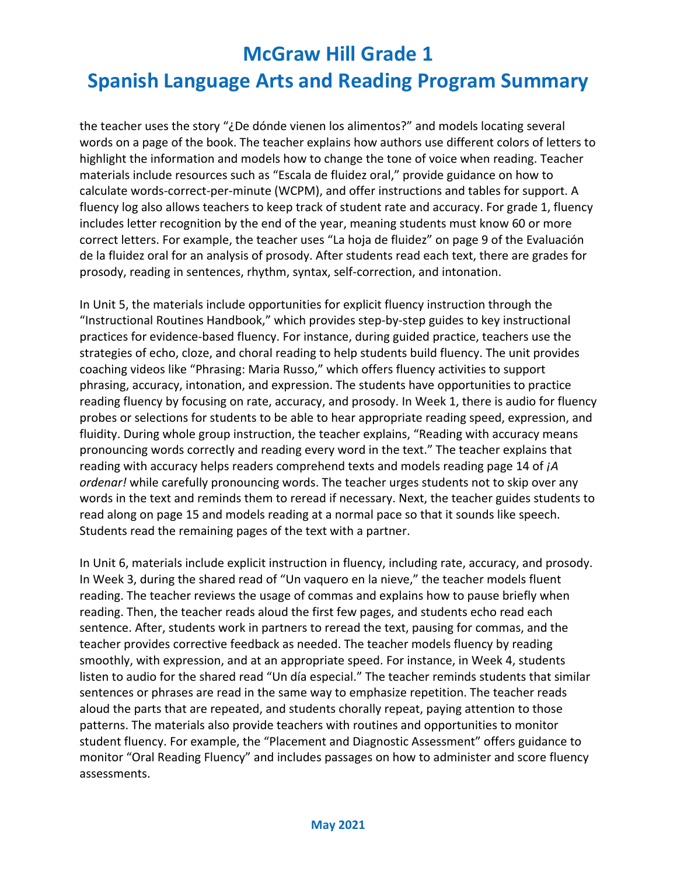# **Spanish Language Arts and Reading Program Summary**

the teacher uses the story "¿De dónde vienen los alimentos?" and models locating several words on a page of the book. The teacher explains how authors use different colors of letters to highlight the information and models how to change the tone of voice when reading. Teacher materials include resources such as "Escala de fluidez oral," provide guidance on how to calculate words-correct-per-minute (WCPM), and offer instructions and tables for support. A fluency log also allows teachers to keep track of student rate and accuracy. For grade 1, fluency includes letter recognition by the end of the year, meaning students must know 60 or more correct letters. For example, the teacher uses "La hoja de fluidez" on page 9 of the Evaluación de la fluidez oral for an analysis of prosody. After students read each text, there are grades for prosody, reading in sentences, rhythm, syntax, self-correction, and intonation.

In Unit 5, the materials include opportunities for explicit fluency instruction through the "Instructional Routines Handbook," which provides step-by-step guides to key instructional practices for evidence-based fluency. For instance, during guided practice, teachers use the strategies of echo, cloze, and choral reading to help students build fluency. The unit provides coaching videos like "Phrasing: Maria Russo," which offers fluency activities to support phrasing, accuracy, intonation, and expression. The students have opportunities to practice reading fluency by focusing on rate, accuracy, and prosody. In Week 1, there is audio for fluency probes or selections for students to be able to hear appropriate reading speed, expression, and fluidity. During whole group instruction, the teacher explains, "Reading with accuracy means pronouncing words correctly and reading every word in the text." The teacher explains that reading with accuracy helps readers comprehend texts and models reading page 14 of *¡A ordenar!* while carefully pronouncing words. The teacher urges students not to skip over any words in the text and reminds them to reread if necessary. Next, the teacher guides students to read along on page 15 and models reading at a normal pace so that it sounds like speech. Students read the remaining pages of the text with a partner.

In Unit 6, materials include explicit instruction in fluency, including rate, accuracy, and prosody. In Week 3, during the shared read of "Un vaquero en la nieve," the teacher models fluent reading. The teacher reviews the usage of commas and explains how to pause briefly when reading. Then, the teacher reads aloud the first few pages, and students echo read each sentence. After, students work in partners to reread the text, pausing for commas, and the teacher provides corrective feedback as needed. The teacher models fluency by reading smoothly, with expression, and at an appropriate speed. For instance, in Week 4, students listen to audio for the shared read "Un día especial." The teacher reminds students that similar sentences or phrases are read in the same way to emphasize repetition. The teacher reads aloud the parts that are repeated, and students chorally repeat, paying attention to those patterns. The materials also provide teachers with routines and opportunities to monitor student fluency. For example, the "Placement and Diagnostic Assessment" offers guidance to monitor "Oral Reading Fluency" and includes passages on how to administer and score fluency assessments.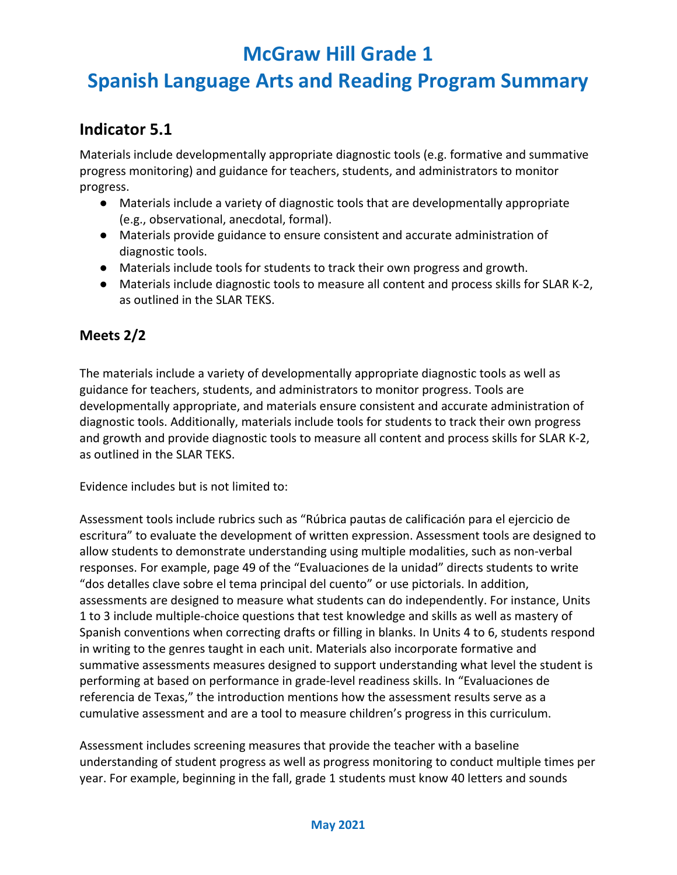# **Spanish Language Arts and Reading Program Summary**

#### **Indicator 5.1**

Materials include developmentally appropriate diagnostic tools (e.g. formative and summative progress monitoring) and guidance for teachers, students, and administrators to monitor progress.

- Materials include a variety of diagnostic tools that are developmentally appropriate (e.g., observational, anecdotal, formal).
- Materials provide guidance to ensure consistent and accurate administration of diagnostic tools.
- Materials include tools for students to track their own progress and growth.
- Materials include diagnostic tools to measure all content and process skills for SLAR K-2, as outlined in the SLAR TEKS.

#### **Meets 2/2**

The materials include a variety of developmentally appropriate diagnostic tools as well as guidance for teachers, students, and administrators to monitor progress. Tools are developmentally appropriate, and materials ensure consistent and accurate administration of diagnostic tools. Additionally, materials include tools for students to track their own progress and growth and provide diagnostic tools to measure all content and process skills for SLAR K-2, as outlined in the SLAR TEKS.

Evidence includes but is not limited to:

Assessment tools include rubrics such as "Rúbrica pautas de calificación para el ejercicio de escritura" to evaluate the development of written expression. Assessment tools are designed to allow students to demonstrate understanding using multiple modalities, such as non-verbal responses. For example, page 49 of the "Evaluaciones de la unidad" directs students to write "dos detalles clave sobre el tema principal del cuento" or use pictorials. In addition, assessments are designed to measure what students can do independently. For instance, Units 1 to 3 include multiple-choice questions that test knowledge and skills as well as mastery of Spanish conventions when correcting drafts or filling in blanks. In Units 4 to 6, students respond in writing to the genres taught in each unit. Materials also incorporate formative and summative assessments measures designed to support understanding what level the student is performing at based on performance in grade-level readiness skills. In "Evaluaciones de referencia de Texas," the introduction mentions how the assessment results serve as a cumulative assessment and are a tool to measure children's progress in this curriculum.

Assessment includes screening measures that provide the teacher with a baseline understanding of student progress as well as progress monitoring to conduct multiple times per year. For example, beginning in the fall, grade 1 students must know 40 letters and sounds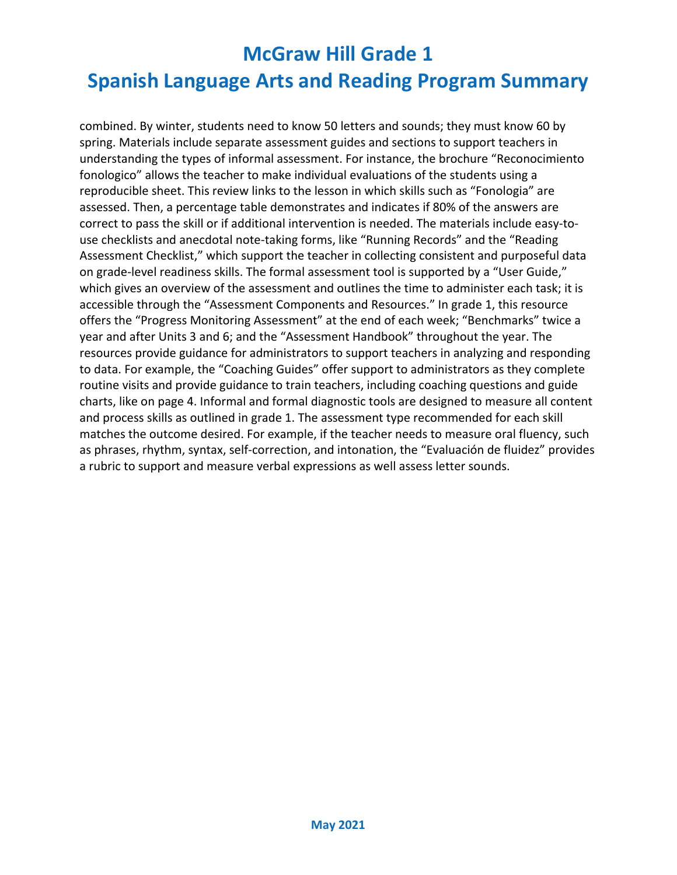# **McGraw Hill Grade 1 Spanish Language Arts and Reading Program Summary**

combined. By winter, students need to know 50 letters and sounds; they must know 60 by spring. Materials include separate assessment guides and sections to support teachers in understanding the types of informal assessment. For instance, the brochure "Reconocimiento fonologico" allows the teacher to make individual evaluations of the students using a reproducible sheet. This review links to the lesson in which skills such as "Fonologia" are assessed. Then, a percentage table demonstrates and indicates if 80% of the answers are correct to pass the skill or if additional intervention is needed. The materials include easy-touse checklists and anecdotal note-taking forms, like "Running Records" and the "Reading Assessment Checklist," which support the teacher in collecting consistent and purposeful data on grade-level readiness skills. The formal assessment tool is supported by a "User Guide," which gives an overview of the assessment and outlines the time to administer each task; it is accessible through the "Assessment Components and Resources." In grade 1, this resource offers the "Progress Monitoring Assessment" at the end of each week; "Benchmarks" twice a year and after Units 3 and 6; and the "Assessment Handbook" throughout the year. The resources provide guidance for administrators to support teachers in analyzing and responding to data. For example, the "Coaching Guides" offer support to administrators as they complete routine visits and provide guidance to train teachers, including coaching questions and guide charts, like on page 4. Informal and formal diagnostic tools are designed to measure all content and process skills as outlined in grade 1. The assessment type recommended for each skill matches the outcome desired. For example, if the teacher needs to measure oral fluency, such as phrases, rhythm, syntax, self-correction, and intonation, the "Evaluación de fluidez" provides a rubric to support and measure verbal expressions as well assess letter sounds.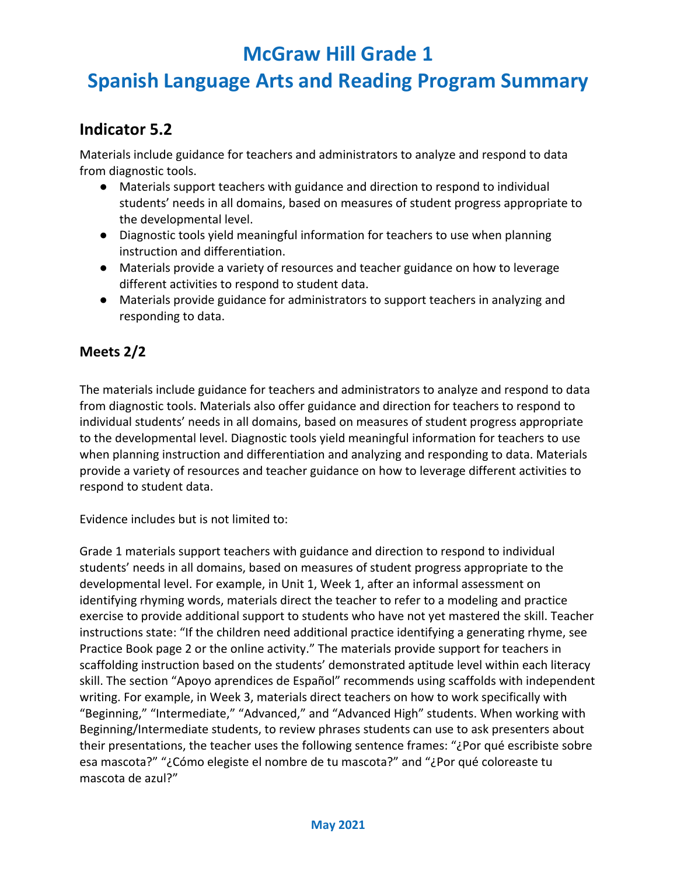# **Spanish Language Arts and Reading Program Summary**

#### **Indicator 5.2**

Materials include guidance for teachers and administrators to analyze and respond to data from diagnostic tools.

- Materials support teachers with guidance and direction to respond to individual students' needs in all domains, based on measures of student progress appropriate to the developmental level.
- Diagnostic tools yield meaningful information for teachers to use when planning instruction and differentiation.
- Materials provide a variety of resources and teacher guidance on how to leverage different activities to respond to student data.
- Materials provide guidance for administrators to support teachers in analyzing and responding to data.

#### **Meets 2/2**

The materials include guidance for teachers and administrators to analyze and respond to data from diagnostic tools. Materials also offer guidance and direction for teachers to respond to individual students' needs in all domains, based on measures of student progress appropriate to the developmental level. Diagnostic tools yield meaningful information for teachers to use when planning instruction and differentiation and analyzing and responding to data. Materials provide a variety of resources and teacher guidance on how to leverage different activities to respond to student data.

Evidence includes but is not limited to:

Grade 1 materials support teachers with guidance and direction to respond to individual students' needs in all domains, based on measures of student progress appropriate to the developmental level. For example, in Unit 1, Week 1, after an informal assessment on identifying rhyming words, materials direct the teacher to refer to a modeling and practice exercise to provide additional support to students who have not yet mastered the skill. Teacher instructions state: "If the children need additional practice identifying a generating rhyme, see Practice Book page 2 or the online activity." The materials provide support for teachers in scaffolding instruction based on the students' demonstrated aptitude level within each literacy skill. The section "Apoyo aprendices de Español" recommends using scaffolds with independent writing. For example, in Week 3, materials direct teachers on how to work specifically with "Beginning," "Intermediate," "Advanced," and "Advanced High" students. When working with Beginning/Intermediate students, to review phrases students can use to ask presenters about their presentations, the teacher uses the following sentence frames: "¿Por qué escribiste sobre esa mascota?" "¿Cómo elegiste el nombre de tu mascota?" and "¿Por qué coloreaste tu mascota de azul?"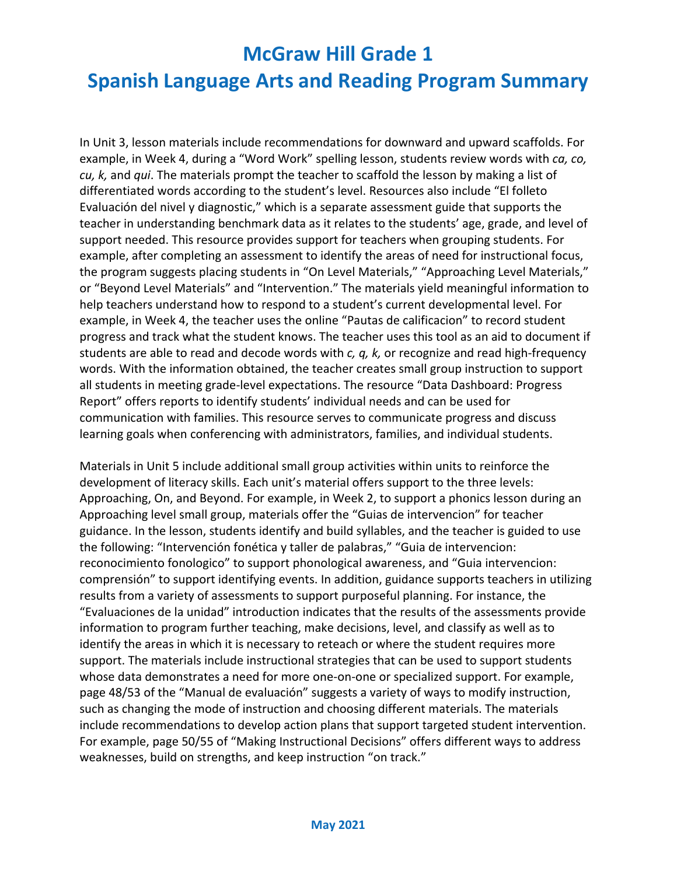# **Spanish Language Arts and Reading Program Summary**

In Unit 3, lesson materials include recommendations for downward and upward scaffolds. For example, in Week 4, during a "Word Work" spelling lesson, students review words with *ca, co, cu, k,* and *qui*. The materials prompt the teacher to scaffold the lesson by making a list of differentiated words according to the student's level. Resources also include "El folleto Evaluación del nivel y diagnostic," which is a separate assessment guide that supports the teacher in understanding benchmark data as it relates to the students' age, grade, and level of support needed. This resource provides support for teachers when grouping students. For example, after completing an assessment to identify the areas of need for instructional focus, the program suggests placing students in "On Level Materials," "Approaching Level Materials," or "Beyond Level Materials" and "Intervention." The materials yield meaningful information to help teachers understand how to respond to a student's current developmental level. For example, in Week 4, the teacher uses the online "Pautas de calificacion" to record student progress and track what the student knows. The teacher uses this tool as an aid to document if students are able to read and decode words with *c, q, k,* or recognize and read high-frequency words. With the information obtained, the teacher creates small group instruction to support all students in meeting grade-level expectations. The resource "Data Dashboard: Progress Report" offers reports to identify students' individual needs and can be used for communication with families. This resource serves to communicate progress and discuss learning goals when conferencing with administrators, families, and individual students.

Materials in Unit 5 include additional small group activities within units to reinforce the development of literacy skills. Each unit's material offers support to the three levels: Approaching, On, and Beyond. For example, in Week 2, to support a phonics lesson during an Approaching level small group, materials offer the "Guias de intervencion" for teacher guidance. In the lesson, students identify and build syllables, and the teacher is guided to use the following: "Intervención fonética y taller de palabras," "Guia de intervencion: reconocimiento fonologico" to support phonological awareness, and "Guia intervencion: comprensión" to support identifying events. In addition, guidance supports teachers in utilizing results from a variety of assessments to support purposeful planning. For instance, the "Evaluaciones de la unidad" introduction indicates that the results of the assessments provide information to program further teaching, make decisions, level, and classify as well as to identify the areas in which it is necessary to reteach or where the student requires more support. The materials include instructional strategies that can be used to support students whose data demonstrates a need for more one-on-one or specialized support. For example, page 48/53 of the "Manual de evaluación" suggests a variety of ways to modify instruction, such as changing the mode of instruction and choosing different materials. The materials include recommendations to develop action plans that support targeted student intervention. For example, page 50/55 of "Making Instructional Decisions" offers different ways to address weaknesses, build on strengths, and keep instruction "on track."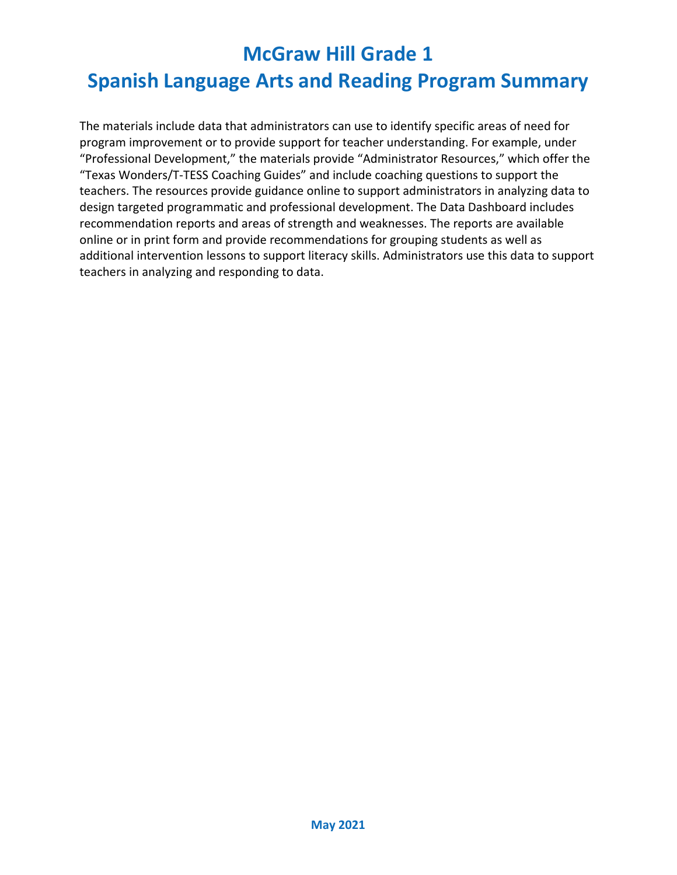# **Spanish Language Arts and Reading Program Summary**

The materials include data that administrators can use to identify specific areas of need for program improvement or to provide support for teacher understanding. For example, under "Professional Development," the materials provide "Administrator Resources," which offer the "Texas Wonders/T-TESS Coaching Guides" and include coaching questions to support the teachers. The resources provide guidance online to support administrators in analyzing data to design targeted programmatic and professional development. The Data Dashboard includes recommendation reports and areas of strength and weaknesses. The reports are available online or in print form and provide recommendations for grouping students as well as additional intervention lessons to support literacy skills. Administrators use this data to support teachers in analyzing and responding to data.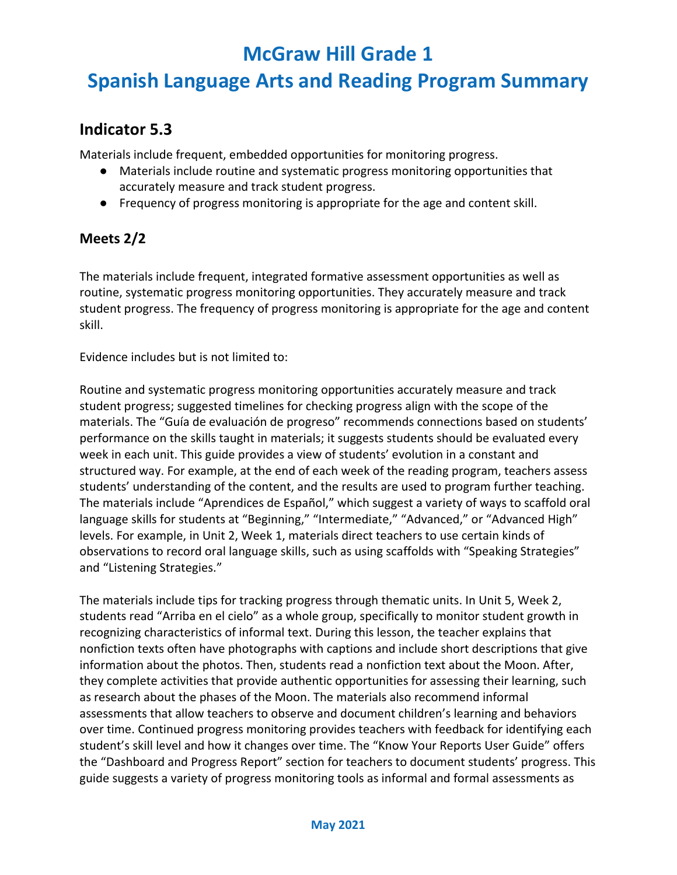# **Spanish Language Arts and Reading Program Summary**

#### **Indicator 5.3**

Materials include frequent, embedded opportunities for monitoring progress.

- Materials include routine and systematic progress monitoring opportunities that accurately measure and track student progress.
- Frequency of progress monitoring is appropriate for the age and content skill.

#### **Meets 2/2**

The materials include frequent, integrated formative assessment opportunities as well as routine, systematic progress monitoring opportunities. They accurately measure and track student progress. The frequency of progress monitoring is appropriate for the age and content skill.

Evidence includes but is not limited to:

Routine and systematic progress monitoring opportunities accurately measure and track student progress; suggested timelines for checking progress align with the scope of the materials. The "Guía de evaluación de progreso" recommends connections based on students' performance on the skills taught in materials; it suggests students should be evaluated every week in each unit. This guide provides a view of students' evolution in a constant and structured way. For example, at the end of each week of the reading program, teachers assess students' understanding of the content, and the results are used to program further teaching. The materials include "Aprendices de Español," which suggest a variety of ways to scaffold oral language skills for students at "Beginning," "Intermediate," "Advanced," or "Advanced High" levels. For example, in Unit 2, Week 1, materials direct teachers to use certain kinds of observations to record oral language skills, such as using scaffolds with "Speaking Strategies" and "Listening Strategies."

The materials include tips for tracking progress through thematic units. In Unit 5, Week 2, students read "Arriba en el cielo" as a whole group, specifically to monitor student growth in recognizing characteristics of informal text. During this lesson, the teacher explains that nonfiction texts often have photographs with captions and include short descriptions that give information about the photos. Then, students read a nonfiction text about the Moon. After, they complete activities that provide authentic opportunities for assessing their learning, such as research about the phases of the Moon. The materials also recommend informal assessments that allow teachers to observe and document children's learning and behaviors over time. Continued progress monitoring provides teachers with feedback for identifying each student's skill level and how it changes over time. The "Know Your Reports User Guide" offers the "Dashboard and Progress Report" section for teachers to document students' progress. This guide suggests a variety of progress monitoring tools as informal and formal assessments as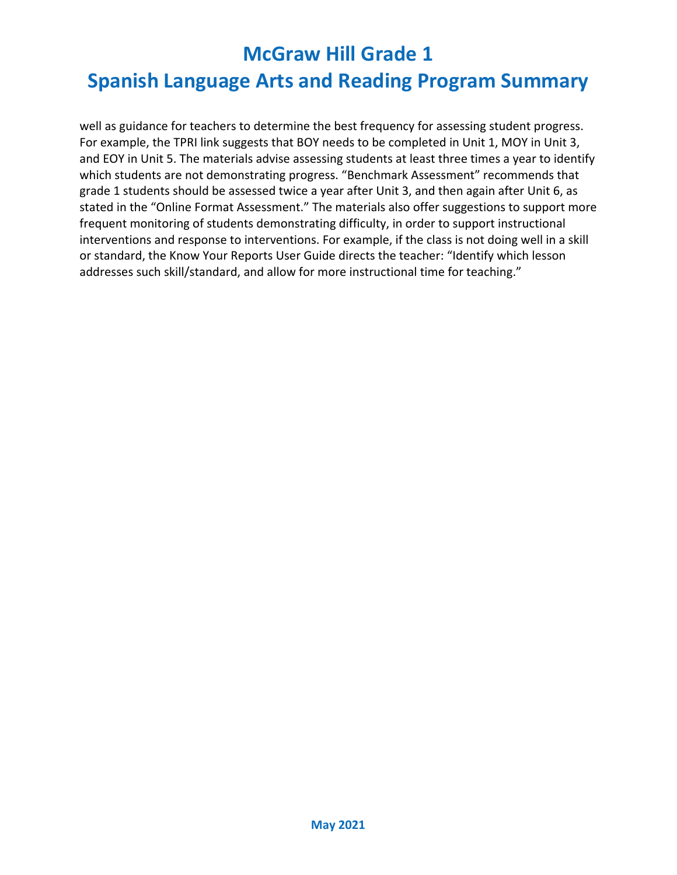# **Spanish Language Arts and Reading Program Summary**

well as guidance for teachers to determine the best frequency for assessing student progress. For example, the TPRI link suggests that BOY needs to be completed in Unit 1, MOY in Unit 3, and EOY in Unit 5. The materials advise assessing students at least three times a year to identify which students are not demonstrating progress. "Benchmark Assessment" recommends that grade 1 students should be assessed twice a year after Unit 3, and then again after Unit 6, as stated in the "Online Format Assessment." The materials also offer suggestions to support more frequent monitoring of students demonstrating difficulty, in order to support instructional interventions and response to interventions. For example, if the class is not doing well in a skill or standard, the Know Your Reports User Guide directs the teacher: "Identify which lesson addresses such skill/standard, and allow for more instructional time for teaching."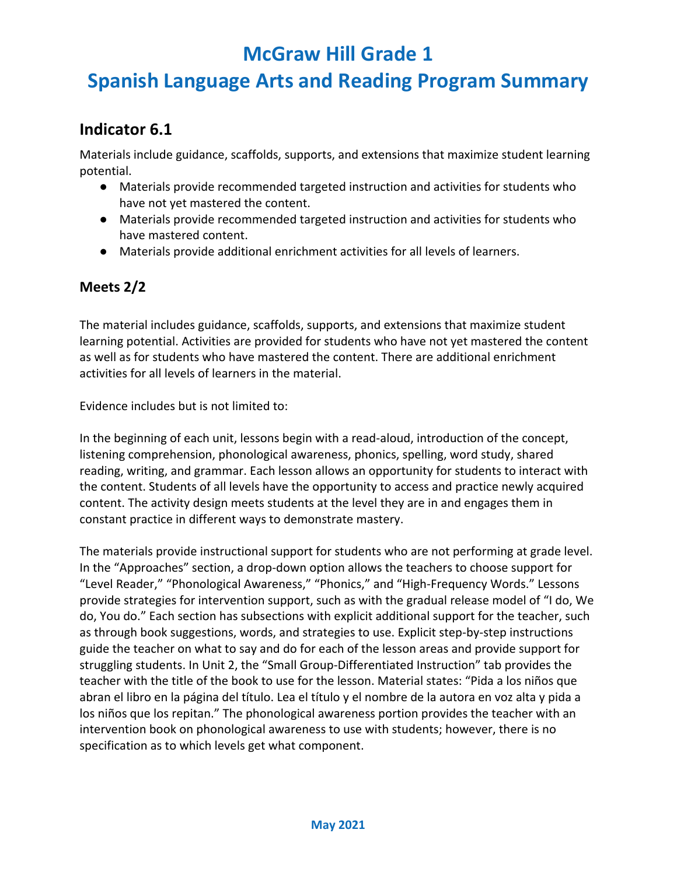# **Spanish Language Arts and Reading Program Summary**

#### **Indicator 6.1**

Materials include guidance, scaffolds, supports, and extensions that maximize student learning potential.

- Materials provide recommended targeted instruction and activities for students who have not yet mastered the content.
- Materials provide recommended targeted instruction and activities for students who have mastered content.
- Materials provide additional enrichment activities for all levels of learners.

#### **Meets 2/2**

The material includes guidance, scaffolds, supports, and extensions that maximize student learning potential. Activities are provided for students who have not yet mastered the content as well as for students who have mastered the content. There are additional enrichment activities for all levels of learners in the material.

Evidence includes but is not limited to:

In the beginning of each unit, lessons begin with a read-aloud, introduction of the concept, listening comprehension, phonological awareness, phonics, spelling, word study, shared reading, writing, and grammar. Each lesson allows an opportunity for students to interact with the content. Students of all levels have the opportunity to access and practice newly acquired content. The activity design meets students at the level they are in and engages them in constant practice in different ways to demonstrate mastery.

The materials provide instructional support for students who are not performing at grade level. In the "Approaches" section, a drop-down option allows the teachers to choose support for "Level Reader," "Phonological Awareness," "Phonics," and "High-Frequency Words." Lessons provide strategies for intervention support, such as with the gradual release model of "I do, We do, You do." Each section has subsections with explicit additional support for the teacher, such as through book suggestions, words, and strategies to use. Explicit step-by-step instructions guide the teacher on what to say and do for each of the lesson areas and provide support for struggling students. In Unit 2, the "Small Group-Differentiated Instruction" tab provides the teacher with the title of the book to use for the lesson. Material states: "Pida a los niños que abran el libro en la página del título. Lea el título y el nombre de la autora en voz alta y pida a los niños que los repitan." The phonological awareness portion provides the teacher with an intervention book on phonological awareness to use with students; however, there is no specification as to which levels get what component.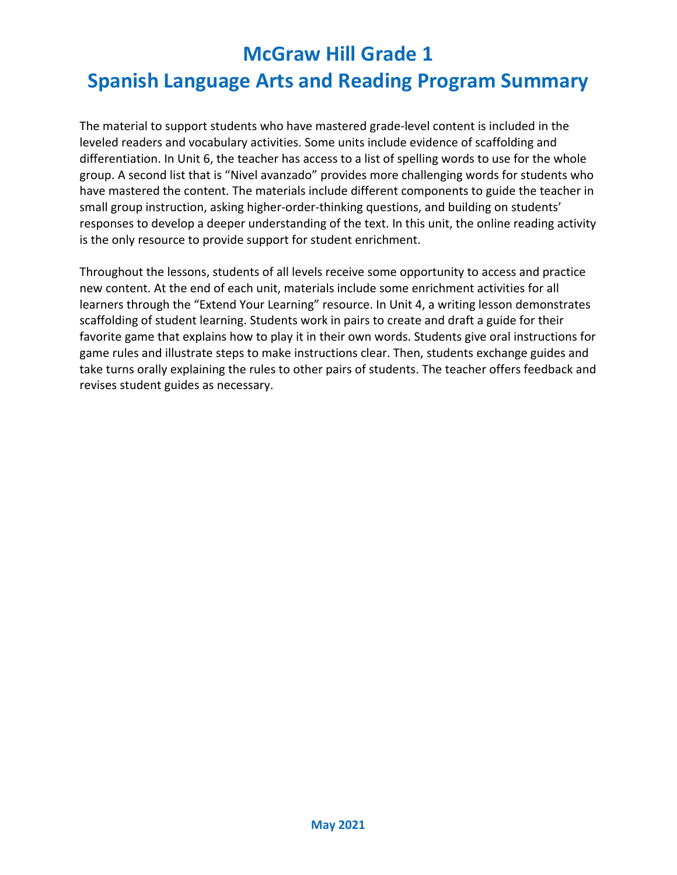# **Spanish Language Arts and Reading Program Summary**

The material to support students who have mastered grade-level content is included in the leveled readers and vocabulary activities. Some units include evidence of scaffolding and differentiation. In Unit 6, the teacher has access to a list of spelling words to use for the whole group. A second list that is "Nivel avanzado" provides more challenging words for students who have mastered the content. The materials include different components to guide the teacher in small group instruction, asking higher-order-thinking questions, and building on students' responses to develop a deeper understanding of the text. In this unit, the online reading activity is the only resource to provide support for student enrichment.

Throughout the lessons, students of all levels receive some opportunity to access and practice new content. At the end of each unit, materials include some enrichment activities for all learners through the "Extend Your Learning" resource. In Unit 4, a writing lesson demonstrates scaffolding of student learning. Students work in pairs to create and draft a guide for their favorite game that explains how to play it in their own words. Students give oral instructions for game rules and illustrate steps to make instructions clear. Then, students exchange guides and take turns orally explaining the rules to other pairs of students. The teacher offers feedback and revises student guides as necessary.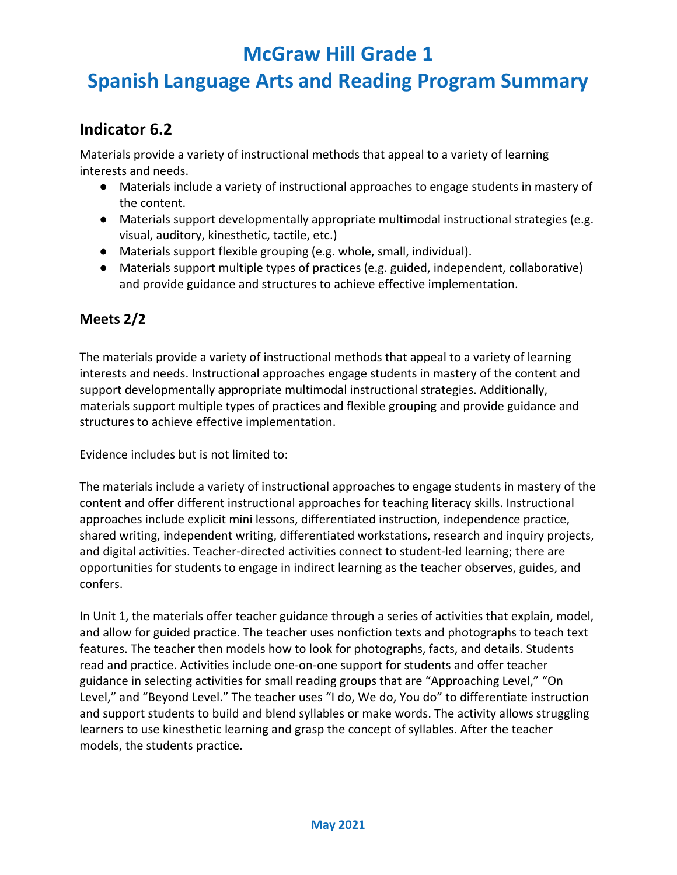# **Spanish Language Arts and Reading Program Summary**

#### **Indicator 6.2**

Materials provide a variety of instructional methods that appeal to a variety of learning interests and needs.

- Materials include a variety of instructional approaches to engage students in mastery of the content.
- Materials support developmentally appropriate multimodal instructional strategies (e.g. visual, auditory, kinesthetic, tactile, etc.)
- Materials support flexible grouping (e.g. whole, small, individual).
- Materials support multiple types of practices (e.g. guided, independent, collaborative) and provide guidance and structures to achieve effective implementation.

#### **Meets 2/2**

The materials provide a variety of instructional methods that appeal to a variety of learning interests and needs. Instructional approaches engage students in mastery of the content and support developmentally appropriate multimodal instructional strategies. Additionally, materials support multiple types of practices and flexible grouping and provide guidance and structures to achieve effective implementation.

Evidence includes but is not limited to:

The materials include a variety of instructional approaches to engage students in mastery of the content and offer different instructional approaches for teaching literacy skills. Instructional approaches include explicit mini lessons, differentiated instruction, independence practice, shared writing, independent writing, differentiated workstations, research and inquiry projects, and digital activities. Teacher-directed activities connect to student-led learning; there are opportunities for students to engage in indirect learning as the teacher observes, guides, and confers.

In Unit 1, the materials offer teacher guidance through a series of activities that explain, model, and allow for guided practice. The teacher uses nonfiction texts and photographs to teach text features. The teacher then models how to look for photographs, facts, and details. Students read and practice. Activities include one-on-one support for students and offer teacher guidance in selecting activities for small reading groups that are "Approaching Level," "On Level," and "Beyond Level." The teacher uses "I do, We do, You do" to differentiate instruction and support students to build and blend syllables or make words. The activity allows struggling learners to use kinesthetic learning and grasp the concept of syllables. After the teacher models, the students practice.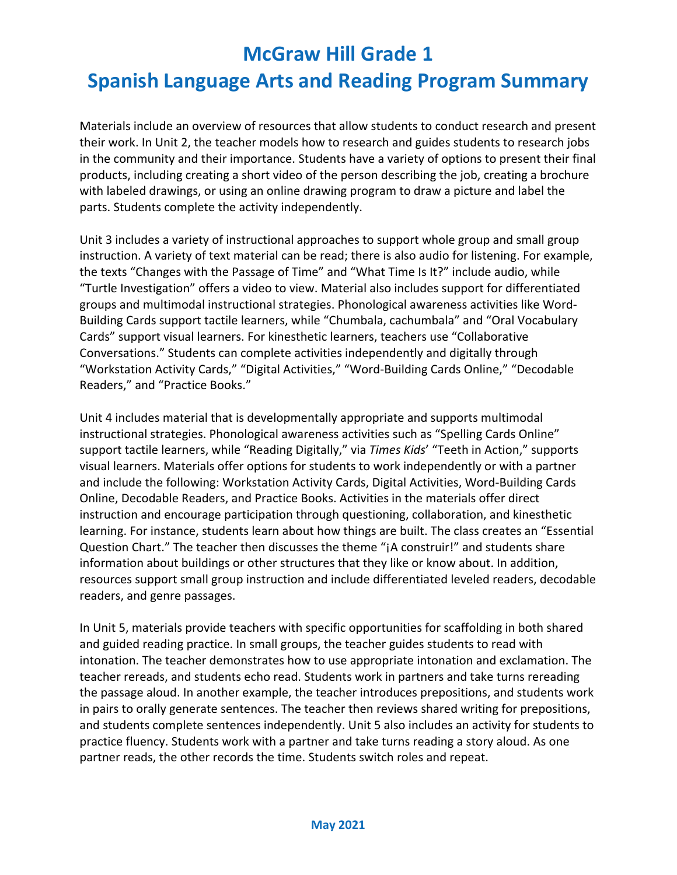# **Spanish Language Arts and Reading Program Summary**

Materials include an overview of resources that allow students to conduct research and present their work. In Unit 2, the teacher models how to research and guides students to research jobs in the community and their importance. Students have a variety of options to present their final products, including creating a short video of the person describing the job, creating a brochure with labeled drawings, or using an online drawing program to draw a picture and label the parts. Students complete the activity independently.

Unit 3 includes a variety of instructional approaches to support whole group and small group instruction. A variety of text material can be read; there is also audio for listening. For example, the texts "Changes with the Passage of Time" and "What Time Is It?" include audio, while "Turtle Investigation" offers a video to view. Material also includes support for differentiated groups and multimodal instructional strategies. Phonological awareness activities like Word-Building Cards support tactile learners, while "Chumbala, cachumbala" and "Oral Vocabulary Cards" support visual learners. For kinesthetic learners, teachers use "Collaborative Conversations." Students can complete activities independently and digitally through "Workstation Activity Cards," "Digital Activities," "Word-Building Cards Online," "Decodable Readers," and "Practice Books."

Unit 4 includes material that is developmentally appropriate and supports multimodal instructional strategies. Phonological awareness activities such as "Spelling Cards Online" support tactile learners, while "Reading Digitally," via *Times Kids*' "Teeth in Action," supports visual learners. Materials offer options for students to work independently or with a partner and include the following: Workstation Activity Cards, Digital Activities, Word-Building Cards Online, Decodable Readers, and Practice Books. Activities in the materials offer direct instruction and encourage participation through questioning, collaboration, and kinesthetic learning. For instance, students learn about how things are built. The class creates an "Essential Question Chart." The teacher then discusses the theme "¡A construir!" and students share information about buildings or other structures that they like or know about. In addition, resources support small group instruction and include differentiated leveled readers, decodable readers, and genre passages.

In Unit 5, materials provide teachers with specific opportunities for scaffolding in both shared and guided reading practice. In small groups, the teacher guides students to read with intonation. The teacher demonstrates how to use appropriate intonation and exclamation. The teacher rereads, and students echo read. Students work in partners and take turns rereading the passage aloud. In another example, the teacher introduces prepositions, and students work in pairs to orally generate sentences. The teacher then reviews shared writing for prepositions, and students complete sentences independently. Unit 5 also includes an activity for students to practice fluency. Students work with a partner and take turns reading a story aloud. As one partner reads, the other records the time. Students switch roles and repeat.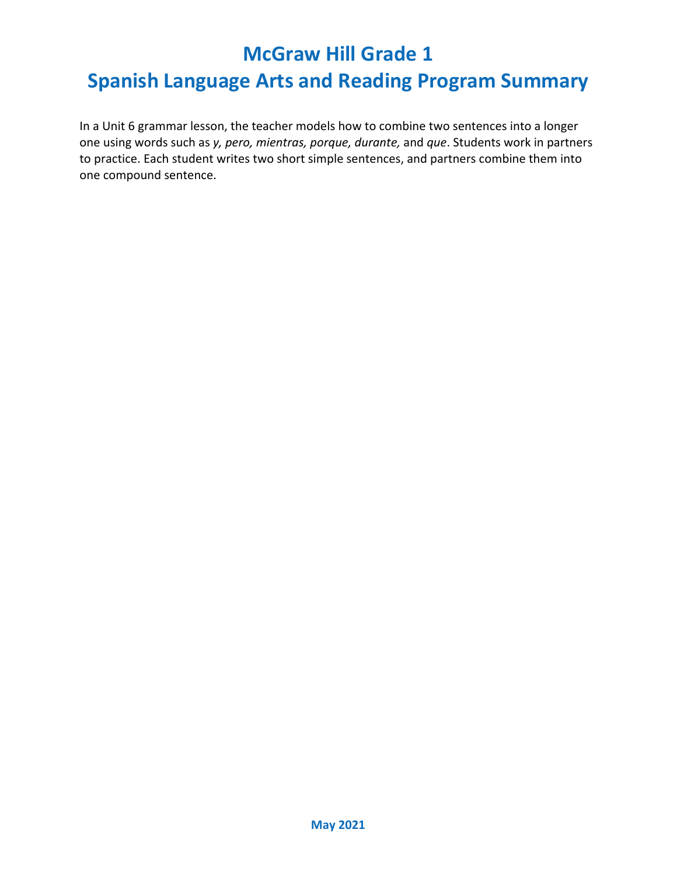### **Spanish Language Arts and Reading Program Summary**

In a Unit 6 grammar lesson, the teacher models how to combine two sentences into a longer one using words such as *y, pero, mientras, porque, durante,* and *que*. Students work in partners to practice. Each student writes two short simple sentences, and partners combine them into one compound sentence.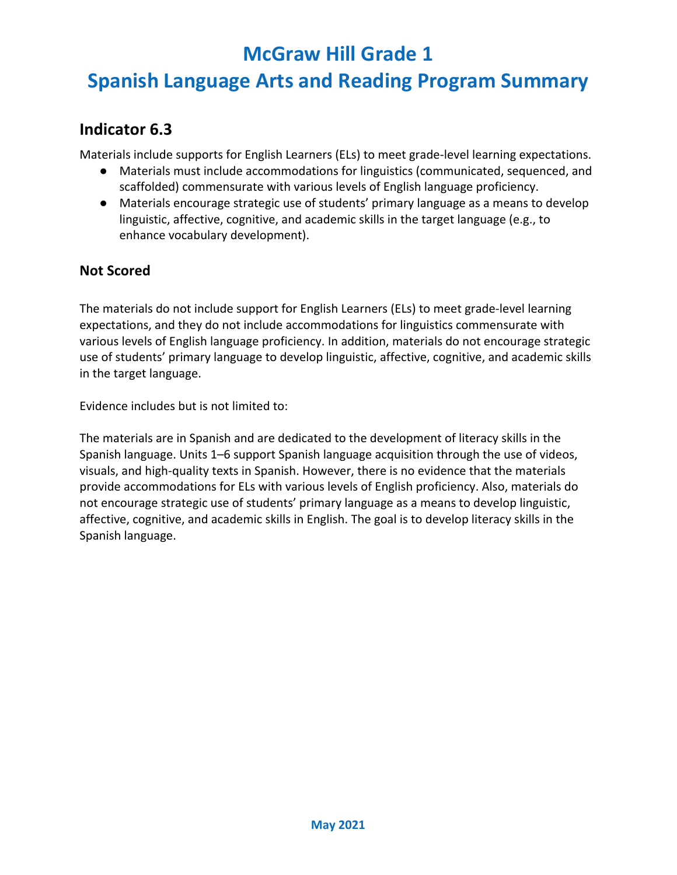# **Spanish Language Arts and Reading Program Summary**

#### **Indicator 6.3**

Materials include supports for English Learners (ELs) to meet grade-level learning expectations.

- Materials must include accommodations for linguistics (communicated, sequenced, and scaffolded) commensurate with various levels of English language proficiency.
- Materials encourage strategic use of students' primary language as a means to develop linguistic, affective, cognitive, and academic skills in the target language (e.g., to enhance vocabulary development).

#### **Not Scored**

The materials do not include support for English Learners (ELs) to meet grade-level learning expectations, and they do not include accommodations for linguistics commensurate with various levels of English language proficiency. In addition, materials do not encourage strategic use of students' primary language to develop linguistic, affective, cognitive, and academic skills in the target language.

Evidence includes but is not limited to:

The materials are in Spanish and are dedicated to the development of literacy skills in the Spanish language. Units 1–6 support Spanish language acquisition through the use of videos, visuals, and high-quality texts in Spanish. However, there is no evidence that the materials provide accommodations for ELs with various levels of English proficiency. Also, materials do not encourage strategic use of students' primary language as a means to develop linguistic, affective, cognitive, and academic skills in English. The goal is to develop literacy skills in the Spanish language.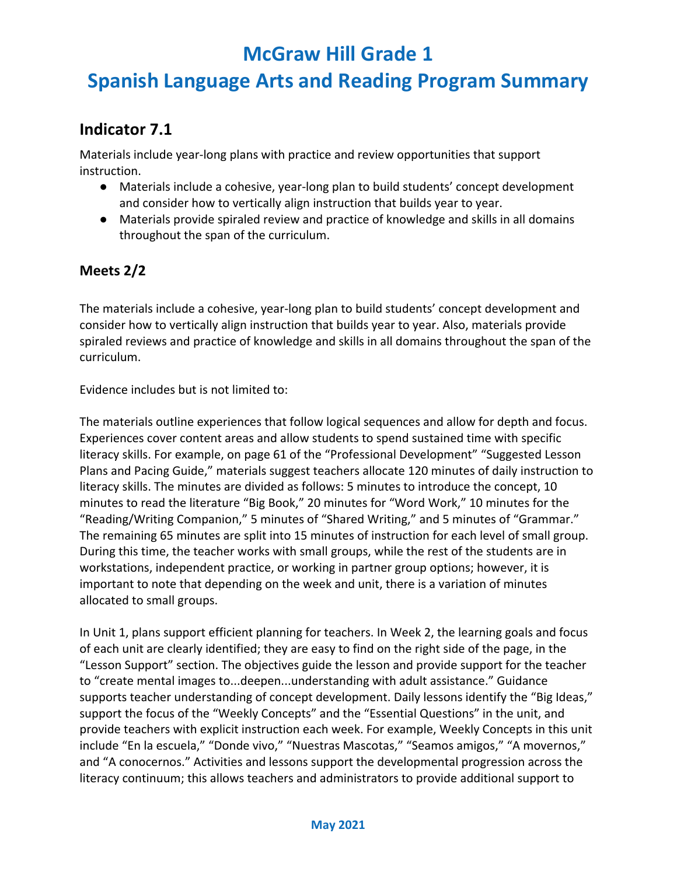# **Spanish Language Arts and Reading Program Summary**

#### **Indicator 7.1**

Materials include year-long plans with practice and review opportunities that support instruction.

- Materials include a cohesive, year-long plan to build students' concept development and consider how to vertically align instruction that builds year to year.
- Materials provide spiraled review and practice of knowledge and skills in all domains throughout the span of the curriculum.

#### **Meets 2/2**

The materials include a cohesive, year-long plan to build students' concept development and consider how to vertically align instruction that builds year to year. Also, materials provide spiraled reviews and practice of knowledge and skills in all domains throughout the span of the curriculum.

Evidence includes but is not limited to:

The materials outline experiences that follow logical sequences and allow for depth and focus. Experiences cover content areas and allow students to spend sustained time with specific literacy skills. For example, on page 61 of the "Professional Development" "Suggested Lesson Plans and Pacing Guide," materials suggest teachers allocate 120 minutes of daily instruction to literacy skills. The minutes are divided as follows: 5 minutes to introduce the concept, 10 minutes to read the literature "Big Book," 20 minutes for "Word Work," 10 minutes for the "Reading/Writing Companion," 5 minutes of "Shared Writing," and 5 minutes of "Grammar." The remaining 65 minutes are split into 15 minutes of instruction for each level of small group. During this time, the teacher works with small groups, while the rest of the students are in workstations, independent practice, or working in partner group options; however, it is important to note that depending on the week and unit, there is a variation of minutes allocated to small groups.

In Unit 1, plans support efficient planning for teachers. In Week 2, the learning goals and focus of each unit are clearly identified; they are easy to find on the right side of the page, in the "Lesson Support" section. The objectives guide the lesson and provide support for the teacher to "create mental images to...deepen...understanding with adult assistance." Guidance supports teacher understanding of concept development. Daily lessons identify the "Big Ideas," support the focus of the "Weekly Concepts" and the "Essential Questions" in the unit, and provide teachers with explicit instruction each week. For example, Weekly Concepts in this unit include "En la escuela," "Donde vivo," "Nuestras Mascotas," "Seamos amigos," "A movernos," and "A conocernos." Activities and lessons support the developmental progression across the literacy continuum; this allows teachers and administrators to provide additional support to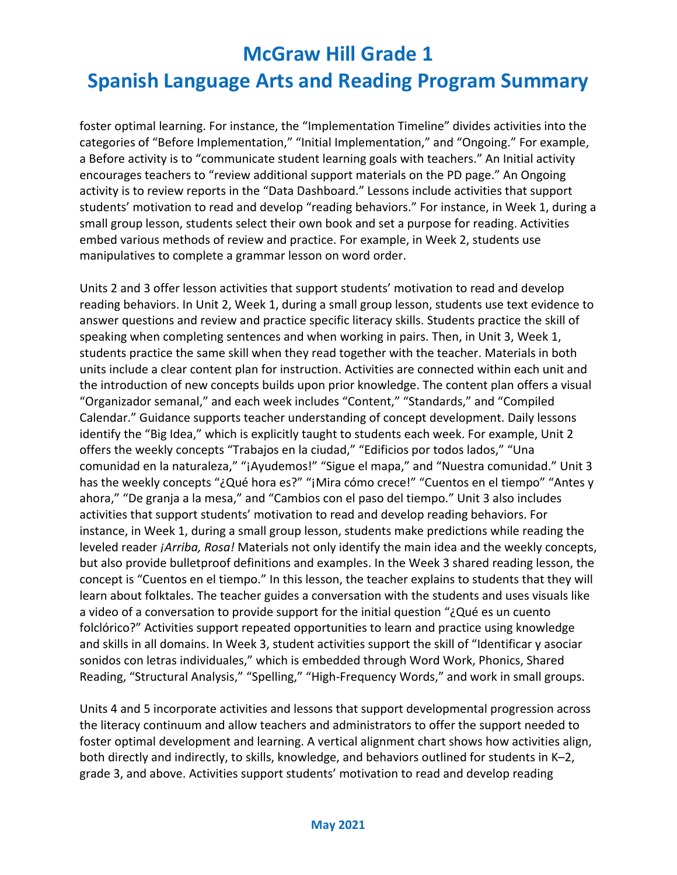# **Spanish Language Arts and Reading Program Summary**

foster optimal learning. For instance, the "Implementation Timeline" divides activities into the categories of "Before Implementation," "Initial Implementation," and "Ongoing." For example, a Before activity is to "communicate student learning goals with teachers." An Initial activity encourages teachers to "review additional support materials on the PD page." An Ongoing activity is to review reports in the "Data Dashboard." Lessons include activities that support students' motivation to read and develop "reading behaviors." For instance, in Week 1, during a small group lesson, students select their own book and set a purpose for reading. Activities embed various methods of review and practice. For example, in Week 2, students use manipulatives to complete a grammar lesson on word order.

Units 2 and 3 offer lesson activities that support students' motivation to read and develop reading behaviors. In Unit 2, Week 1, during a small group lesson, students use text evidence to answer questions and review and practice specific literacy skills. Students practice the skill of speaking when completing sentences and when working in pairs. Then, in Unit 3, Week 1, students practice the same skill when they read together with the teacher. Materials in both units include a clear content plan for instruction. Activities are connected within each unit and the introduction of new concepts builds upon prior knowledge. The content plan offers a visual "Organizador semanal," and each week includes "Content," "Standards," and "Compiled Calendar." Guidance supports teacher understanding of concept development. Daily lessons identify the "Big Idea," which is explicitly taught to students each week. For example, Unit 2 offers the weekly concepts "Trabajos en la ciudad," "Edificios por todos lados," "Una comunidad en la naturaleza," "¡Ayudemos!" "Sigue el mapa," and "Nuestra comunidad." Unit 3 has the weekly concepts "¿Qué hora es?" "¡Mira cómo crece!" "Cuentos en el tiempo" "Antes y ahora," "De granja a la mesa," and "Cambios con el paso del tiempo." Unit 3 also includes activities that support students' motivation to read and develop reading behaviors. For instance, in Week 1, during a small group lesson, students make predictions while reading the leveled reader *¡Arriba, Rosa!* Materials not only identify the main idea and the weekly concepts, but also provide bulletproof definitions and examples. In the Week 3 shared reading lesson, the concept is "Cuentos en el tiempo." In this lesson, the teacher explains to students that they will learn about folktales. The teacher guides a conversation with the students and uses visuals like a video of a conversation to provide support for the initial question "¿Qué es un cuento folclórico?" Activities support repeated opportunities to learn and practice using knowledge and skills in all domains. In Week 3, student activities support the skill of "Identificar y asociar sonidos con letras individuales," which is embedded through Word Work, Phonics, Shared Reading, "Structural Analysis," "Spelling," "High-Frequency Words," and work in small groups.

Units 4 and 5 incorporate activities and lessons that support developmental progression across the literacy continuum and allow teachers and administrators to offer the support needed to foster optimal development and learning. A vertical alignment chart shows how activities align, both directly and indirectly, to skills, knowledge, and behaviors outlined for students in K–2, grade 3, and above. Activities support students' motivation to read and develop reading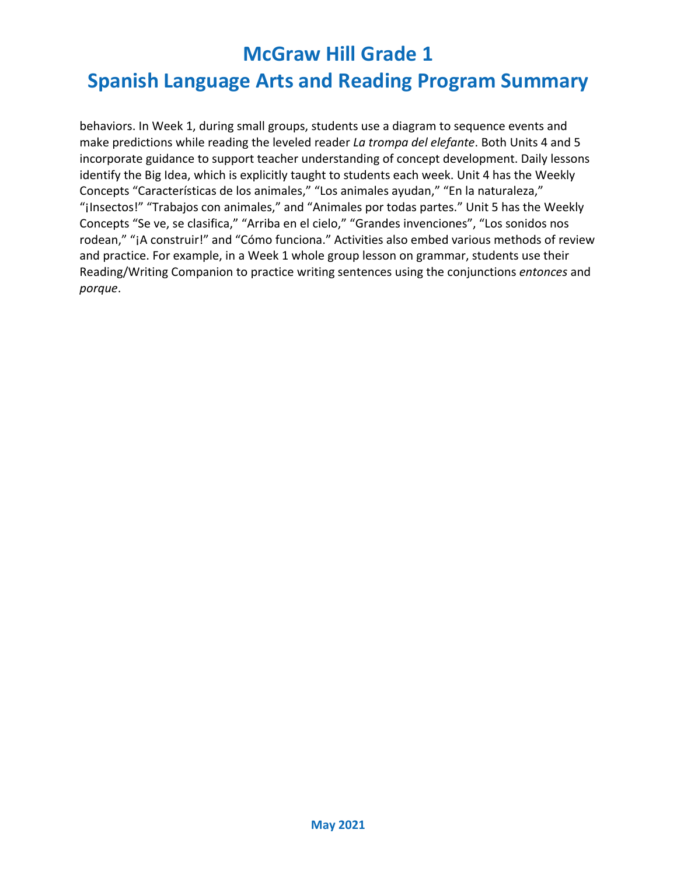# **Spanish Language Arts and Reading Program Summary**

behaviors. In Week 1, during small groups, students use a diagram to sequence events and make predictions while reading the leveled reader *La trompa del elefante*. Both Units 4 and 5 incorporate guidance to support teacher understanding of concept development. Daily lessons identify the Big Idea, which is explicitly taught to students each week. Unit 4 has the Weekly Concepts "Características de los animales," "Los animales ayudan," "En la naturaleza," "¡Insectos!" "Trabajos con animales," and "Animales por todas partes." Unit 5 has the Weekly Concepts "Se ve, se clasifica," "Arriba en el cielo," "Grandes invenciones", "Los sonidos nos rodean," "¡A construir!" and "Cómo funciona." Activities also embed various methods of review and practice. For example, in a Week 1 whole group lesson on grammar, students use their Reading/Writing Companion to practice writing sentences using the conjunctions *entonces* and *porque*.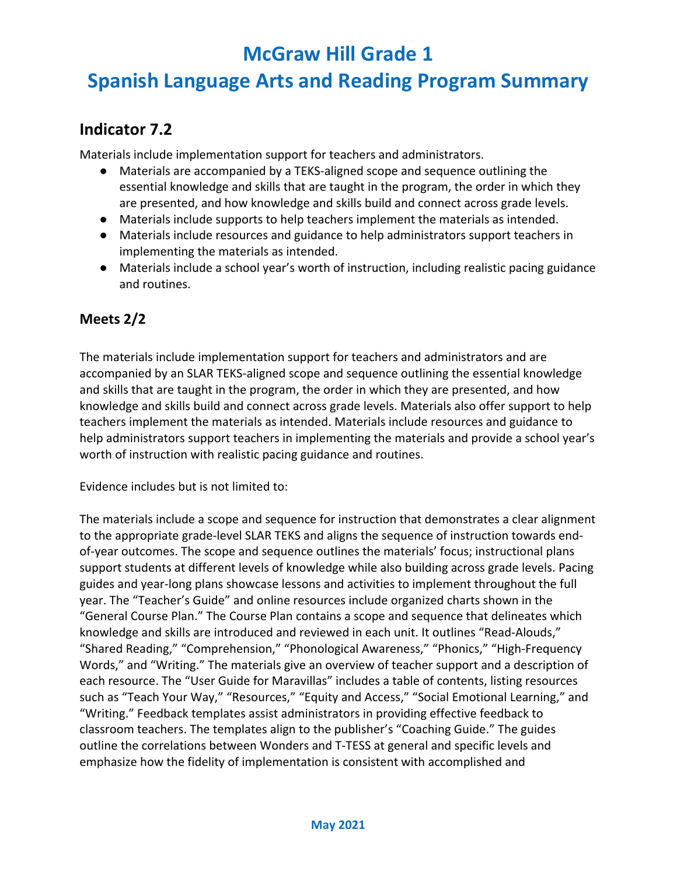## **Spanish Language Arts and Reading Program Summary**

### **Indicator 7.2**

Materials include implementation support for teachers and administrators.

- Materials are accompanied by a TEKS-aligned scope and sequence outlining the essential knowledge and skills that are taught in the program, the order in which they are presented, and how knowledge and skills build and connect across grade levels.
- Materials include supports to help teachers implement the materials as intended.
- Materials include resources and guidance to help administrators support teachers in implementing the materials as intended.
- Materials include a school year's worth of instruction, including realistic pacing guidance and routines.

#### **Meets 2/2**

The materials include implementation support for teachers and administrators and are accompanied by an SLAR TEKS-aligned scope and sequence outlining the essential knowledge and skills that are taught in the program, the order in which they are presented, and how knowledge and skills build and connect across grade levels. Materials also offer support to help teachers implement the materials as intended. Materials include resources and guidance to help administrators support teachers in implementing the materials and provide a school year's worth of instruction with realistic pacing guidance and routines.

Evidence includes but is not limited to:

The materials include a scope and sequence for instruction that demonstrates a clear alignment to the appropriate grade-level SLAR TEKS and aligns the sequence of instruction towards endof-year outcomes. The scope and sequence outlines the materials' focus; instructional plans support students at different levels of knowledge while also building across grade levels. Pacing guides and year-long plans showcase lessons and activities to implement throughout the full year. The "Teacher's Guide" and online resources include organized charts shown in the "General Course Plan." The Course Plan contains a scope and sequence that delineates which knowledge and skills are introduced and reviewed in each unit. It outlines "Read-Alouds," "Shared Reading," "Comprehension," "Phonological Awareness," "Phonics," "High-Frequency Words," and "Writing." The materials give an overview of teacher support and a description of each resource. The "User Guide for Maravillas" includes a table of contents, listing resources such as "Teach Your Way," "Resources," "Equity and Access," "Social Emotional Learning," and "Writing." Feedback templates assist administrators in providing effective feedback to classroom teachers. The templates align to the publisher's "Coaching Guide." The guides outline the correlations between Wonders and T-TESS at general and specific levels and emphasize how the fidelity of implementation is consistent with accomplished and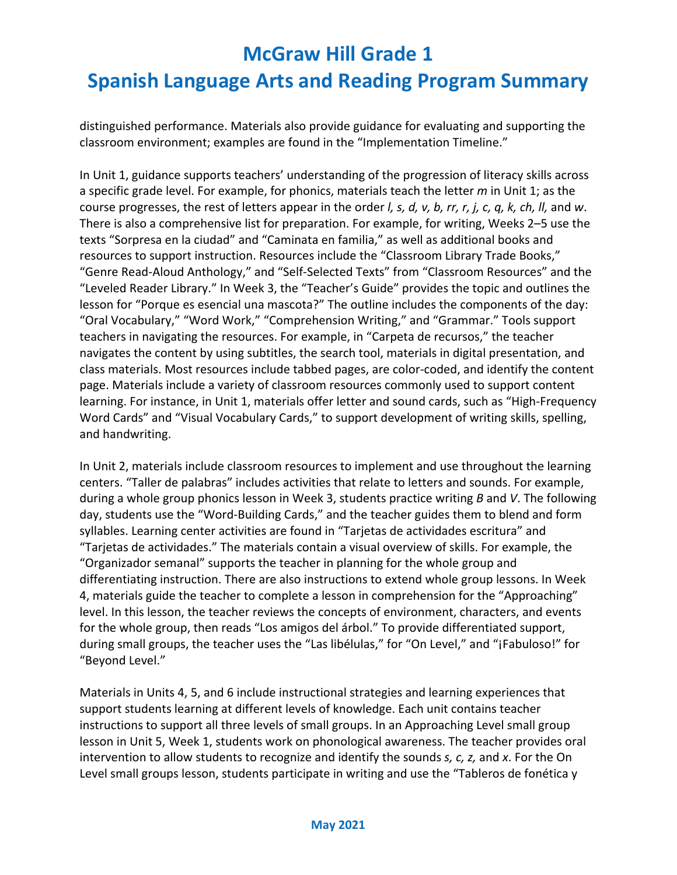distinguished performance. Materials also provide guidance for evaluating and supporting the classroom environment; examples are found in the "Implementation Timeline."

In Unit 1, guidance supports teachers' understanding of the progression of literacy skills across a specific grade level. For example, for phonics, materials teach the letter *m* in Unit 1; as the course progresses, the rest of letters appear in the order *l, s, d, v, b, rr, r, j, c, q, k, ch, ll,* and *w*. There is also a comprehensive list for preparation. For example, for writing, Weeks 2–5 use the texts "Sorpresa en la ciudad" and "Caminata en familia," as well as additional books and resources to support instruction. Resources include the "Classroom Library Trade Books," "Genre Read-Aloud Anthology," and "Self-Selected Texts" from "Classroom Resources" and the "Leveled Reader Library." In Week 3, the "Teacher's Guide" provides the topic and outlines the lesson for "Porque es esencial una mascota?" The outline includes the components of the day: "Oral Vocabulary," "Word Work," "Comprehension Writing," and "Grammar." Tools support teachers in navigating the resources. For example, in "Carpeta de recursos," the teacher navigates the content by using subtitles, the search tool, materials in digital presentation, and class materials. Most resources include tabbed pages, are color-coded, and identify the content page. Materials include a variety of classroom resources commonly used to support content learning. For instance, in Unit 1, materials offer letter and sound cards, such as "High-Frequency Word Cards" and "Visual Vocabulary Cards," to support development of writing skills, spelling, and handwriting.

In Unit 2, materials include classroom resources to implement and use throughout the learning centers. "Taller de palabras" includes activities that relate to letters and sounds. For example, during a whole group phonics lesson in Week 3, students practice writing *B* and *V*. The following day, students use the "Word-Building Cards," and the teacher guides them to blend and form syllables. Learning center activities are found in "Tarjetas de actividades escritura" and "Tarjetas de actividades." The materials contain a visual overview of skills. For example, the "Organizador semanal" supports the teacher in planning for the whole group and differentiating instruction. There are also instructions to extend whole group lessons. In Week 4, materials guide the teacher to complete a lesson in comprehension for the "Approaching" level. In this lesson, the teacher reviews the concepts of environment, characters, and events for the whole group, then reads "Los amigos del árbol." To provide differentiated support, during small groups, the teacher uses the "Las libélulas," for "On Level," and "¡Fabuloso!" for "Beyond Level."

Materials in Units 4, 5, and 6 include instructional strategies and learning experiences that support students learning at different levels of knowledge. Each unit contains teacher instructions to support all three levels of small groups. In an Approaching Level small group lesson in Unit 5, Week 1, students work on phonological awareness. The teacher provides oral intervention to allow students to recognize and identify the sounds *s, c, z,* and *x*. For the On Level small groups lesson, students participate in writing and use the "Tableros de fonética y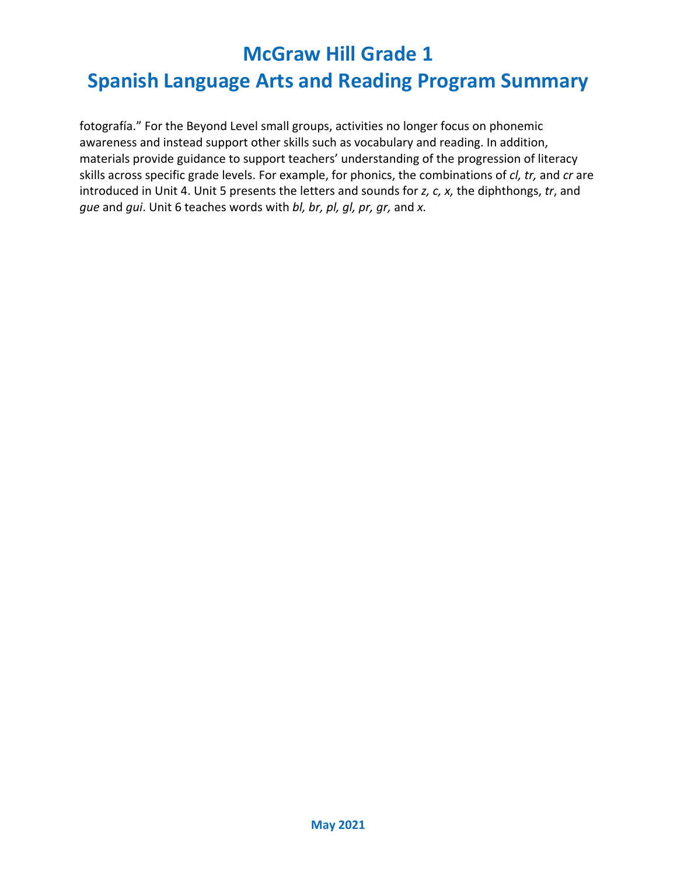## **Spanish Language Arts and Reading Program Summary**

fotografía." For the Beyond Level small groups, activities no longer focus on phonemic awareness and instead support other skills such as vocabulary and reading. In addition, materials provide guidance to support teachers' understanding of the progression of literacy skills across specific grade levels. For example, for phonics, the combinations of *cl, tr,* and *cr* are introduced in Unit 4. Unit 5 presents the letters and sounds for *z, c, x,* the diphthongs, *tr*, and *gue* and *gui*. Unit 6 teaches words with *bl, br, pl, gl, pr, gr,* and *x.*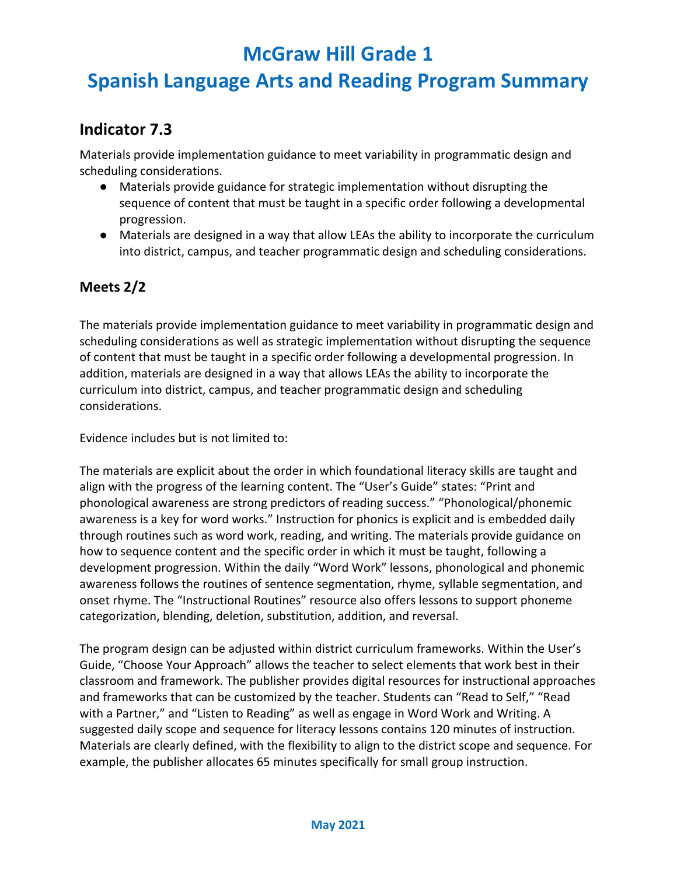## **Spanish Language Arts and Reading Program Summary**

### **Indicator 7.3**

Materials provide implementation guidance to meet variability in programmatic design and scheduling considerations.

- Materials provide guidance for strategic implementation without disrupting the sequence of content that must be taught in a specific order following a developmental progression.
- Materials are designed in a way that allow LEAs the ability to incorporate the curriculum into district, campus, and teacher programmatic design and scheduling considerations.

#### **Meets 2/2**

The materials provide implementation guidance to meet variability in programmatic design and scheduling considerations as well as strategic implementation without disrupting the sequence of content that must be taught in a specific order following a developmental progression. In addition, materials are designed in a way that allows LEAs the ability to incorporate the curriculum into district, campus, and teacher programmatic design and scheduling considerations.

Evidence includes but is not limited to:

The materials are explicit about the order in which foundational literacy skills are taught and align with the progress of the learning content. The "User's Guide" states: "Print and phonological awareness are strong predictors of reading success." "Phonological/phonemic awareness is a key for word works." Instruction for phonics is explicit and is embedded daily through routines such as word work, reading, and writing. The materials provide guidance on how to sequence content and the specific order in which it must be taught, following a development progression. Within the daily "Word Work" lessons, phonological and phonemic awareness follows the routines of sentence segmentation, rhyme, syllable segmentation, and onset rhyme. The "Instructional Routines" resource also offers lessons to support phoneme categorization, blending, deletion, substitution, addition, and reversal.

The program design can be adjusted within district curriculum frameworks. Within the User's Guide, "Choose Your Approach" allows the teacher to select elements that work best in their classroom and framework. The publisher provides digital resources for instructional approaches and frameworks that can be customized by the teacher. Students can "Read to Self," "Read with a Partner," and "Listen to Reading" as well as engage in Word Work and Writing. A suggested daily scope and sequence for literacy lessons contains 120 minutes of instruction. Materials are clearly defined, with the flexibility to align to the district scope and sequence. For example, the publisher allocates 65 minutes specifically for small group instruction.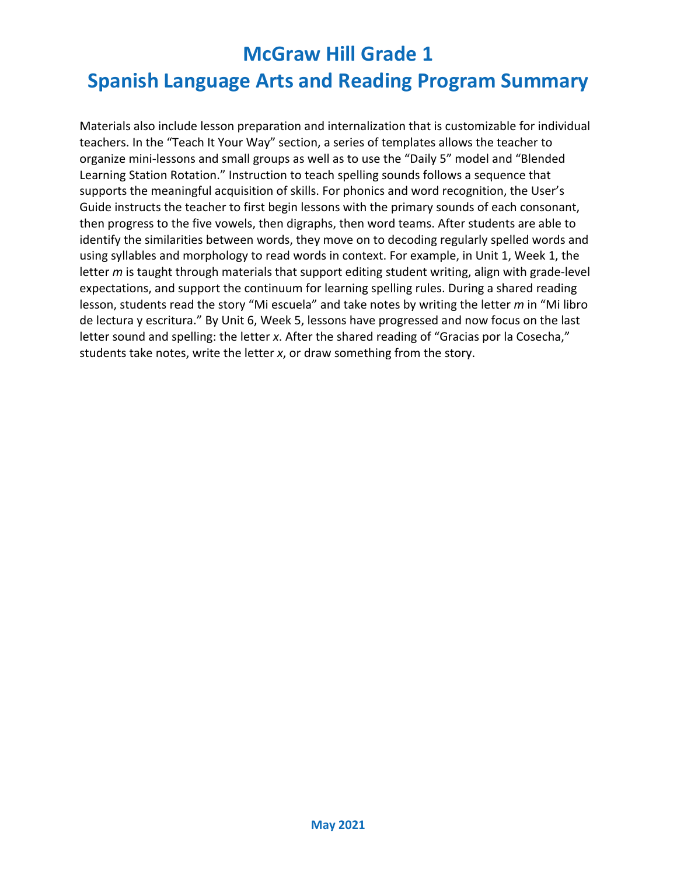Materials also include lesson preparation and internalization that is customizable for individual teachers. In the "Teach It Your Way" section, a series of templates allows the teacher to organize mini-lessons and small groups as well as to use the "Daily 5" model and "Blended Learning Station Rotation." Instruction to teach spelling sounds follows a sequence that supports the meaningful acquisition of skills. For phonics and word recognition, the User's Guide instructs the teacher to first begin lessons with the primary sounds of each consonant, then progress to the five vowels, then digraphs, then word teams. After students are able to identify the similarities between words, they move on to decoding regularly spelled words and using syllables and morphology to read words in context. For example, in Unit 1, Week 1, the letter *m* is taught through materials that support editing student writing, align with grade-level expectations, and support the continuum for learning spelling rules. During a shared reading lesson, students read the story "Mi escuela" and take notes by writing the letter *m* in "Mi libro de lectura y escritura." By Unit 6, Week 5, lessons have progressed and now focus on the last letter sound and spelling: the letter *x*. After the shared reading of "Gracias por la Cosecha," students take notes, write the letter *x*, or draw something from the story.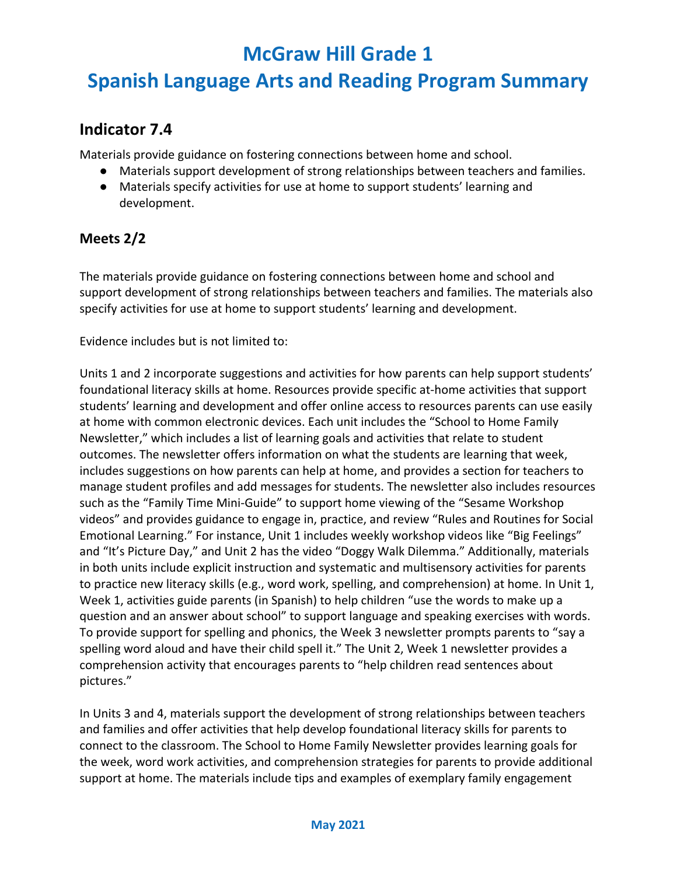## **Spanish Language Arts and Reading Program Summary**

### **Indicator 7.4**

Materials provide guidance on fostering connections between home and school.

- Materials support development of strong relationships between teachers and families.
- Materials specify activities for use at home to support students' learning and development.

#### **Meets 2/2**

The materials provide guidance on fostering connections between home and school and support development of strong relationships between teachers and families. The materials also specify activities for use at home to support students' learning and development.

Evidence includes but is not limited to:

Units 1 and 2 incorporate suggestions and activities for how parents can help support students' foundational literacy skills at home. Resources provide specific at-home activities that support students' learning and development and offer online access to resources parents can use easily at home with common electronic devices. Each unit includes the "School to Home Family Newsletter," which includes a list of learning goals and activities that relate to student outcomes. The newsletter offers information on what the students are learning that week, includes suggestions on how parents can help at home, and provides a section for teachers to manage student profiles and add messages for students. The newsletter also includes resources such as the "Family Time Mini-Guide" to support home viewing of the "Sesame Workshop videos" and provides guidance to engage in, practice, and review "Rules and Routines for Social Emotional Learning." For instance, Unit 1 includes weekly workshop videos like "Big Feelings" and "It's Picture Day," and Unit 2 has the video "Doggy Walk Dilemma." Additionally, materials in both units include explicit instruction and systematic and multisensory activities for parents to practice new literacy skills (e.g., word work, spelling, and comprehension) at home. In Unit 1, Week 1, activities guide parents (in Spanish) to help children "use the words to make up a question and an answer about school" to support language and speaking exercises with words. To provide support for spelling and phonics, the Week 3 newsletter prompts parents to "say a spelling word aloud and have their child spell it." The Unit 2, Week 1 newsletter provides a comprehension activity that encourages parents to "help children read sentences about pictures."

In Units 3 and 4, materials support the development of strong relationships between teachers and families and offer activities that help develop foundational literacy skills for parents to connect to the classroom. The School to Home Family Newsletter provides learning goals for the week, word work activities, and comprehension strategies for parents to provide additional support at home. The materials include tips and examples of exemplary family engagement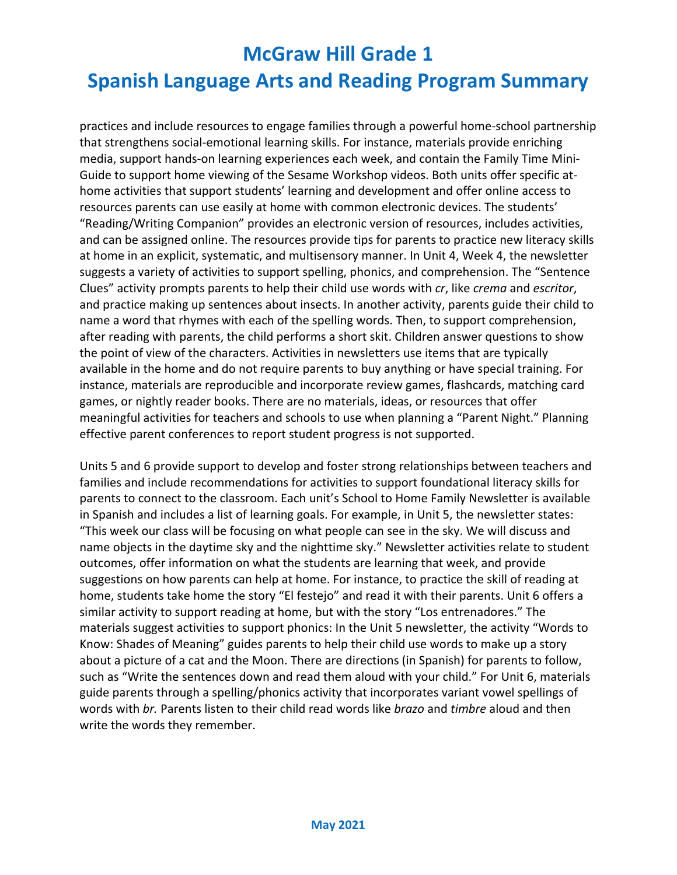practices and include resources to engage families through a powerful home-school partnership that strengthens social-emotional learning skills. For instance, materials provide enriching media, support hands-on learning experiences each week, and contain the Family Time Mini-Guide to support home viewing of the Sesame Workshop videos. Both units offer specific athome activities that support students' learning and development and offer online access to resources parents can use easily at home with common electronic devices. The students' "Reading/Writing Companion" provides an electronic version of resources, includes activities, and can be assigned online. The resources provide tips for parents to practice new literacy skills at home in an explicit, systematic, and multisensory manner. In Unit 4, Week 4, the newsletter suggests a variety of activities to support spelling, phonics, and comprehension. The "Sentence Clues" activity prompts parents to help their child use words with *cr*, like *crema* and *escritor*, and practice making up sentences about insects. In another activity, parents guide their child to name a word that rhymes with each of the spelling words. Then, to support comprehension, after reading with parents, the child performs a short skit. Children answer questions to show the point of view of the characters. Activities in newsletters use items that are typically available in the home and do not require parents to buy anything or have special training. For instance, materials are reproducible and incorporate review games, flashcards, matching card games, or nightly reader books. There are no materials, ideas, or resources that offer meaningful activities for teachers and schools to use when planning a "Parent Night." Planning effective parent conferences to report student progress is not supported.

Units 5 and 6 provide support to develop and foster strong relationships between teachers and families and include recommendations for activities to support foundational literacy skills for parents to connect to the classroom. Each unit's School to Home Family Newsletter is available in Spanish and includes a list of learning goals. For example, in Unit 5, the newsletter states: "This week our class will be focusing on what people can see in the sky. We will discuss and name objects in the daytime sky and the nighttime sky." Newsletter activities relate to student outcomes, offer information on what the students are learning that week, and provide suggestions on how parents can help at home. For instance, to practice the skill of reading at home, students take home the story "El festejo" and read it with their parents. Unit 6 offers a similar activity to support reading at home, but with the story "Los entrenadores." The materials suggest activities to support phonics: In the Unit 5 newsletter, the activity "Words to Know: Shades of Meaning" guides parents to help their child use words to make up a story about a picture of a cat and the Moon. There are directions (in Spanish) for parents to follow, such as "Write the sentences down and read them aloud with your child." For Unit 6, materials guide parents through a spelling/phonics activity that incorporates variant vowel spellings of words with *br.* Parents listen to their child read words like *brazo* and *timbre* aloud and then write the words they remember.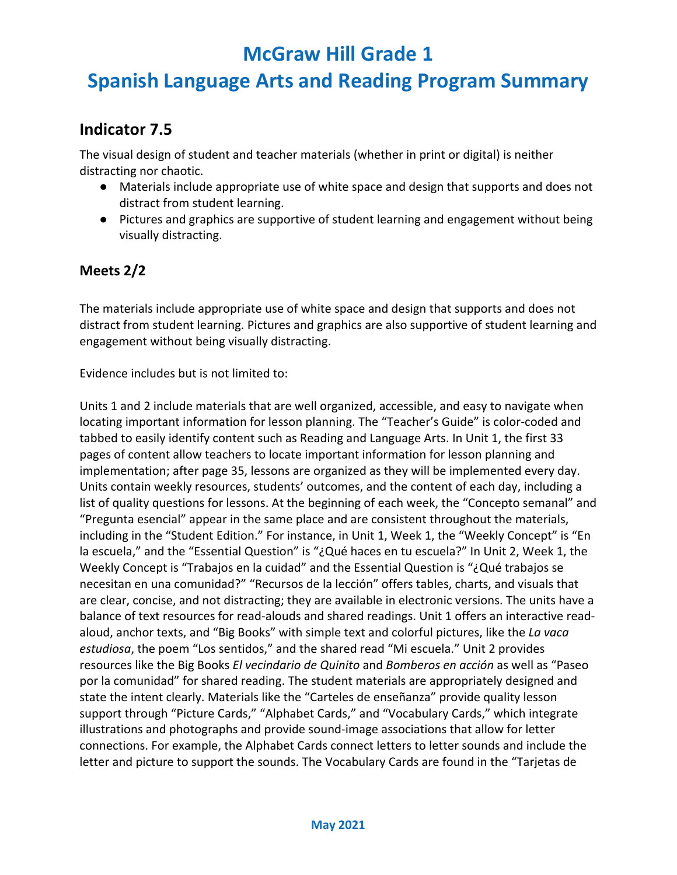## **Spanish Language Arts and Reading Program Summary**

### **Indicator 7.5**

The visual design of student and teacher materials (whether in print or digital) is neither distracting nor chaotic.

- Materials include appropriate use of white space and design that supports and does not distract from student learning.
- Pictures and graphics are supportive of student learning and engagement without being visually distracting.

#### **Meets 2/2**

The materials include appropriate use of white space and design that supports and does not distract from student learning. Pictures and graphics are also supportive of student learning and engagement without being visually distracting.

Evidence includes but is not limited to:

Units 1 and 2 include materials that are well organized, accessible, and easy to navigate when locating important information for lesson planning. The "Teacher's Guide" is color-coded and tabbed to easily identify content such as Reading and Language Arts. In Unit 1, the first 33 pages of content allow teachers to locate important information for lesson planning and implementation; after page 35, lessons are organized as they will be implemented every day. Units contain weekly resources, students' outcomes, and the content of each day, including a list of quality questions for lessons. At the beginning of each week, the "Concepto semanal" and "Pregunta esencial" appear in the same place and are consistent throughout the materials, including in the "Student Edition." For instance, in Unit 1, Week 1, the "Weekly Concept" is "En la escuela," and the "Essential Question" is "¿Qué haces en tu escuela?" In Unit 2, Week 1, the Weekly Concept is "Trabajos en la cuidad" and the Essential Question is "¿Qué trabajos se necesitan en una comunidad?" "Recursos de la lección" offers tables, charts, and visuals that are clear, concise, and not distracting; they are available in electronic versions. The units have a balance of text resources for read-alouds and shared readings. Unit 1 offers an interactive readaloud, anchor texts, and "Big Books" with simple text and colorful pictures, like the *La vaca estudiosa*, the poem "Los sentidos," and the shared read "Mi escuela." Unit 2 provides resources like the Big Books *El vecindario de Quinito* and *Bomberos en acción* as well as "Paseo por la comunidad" for shared reading. The student materials are appropriately designed and state the intent clearly. Materials like the "Carteles de enseñanza" provide quality lesson support through "Picture Cards," "Alphabet Cards," and "Vocabulary Cards," which integrate illustrations and photographs and provide sound-image associations that allow for letter connections. For example, the Alphabet Cards connect letters to letter sounds and include the letter and picture to support the sounds. The Vocabulary Cards are found in the "Tarjetas de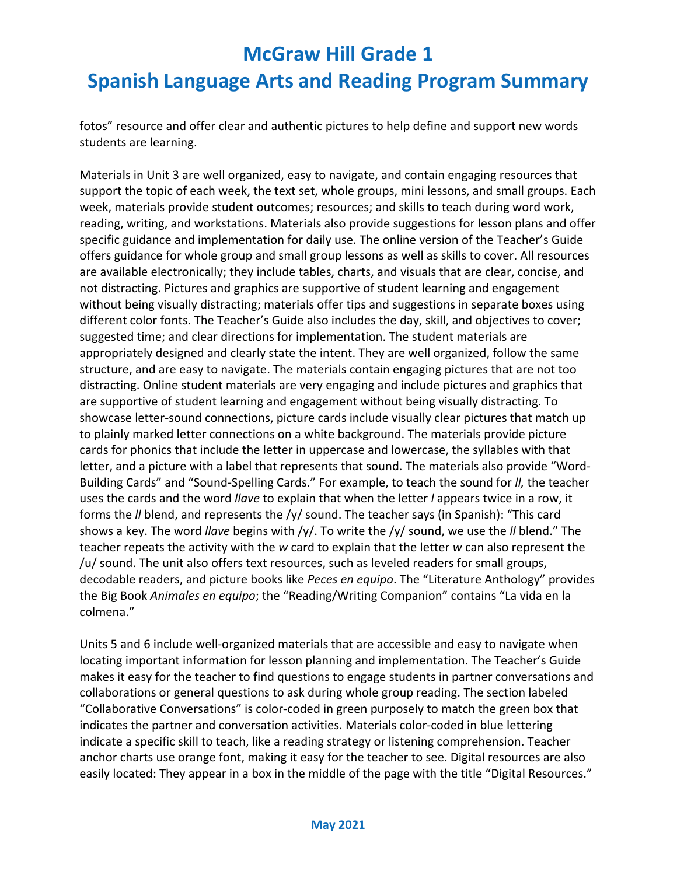fotos" resource and offer clear and authentic pictures to help define and support new words students are learning.

Materials in Unit 3 are well organized, easy to navigate, and contain engaging resources that support the topic of each week, the text set, whole groups, mini lessons, and small groups. Each week, materials provide student outcomes; resources; and skills to teach during word work, reading, writing, and workstations. Materials also provide suggestions for lesson plans and offer specific guidance and implementation for daily use. The online version of the Teacher's Guide offers guidance for whole group and small group lessons as well as skills to cover. All resources are available electronically; they include tables, charts, and visuals that are clear, concise, and not distracting. Pictures and graphics are supportive of student learning and engagement without being visually distracting; materials offer tips and suggestions in separate boxes using different color fonts. The Teacher's Guide also includes the day, skill, and objectives to cover; suggested time; and clear directions for implementation. The student materials are appropriately designed and clearly state the intent. They are well organized, follow the same structure, and are easy to navigate. The materials contain engaging pictures that are not too distracting. Online student materials are very engaging and include pictures and graphics that are supportive of student learning and engagement without being visually distracting. To showcase letter-sound connections, picture cards include visually clear pictures that match up to plainly marked letter connections on a white background. The materials provide picture cards for phonics that include the letter in uppercase and lowercase, the syllables with that letter, and a picture with a label that represents that sound. The materials also provide "Word-Building Cards" and "Sound-Spelling Cards." For example, to teach the sound for *ll,* the teacher uses the cards and the word *llave* to explain that when the letter *l* appears twice in a row, it forms the *ll* blend, and represents the /y/ sound. The teacher says (in Spanish): "This card shows a key. The word *llave* begins with /y/. To write the /y/ sound, we use the *ll* blend." The teacher repeats the activity with the *w* card to explain that the letter *w* can also represent the /u/ sound. The unit also offers text resources, such as leveled readers for small groups, decodable readers, and picture books like *Peces en equipo*. The "Literature Anthology" provides the Big Book *Animales en equipo*; the "Reading/Writing Companion" contains "La vida en la colmena."

Units 5 and 6 include well-organized materials that are accessible and easy to navigate when locating important information for lesson planning and implementation. The Teacher's Guide makes it easy for the teacher to find questions to engage students in partner conversations and collaborations or general questions to ask during whole group reading. The section labeled "Collaborative Conversations" is color-coded in green purposely to match the green box that indicates the partner and conversation activities. Materials color-coded in blue lettering indicate a specific skill to teach, like a reading strategy or listening comprehension. Teacher anchor charts use orange font, making it easy for the teacher to see. Digital resources are also easily located: They appear in a box in the middle of the page with the title "Digital Resources."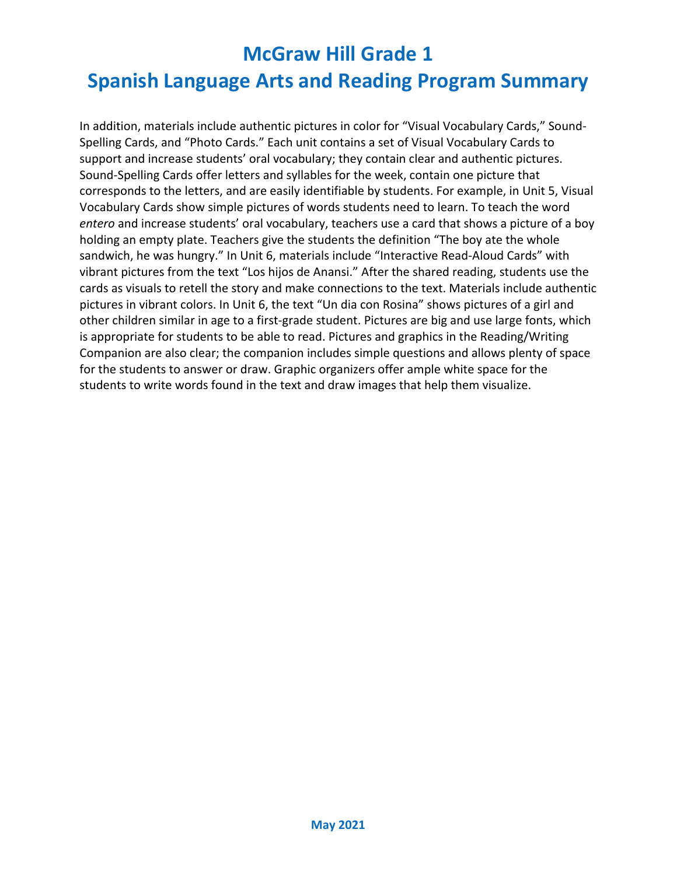In addition, materials include authentic pictures in color for "Visual Vocabulary Cards," Sound-Spelling Cards, and "Photo Cards." Each unit contains a set of Visual Vocabulary Cards to support and increase students' oral vocabulary; they contain clear and authentic pictures. Sound-Spelling Cards offer letters and syllables for the week, contain one picture that corresponds to the letters, and are easily identifiable by students. For example, in Unit 5, Visual Vocabulary Cards show simple pictures of words students need to learn. To teach the word *entero* and increase students' oral vocabulary, teachers use a card that shows a picture of a boy holding an empty plate. Teachers give the students the definition "The boy ate the whole sandwich, he was hungry." In Unit 6, materials include "Interactive Read-Aloud Cards" with vibrant pictures from the text "Los hijos de Anansi." After the shared reading, students use the cards as visuals to retell the story and make connections to the text. Materials include authentic pictures in vibrant colors. In Unit 6, the text "Un dia con Rosina" shows pictures of a girl and other children similar in age to a first-grade student. Pictures are big and use large fonts, which is appropriate for students to be able to read. Pictures and graphics in the Reading/Writing Companion are also clear; the companion includes simple questions and allows plenty of space for the students to answer or draw. Graphic organizers offer ample white space for the students to write words found in the text and draw images that help them visualize.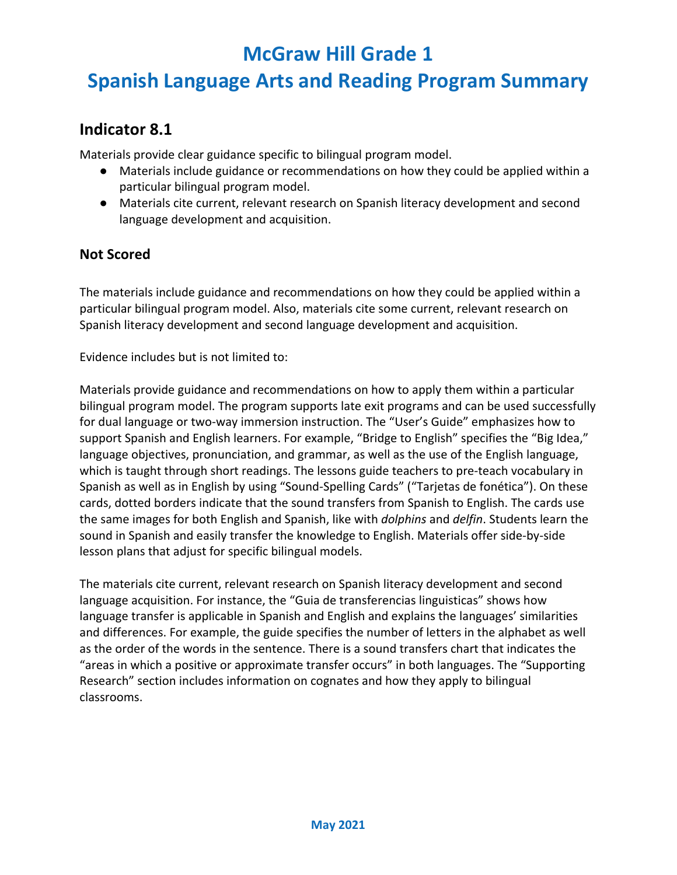## **Spanish Language Arts and Reading Program Summary**

### **Indicator 8.1**

Materials provide clear guidance specific to bilingual program model.

- Materials include guidance or recommendations on how they could be applied within a particular bilingual program model.
- Materials cite current, relevant research on Spanish literacy development and second language development and acquisition.

#### **Not Scored**

The materials include guidance and recommendations on how they could be applied within a particular bilingual program model. Also, materials cite some current, relevant research on Spanish literacy development and second language development and acquisition.

Evidence includes but is not limited to:

Materials provide guidance and recommendations on how to apply them within a particular bilingual program model. The program supports late exit programs and can be used successfully for dual language or two-way immersion instruction. The "User's Guide" emphasizes how to support Spanish and English learners. For example, "Bridge to English" specifies the "Big Idea," language objectives, pronunciation, and grammar, as well as the use of the English language, which is taught through short readings. The lessons guide teachers to pre-teach vocabulary in Spanish as well as in English by using "Sound-Spelling Cards" ("Tarjetas de fonética"). On these cards, dotted borders indicate that the sound transfers from Spanish to English. The cards use the same images for both English and Spanish, like with *dolphins* and *delfin*. Students learn the sound in Spanish and easily transfer the knowledge to English. Materials offer side-by-side lesson plans that adjust for specific bilingual models.

The materials cite current, relevant research on Spanish literacy development and second language acquisition. For instance, the "Guia de transferencias linguisticas" shows how language transfer is applicable in Spanish and English and explains the languages' similarities and differences. For example, the guide specifies the number of letters in the alphabet as well as the order of the words in the sentence. There is a sound transfers chart that indicates the "areas in which a positive or approximate transfer occurs" in both languages. The "Supporting Research" section includes information on cognates and how they apply to bilingual classrooms.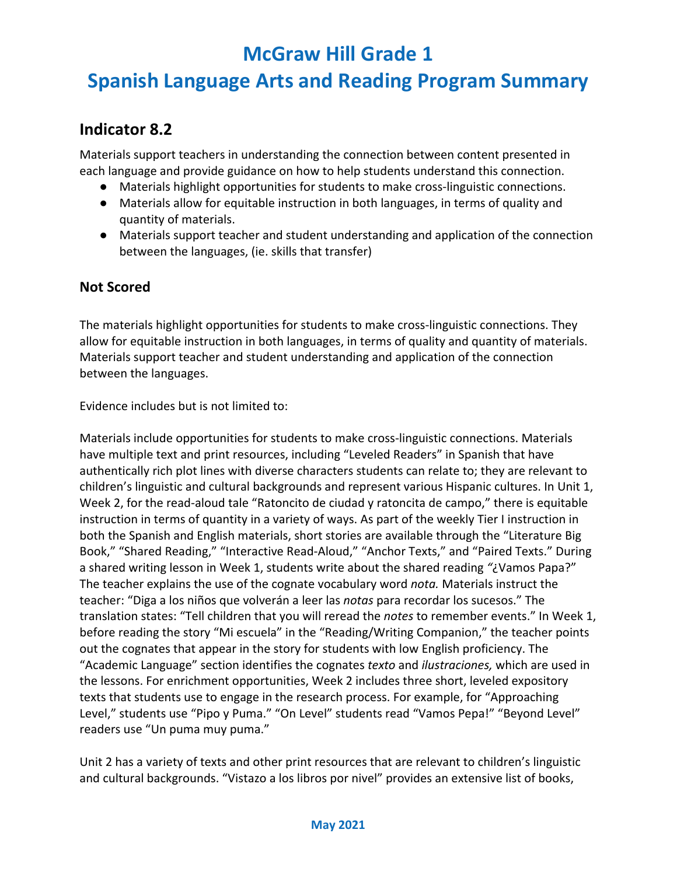## **Spanish Language Arts and Reading Program Summary**

### **Indicator 8.2**

Materials support teachers in understanding the connection between content presented in each language and provide guidance on how to help students understand this connection.

- Materials highlight opportunities for students to make cross-linguistic connections.
- Materials allow for equitable instruction in both languages, in terms of quality and quantity of materials.
- Materials support teacher and student understanding and application of the connection between the languages, (ie. skills that transfer)

#### **Not Scored**

The materials highlight opportunities for students to make cross-linguistic connections. They allow for equitable instruction in both languages, in terms of quality and quantity of materials. Materials support teacher and student understanding and application of the connection between the languages.

Evidence includes but is not limited to:

Materials include opportunities for students to make cross-linguistic connections. Materials have multiple text and print resources, including "Leveled Readers" in Spanish that have authentically rich plot lines with diverse characters students can relate to; they are relevant to children's linguistic and cultural backgrounds and represent various Hispanic cultures. In Unit 1, Week 2, for the read-aloud tale "Ratoncito de ciudad y ratoncita de campo," there is equitable instruction in terms of quantity in a variety of ways. As part of the weekly Tier I instruction in both the Spanish and English materials, short stories are available through the "Literature Big Book," "Shared Reading," "Interactive Read-Aloud," "Anchor Texts," and "Paired Texts." During a shared writing lesson in Week 1, students write about the shared reading *"*¿Vamos Papa?" The teacher explains the use of the cognate vocabulary word *nota.* Materials instruct the teacher: "Diga a los niños que volverán a leer las *notas* para recordar los sucesos." The translation states: "Tell children that you will reread the *notes* to remember events." In Week 1, before reading the story "Mi escuela" in the "Reading/Writing Companion," the teacher points out the cognates that appear in the story for students with low English proficiency. The "Academic Language" section identifies the cognates *texto* and *ilustraciones,* which are used in the lessons. For enrichment opportunities, Week 2 includes three short, leveled expository texts that students use to engage in the research process. For example, for "Approaching Level," students use "Pipo y Puma." "On Level" students read "Vamos Pepa!" "Beyond Level" readers use "Un puma muy puma."

Unit 2 has a variety of texts and other print resources that are relevant to children's linguistic and cultural backgrounds. "Vistazo a los libros por nivel" provides an extensive list of books,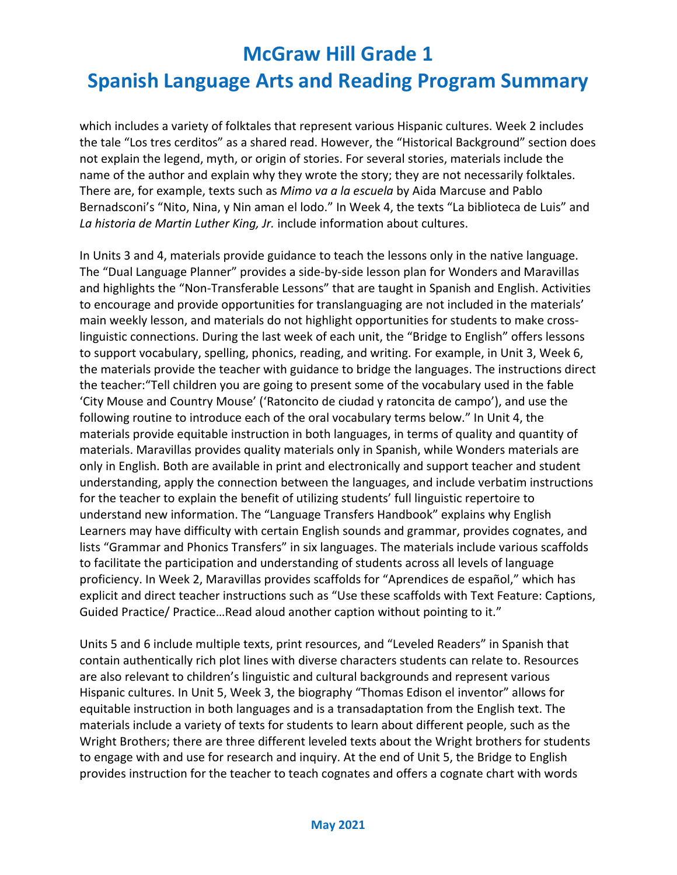which includes a variety of folktales that represent various Hispanic cultures. Week 2 includes the tale "Los tres cerditos" as a shared read. However, the "Historical Background" section does not explain the legend, myth, or origin of stories. For several stories, materials include the name of the author and explain why they wrote the story; they are not necessarily folktales. There are, for example, texts such as *Mimo va a la escuela* by Aida Marcuse and Pablo Bernadsconi's "Nito, Nina, y Nin aman el lodo." In Week 4, the texts "La biblioteca de Luis" and *La historia de Martin Luther King, Jr.* include information about cultures.

In Units 3 and 4, materials provide guidance to teach the lessons only in the native language. The "Dual Language Planner" provides a side-by-side lesson plan for Wonders and Maravillas and highlights the "Non-Transferable Lessons" that are taught in Spanish and English. Activities to encourage and provide opportunities for translanguaging are not included in the materials' main weekly lesson, and materials do not highlight opportunities for students to make crosslinguistic connections. During the last week of each unit, the "Bridge to English" offers lessons to support vocabulary, spelling, phonics, reading, and writing. For example, in Unit 3, Week 6, the materials provide the teacher with guidance to bridge the languages. The instructions direct the teacher:"Tell children you are going to present some of the vocabulary used in the fable 'City Mouse and Country Mouse' ('Ratoncito de ciudad y ratoncita de campo'), and use the following routine to introduce each of the oral vocabulary terms below." In Unit 4, the materials provide equitable instruction in both languages, in terms of quality and quantity of materials. Maravillas provides quality materials only in Spanish, while Wonders materials are only in English. Both are available in print and electronically and support teacher and student understanding, apply the connection between the languages, and include verbatim instructions for the teacher to explain the benefit of utilizing students' full linguistic repertoire to understand new information. The "Language Transfers Handbook" explains why English Learners may have difficulty with certain English sounds and grammar, provides cognates, and lists "Grammar and Phonics Transfers" in six languages. The materials include various scaffolds to facilitate the participation and understanding of students across all levels of language proficiency. In Week 2, Maravillas provides scaffolds for "Aprendices de español," which has explicit and direct teacher instructions such as "Use these scaffolds with Text Feature: Captions, Guided Practice/ Practice…Read aloud another caption without pointing to it."

Units 5 and 6 include multiple texts, print resources, and "Leveled Readers" in Spanish that contain authentically rich plot lines with diverse characters students can relate to. Resources are also relevant to children's linguistic and cultural backgrounds and represent various Hispanic cultures. In Unit 5, Week 3, the biography "Thomas Edison el inventor" allows for equitable instruction in both languages and is a transadaptation from the English text. The materials include a variety of texts for students to learn about different people, such as the Wright Brothers; there are three different leveled texts about the Wright brothers for students to engage with and use for research and inquiry. At the end of Unit 5, the Bridge to English provides instruction for the teacher to teach cognates and offers a cognate chart with words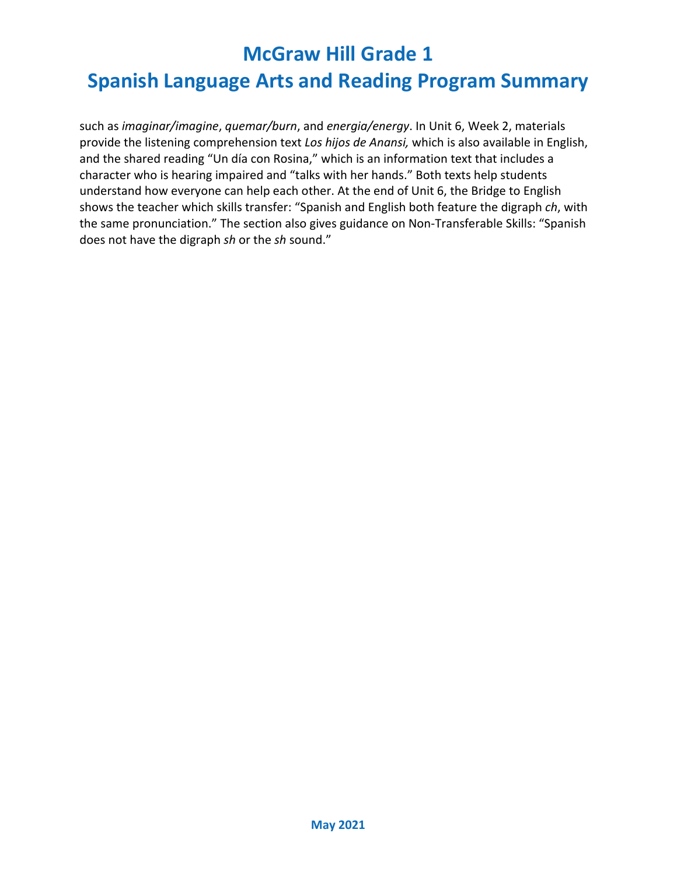## **Spanish Language Arts and Reading Program Summary**

such as *imaginar/imagine*, *quemar/burn*, and *energia/energy*. In Unit 6, Week 2, materials provide the listening comprehension text *Los hijos de Anansi,* which is also available in English, and the shared reading "Un día con Rosina," which is an information text that includes a character who is hearing impaired and "talks with her hands." Both texts help students understand how everyone can help each other. At the end of Unit 6, the Bridge to English shows the teacher which skills transfer: "Spanish and English both feature the digraph *ch*, with the same pronunciation." The section also gives guidance on Non-Transferable Skills: "Spanish does not have the digraph *sh* or the *sh* sound."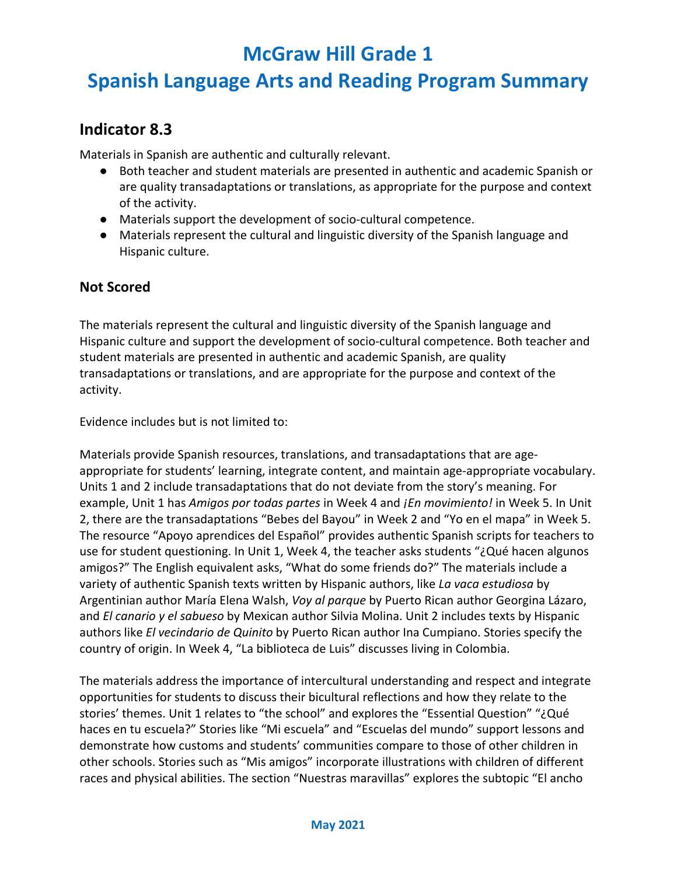## **Spanish Language Arts and Reading Program Summary**

#### **Indicator 8.3**

Materials in Spanish are authentic and culturally relevant.

- Both teacher and student materials are presented in authentic and academic Spanish or are quality transadaptations or translations, as appropriate for the purpose and context of the activity.
- Materials support the development of socio-cultural competence.
- Materials represent the cultural and linguistic diversity of the Spanish language and Hispanic culture.

#### **Not Scored**

The materials represent the cultural and linguistic diversity of the Spanish language and Hispanic culture and support the development of socio-cultural competence. Both teacher and student materials are presented in authentic and academic Spanish, are quality transadaptations or translations, and are appropriate for the purpose and context of the activity.

Evidence includes but is not limited to:

Materials provide Spanish resources, translations, and transadaptations that are ageappropriate for students' learning, integrate content, and maintain age-appropriate vocabulary. Units 1 and 2 include transadaptations that do not deviate from the story's meaning. For example, Unit 1 has *Amigos por todas partes* in Week 4 and *¡En movimiento!* in Week 5. In Unit 2, there are the transadaptations "Bebes del Bayou" in Week 2 and "Yo en el mapa" in Week 5. The resource "Apoyo aprendices del Español" provides authentic Spanish scripts for teachers to use for student questioning. In Unit 1, Week 4, the teacher asks students "¿Qué hacen algunos amigos?" The English equivalent asks, "What do some friends do?" The materials include a variety of authentic Spanish texts written by Hispanic authors, like *La vaca estudiosa* by Argentinian author María Elena Walsh, *Voy al parque* by Puerto Rican author Georgina Lázaro, and *El canario y el sabueso* by Mexican author Silvia Molina. Unit 2 includes texts by Hispanic authors like *El vecindario de Quinito* by Puerto Rican author Ina Cumpiano. Stories specify the country of origin. In Week 4, "La biblioteca de Luis" discusses living in Colombia.

The materials address the importance of intercultural understanding and respect and integrate opportunities for students to discuss their bicultural reflections and how they relate to the stories' themes. Unit 1 relates to "the school" and explores the "Essential Question" "¿Qué haces en tu escuela?" Stories like "Mi escuela" and "Escuelas del mundo" support lessons and demonstrate how customs and students' communities compare to those of other children in other schools. Stories such as "Mis amigos" incorporate illustrations with children of different races and physical abilities. The section "Nuestras maravillas" explores the subtopic "El ancho